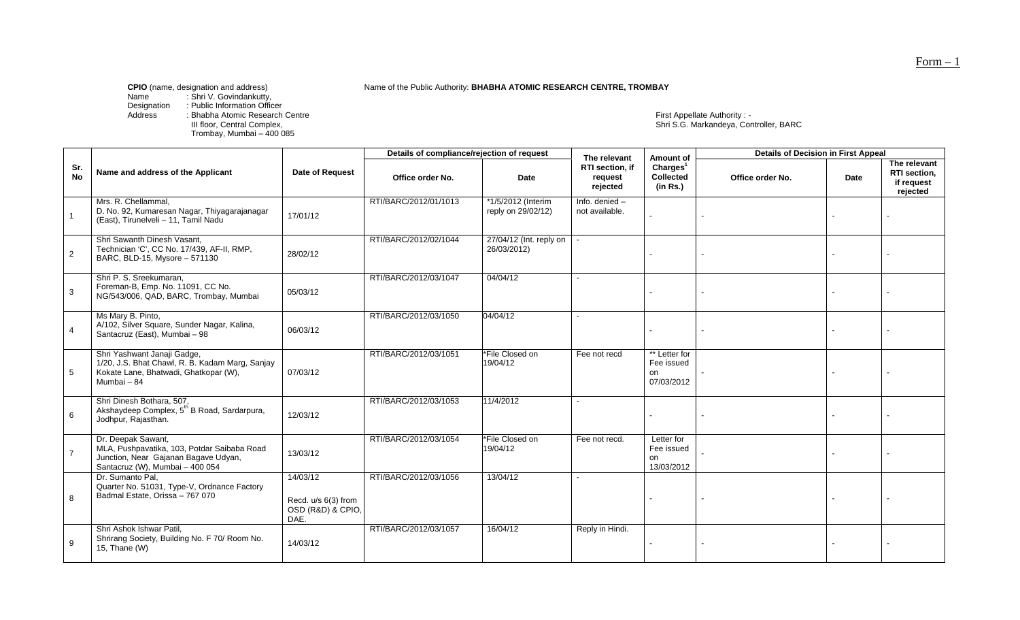Name of the Public Authority: **BHABHA ATOMIC RESEARCH CENTRE, TROMBAY** 

Name : Shri V. Govindankutty,

Designation : Public Information Officer

III floor, Central Complex,<br>Trombay, Mumbai – 400 085

Address : Bhabha Atomic Research Centre First Appellate Authority : - First Appellate Authority : -<br>Shri S.G. Markandeya, Controller, BARC

|                  |                                                                                                                                              |                                                              | Details of compliance/rejection of request |                                          | The relevant                           | Amount of                                            | <b>Details of Decision in First Appeal</b> |      |                                                        |  |
|------------------|----------------------------------------------------------------------------------------------------------------------------------------------|--------------------------------------------------------------|--------------------------------------------|------------------------------------------|----------------------------------------|------------------------------------------------------|--------------------------------------------|------|--------------------------------------------------------|--|
| Sr.<br><b>No</b> | Name and address of the Applicant                                                                                                            | Date of Request                                              | Office order No.                           | Date                                     | RTI section, if<br>request<br>rejected | Charles <sup>1</sup><br><b>Collected</b><br>(in Rs.) | Office order No.                           | Date | The relevant<br>RTI section,<br>if request<br>rejected |  |
|                  | Mrs. R. Chellammal,<br>D. No. 92, Kumaresan Nagar, Thiyagarajanagar<br>(East), Tirunelveli - 11, Tamil Nadu                                  | 17/01/12                                                     | RTI/BARC/2012/01/1013                      | *1/5/2012 (Interim<br>reply on 29/02/12) | Info. denied $-$<br>not available.     |                                                      |                                            |      |                                                        |  |
| $\overline{2}$   | Shri Sawanth Dinesh Vasant,<br>Technician 'C', CC No. 17/439, AF-II, RMP,<br>BARC, BLD-15, Mysore - 571130                                   | 28/02/12                                                     | RTI/BARC/2012/02/1044                      | 27/04/12 (Int. reply on<br>26/03/2012)   |                                        |                                                      |                                            |      |                                                        |  |
| $\mathbf{3}$     | Shri P. S. Sreekumaran,<br>Foreman-B, Emp. No. 11091, CC No.<br>NG/543/006, QAD, BARC, Trombay, Mumbai                                       | 05/03/12                                                     | RTI/BARC/2012/03/1047                      | 04/04/12                                 |                                        |                                                      |                                            |      |                                                        |  |
| $\overline{4}$   | Ms Mary B. Pinto,<br>A/102, Silver Square, Sunder Nagar, Kalina,<br>Santacruz (East), Mumbai - 98                                            | 06/03/12                                                     | RTI/BARC/2012/03/1050                      | 04/04/12                                 |                                        |                                                      |                                            |      |                                                        |  |
| 5                | Shri Yashwant Janaji Gadge,<br>1/20, J.S. Bhat Chawl, R. B. Kadam Marg, Sanjay<br>Kokate Lane, Bhatwadi, Ghatkopar (W),<br>Mumbai - 84       | 07/03/12                                                     | RTI/BARC/2012/03/1051                      | *File Closed on<br>19/04/12              | Fee not recd                           | ** Letter for<br>Fee issued<br>on<br>07/03/2012      |                                            |      |                                                        |  |
| 6                | Shri Dinesh Bothara, 507,<br>Akshaydeep Complex, 5 <sup>th</sup> B Road, Sardarpura,<br>Jodhpur, Rajasthan.                                  | 12/03/12                                                     | RTI/BARC/2012/03/1053                      | 11/4/2012                                |                                        |                                                      |                                            |      |                                                        |  |
| $\overline{7}$   | Dr. Deepak Sawant,<br>MLA, Pushpavatika, 103, Potdar Saibaba Road<br>Junction, Near Gajanan Bagave Udyan,<br>Santacruz (W), Mumbai - 400 054 | 13/03/12                                                     | RTI/BARC/2012/03/1054                      | *File Closed on<br>19/04/12              | Fee not recd.                          | Letter for<br>Fee issued<br>on<br>13/03/2012         |                                            |      |                                                        |  |
| 8                | Dr. Sumanto Pal,<br>Quarter No. 51031, Type-V, Ordnance Factory<br>Badmal Estate, Orissa - 767 070                                           | 14/03/12<br>Recd. u/s 6(3) from<br>OSD (R&D) & CPIO,<br>DAE. | RTI/BARC/2012/03/1056                      | 13/04/12                                 |                                        |                                                      |                                            |      |                                                        |  |
| 9                | Shri Ashok Ishwar Patil,<br>Shrirang Society, Building No. F 70/ Room No.<br>15, Thane (W)                                                   | 14/03/12                                                     | RTI/BARC/2012/03/1057                      | 16/04/12                                 | Reply in Hindi.                        |                                                      |                                            |      |                                                        |  |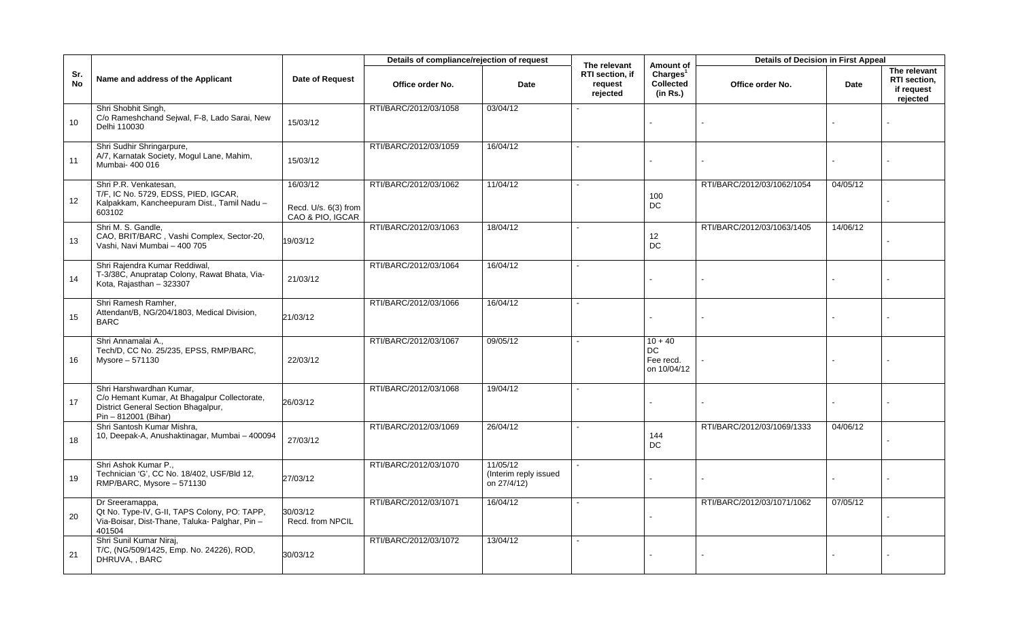|                  |                                                                                                                                         |                                                      | Details of compliance/rejection of request |                                                  | The relevant                                  | Amount of                                              | <b>Details of Decision in First Appeal</b> |          |                                                        |
|------------------|-----------------------------------------------------------------------------------------------------------------------------------------|------------------------------------------------------|--------------------------------------------|--------------------------------------------------|-----------------------------------------------|--------------------------------------------------------|--------------------------------------------|----------|--------------------------------------------------------|
| Sr.<br><b>No</b> | Name and address of the Applicant                                                                                                       | Date of Request                                      | Office order No.                           | Date                                             | <b>RTI</b> section, if<br>request<br>rejected | Charles <sup>1</sup><br><b>Collected</b><br>(in Rs.)   | Office order No.                           | Date     | The relevant<br>RTI section,<br>if request<br>rejected |
| 10 <sup>1</sup>  | Shri Shobhit Singh,<br>C/o Rameshchand Sejwal, F-8, Lado Sarai, New<br>Delhi 110030                                                     | 15/03/12                                             | RTI/BARC/2012/03/1058                      | 03/04/12                                         |                                               |                                                        |                                            |          |                                                        |
| 11               | Shri Sudhir Shringarpure,<br>A/7, Karnatak Society, Mogul Lane, Mahim,<br>Mumbai- 400 016                                               | 15/03/12                                             | RTI/BARC/2012/03/1059                      | 16/04/12                                         |                                               |                                                        |                                            |          |                                                        |
| 12               | Shri P.R. Venkatesan,<br>T/F, IC No. 5729, EDSS, PIED, IGCAR,<br>Kalpakkam, Kancheepuram Dist., Tamil Nadu -<br>603102                  | 16/03/12<br>Recd. U/s. 6(3) from<br>CAO & PIO, IGCAR | RTI/BARC/2012/03/1062                      | 11/04/12                                         |                                               | 100<br>$DC$                                            | RTI/BARC/2012/03/1062/1054                 | 04/05/12 |                                                        |
| 13               | Shri M. S. Gandle,<br>CAO, BRIT/BARC, Vashi Complex, Sector-20,<br>Vashi, Navi Mumbai - 400 705                                         | 19/03/12                                             | RTI/BARC/2012/03/1063                      | 18/04/12                                         |                                               | 12<br>DC                                               | RTI/BARC/2012/03/1063/1405                 | 14/06/12 |                                                        |
| 14               | Shri Rajendra Kumar Reddiwal,<br>T-3/38C, Anupratap Colony, Rawat Bhata, Via-<br>Kota, Rajasthan - 323307                               | 21/03/12                                             | RTI/BARC/2012/03/1064                      | 16/04/12                                         |                                               |                                                        |                                            |          |                                                        |
| 15               | Shri Ramesh Ramher,<br>Attendant/B, NG/204/1803, Medical Division,<br><b>BARC</b>                                                       | 21/03/12                                             | RTI/BARC/2012/03/1066                      | 16/04/12                                         |                                               |                                                        |                                            |          |                                                        |
| 16               | Shri Annamalai A.,<br>Tech/D, CC No. 25/235, EPSS, RMP/BARC,<br>Mysore - 571130                                                         | 22/03/12                                             | RTI/BARC/2012/03/1067                      | 09/05/12                                         |                                               | $10 + 40$<br>$\mathsf{DC}$<br>Fee recd.<br>on 10/04/12 |                                            |          |                                                        |
| 17               | Shri Harshwardhan Kumar,<br>C/o Hemant Kumar, At Bhagalpur Collectorate,<br>District General Section Bhagalpur,<br>Pin - 812001 (Bihar) | 26/03/12                                             | RTI/BARC/2012/03/1068                      | 19/04/12                                         |                                               |                                                        |                                            |          |                                                        |
| 18               | Shri Santosh Kumar Mishra,<br>10, Deepak-A, Anushaktinagar, Mumbai - 400094                                                             | 27/03/12                                             | RTI/BARC/2012/03/1069                      | 26/04/12                                         |                                               | 144<br>DC                                              | RTI/BARC/2012/03/1069/1333                 | 04/06/12 |                                                        |
| 19               | Shri Ashok Kumar P.,<br>Technician 'G', CC No. 18/402, USF/Bld 12,<br>RMP/BARC, Mysore - 571130                                         | 27/03/12                                             | RTI/BARC/2012/03/1070                      | 11/05/12<br>(Interim reply issued<br>on 27/4/12) | $\sim$                                        |                                                        |                                            |          |                                                        |
| 20               | Dr Sreeramappa,<br>Qt No. Type-IV, G-II, TAPS Colony, PO: TAPP,<br>Via-Boisar, Dist-Thane, Taluka- Palghar, Pin-<br>401504              | 30/03/12<br>Recd. from NPCIL                         | RTI/BARC/2012/03/1071                      | 16/04/12                                         |                                               |                                                        | RTI/BARC/2012/03/1071/1062                 | 07/05/12 |                                                        |
| 21               | Shri Sunil Kumar Niraj,<br>T/C, (NG/509/1425, Emp. No. 24226), ROD,<br>DHRUVA, , BARC                                                   | 30/03/12                                             | RTI/BARC/2012/03/1072                      | 13/04/12                                         |                                               |                                                        |                                            |          |                                                        |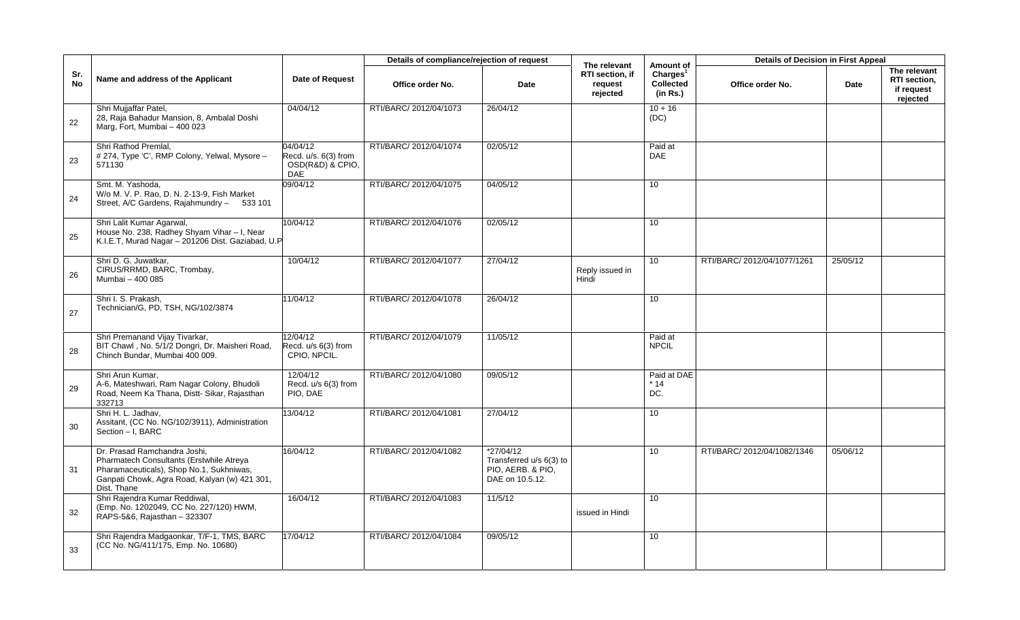|                  |                                                                                                                                                                                      |                                                                    | Details of compliance/rejection of request |                                                                                |                                                        |                                                                   | <b>Details of Decision in First Appeal</b> |          |                                                               |
|------------------|--------------------------------------------------------------------------------------------------------------------------------------------------------------------------------------|--------------------------------------------------------------------|--------------------------------------------|--------------------------------------------------------------------------------|--------------------------------------------------------|-------------------------------------------------------------------|--------------------------------------------|----------|---------------------------------------------------------------|
| Sr.<br><b>No</b> | Name and address of the Applicant                                                                                                                                                    | Date of Request                                                    | Office order No.                           | Date                                                                           | The relevant<br>RTI section, if<br>request<br>rejected | Amount of<br>Charles <sup>1</sup><br><b>Collected</b><br>(in Rs.) | Office order No.                           | Date     | The relevant<br><b>RTI</b> section.<br>if request<br>rejected |
| 22               | Shri Mujjaffar Patel,<br>28, Raja Bahadur Mansion, 8, Ambalal Doshi<br>Marg, Fort, Mumbai - 400 023                                                                                  | 04/04/12                                                           | RTI/BARC/ 2012/04/1073                     | 26/04/12                                                                       |                                                        | $10 + 16$<br>(DC)                                                 |                                            |          |                                                               |
| 23               | Shri Rathod Premlal.<br># 274, Type 'C', RMP Colony, Yelwal, Mysore -<br>571130                                                                                                      | 04/04/12<br>Recd. u/s. 6(3) from<br>OSD(R&D) & CPIO,<br><b>DAE</b> | RTI/BARC/ 2012/04/1074                     | 02/05/12                                                                       |                                                        | Paid at<br><b>DAE</b>                                             |                                            |          |                                                               |
| 24               | Smt. M. Yashoda,<br>W/o M. V. P. Rao, D. N. 2-13-9, Fish Market<br>Street, A/C Gardens, Rajahmundry - 533 101                                                                        | 09/04/12                                                           | RTI/BARC/ 2012/04/1075                     | 04/05/12                                                                       |                                                        | 10                                                                |                                            |          |                                                               |
| 25               | Shri Lalit Kumar Agarwal,<br>House No. 238, Radhey Shyam Vihar - I, Near<br>K.I.E.T, Murad Nagar - 201206 Dist. Gaziabad, U.P                                                        | 10/04/12                                                           | RTI/BARC/ 2012/04/1076                     | 02/05/12                                                                       |                                                        | 10                                                                |                                            |          |                                                               |
| 26               | Shri D. G. Juwatkar,<br>CIRUS/RRMD, BARC, Trombay,<br>Mumbai - 400 085                                                                                                               | 10/04/12                                                           | RTI/BARC/ 2012/04/1077                     | 27/04/12                                                                       | Reply issued in<br>Hindi                               | $\overline{10}$                                                   | RTI/BARC/ 2012/04/1077/1261                | 25/05/12 |                                                               |
| 27               | Shri I. S. Prakash,<br>Technician/G, PD, TSH, NG/102/3874                                                                                                                            | 11/04/12                                                           | RTI/BARC/ 2012/04/1078                     | 26/04/12                                                                       |                                                        | $\overline{10}$                                                   |                                            |          |                                                               |
| 28               | Shri Premanand Vijay Tivarkar,<br>BIT Chawl, No. 5/1/2 Dongri, Dr. Maisheri Road,<br>Chinch Bundar, Mumbai 400 009.                                                                  | 12/04/12<br>Recd. u/s 6(3) from<br>CPIO, NPCIL.                    | RTI/BARC/ 2012/04/1079                     | 11/05/12                                                                       |                                                        | Paid at<br><b>NPCIL</b>                                           |                                            |          |                                                               |
| 29               | Shri Arun Kumar,<br>A-6, Mateshwari, Ram Nagar Colony, Bhudoli<br>Road, Neem Ka Thana, Distt-Sikar, Rajasthan<br>332713                                                              | 12/04/12<br>Recd. u/s 6(3) from<br>PIO, DAE                        | RTI/BARC/ 2012/04/1080                     | 09/05/12                                                                       |                                                        | Paid at DAE<br>$*14$<br>DC.                                       |                                            |          |                                                               |
| 30               | Shri H. L. Jadhav,<br>Assitant, (CC No. NG/102/3911), Administration<br>Section - I, BARC                                                                                            | 13/04/12                                                           | RTI/BARC/ 2012/04/1081                     | 27/04/12                                                                       |                                                        | 10 <sup>°</sup>                                                   |                                            |          |                                                               |
| 31               | Dr. Prasad Ramchandra Joshi,<br>Pharmatech Consultants (Erstwhile Atreya<br>Pharamaceuticals), Shop No.1, Sukhniwas,<br>Ganpati Chowk, Agra Road, Kalyan (w) 421 301,<br>Dist. Thane | 16/04/12                                                           | RTI/BARC/ 2012/04/1082                     | $*27/04/12$<br>Transferred u/s 6(3) to<br>PIO, AERB. & PIO,<br>DAE on 10.5.12. |                                                        | 10                                                                | RTI/BARC/ 2012/04/1082/1346                | 05/06/12 |                                                               |
| 32               | Shri Rajendra Kumar Reddiwal,<br>(Emp. No. 1202049, CC No. 227/120) HWM,<br>RAPS-5&6, Rajasthan - 323307                                                                             | 16/04/12                                                           | RTI/BARC/ 2012/04/1083                     | 11/5/12                                                                        | issued in Hindi                                        | 10 <sup>1</sup>                                                   |                                            |          |                                                               |
| 33               | Shri Rajendra Madgaonkar, T/F-1, TMS, BARC<br>(CC No. NG/411/175, Emp. No. 10680)                                                                                                    | 17/04/12                                                           | RTI/BARC/ 2012/04/1084                     | 09/05/12                                                                       |                                                        | 10                                                                |                                            |          |                                                               |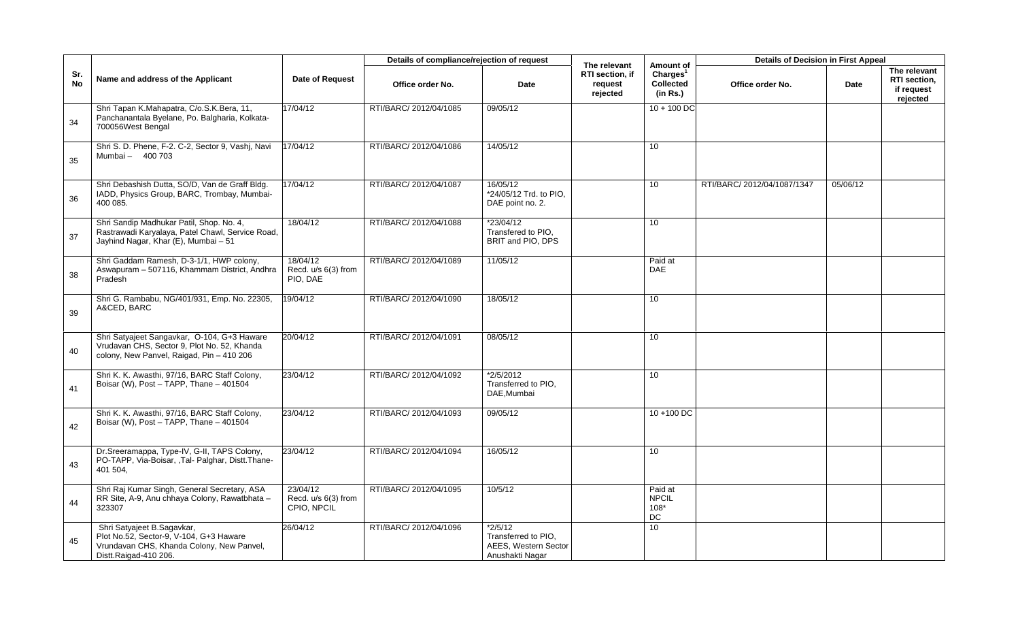|                  |                                                                                                                                             |                                                | Details of compliance/rejection of request |                                                                             | The relevant                           | Amount of                                            | <b>Details of Decision in First Appeal</b> |             |                                                        |
|------------------|---------------------------------------------------------------------------------------------------------------------------------------------|------------------------------------------------|--------------------------------------------|-----------------------------------------------------------------------------|----------------------------------------|------------------------------------------------------|--------------------------------------------|-------------|--------------------------------------------------------|
| Sr.<br><b>No</b> | Name and address of the Applicant                                                                                                           | <b>Date of Request</b>                         | Office order No.                           | Date                                                                        | RTI section, if<br>request<br>rejected | Charles <sup>1</sup><br><b>Collected</b><br>(in Rs.) | Office order No.                           | <b>Date</b> | The relevant<br>RTI section,<br>if request<br>rejected |
| 34               | Shri Tapan K.Mahapatra, C/o.S.K.Bera, 11,<br>Panchanantala Byelane, Po. Balgharia, Kolkata-<br>700056West Bengal                            | 17/04/12                                       | RTI/BARC/ 2012/04/1085                     | 09/05/12                                                                    |                                        | $10 + 100$ DC                                        |                                            |             |                                                        |
| 35               | Shri S. D. Phene, F-2. C-2, Sector 9, Vashj, Navi<br>Mumbai - 400 703                                                                       | 17/04/12                                       | RTI/BARC/ 2012/04/1086                     | 14/05/12                                                                    |                                        | 10                                                   |                                            |             |                                                        |
| 36               | Shri Debashish Dutta, SO/D, Van de Graff Bldg.<br>IADD, Physics Group, BARC, Trombay, Mumbai-<br>400 085.                                   | 17/04/12                                       | RTI/BARC/ 2012/04/1087                     | 16/05/12<br>*24/05/12 Trd. to PIO,<br>DAE point no. 2.                      |                                        | 10 <sup>1</sup>                                      | RTI/BARC/ 2012/04/1087/1347                | 05/06/12    |                                                        |
| 37               | Shri Sandip Madhukar Patil, Shop. No. 4,<br>Rastrawadi Karyalaya, Patel Chawl, Service Road,<br>Jayhind Nagar, Khar (E), Mumbai - 51        | 18/04/12                                       | RTI/BARC/ 2012/04/1088                     | $*23/04/12$<br>Transfered to PIO.<br>BRIT and PIO, DPS                      |                                        | 10 <sup>1</sup>                                      |                                            |             |                                                        |
| 38               | Shri Gaddam Ramesh, D-3-1/1, HWP colony,<br>Aswapuram - 507116, Khammam District, Andhra<br>Pradesh                                         | 18/04/12<br>Recd. u/s 6(3) from<br>PIO, DAE    | RTI/BARC/ 2012/04/1089                     | 11/05/12                                                                    |                                        | Paid at<br><b>DAE</b>                                |                                            |             |                                                        |
| 39               | Shri G. Rambabu, NG/401/931, Emp. No. 22305,<br>A&CED, BARC                                                                                 | 19/04/12                                       | RTI/BARC/ 2012/04/1090                     | 18/05/12                                                                    |                                        | 10                                                   |                                            |             |                                                        |
| 40               | Shri Satyajeet Sangavkar, O-104, G+3 Haware<br>Vrudavan CHS, Sector 9, Plot No. 52, Khanda<br>colony, New Panvel, Raigad, Pin - 410 206     | 20/04/12                                       | RTI/BARC/ 2012/04/1091                     | 08/05/12                                                                    |                                        | 10                                                   |                                            |             |                                                        |
| 41               | Shri K. K. Awasthi, 97/16, BARC Staff Colony,<br>Boisar (W), Post - TAPP, Thane - 401504                                                    | 23/04/12                                       | RTI/BARC/ 2012/04/1092                     | *2/5/2012<br>Transferred to PIO,<br>DAE, Mumbai                             |                                        | 10                                                   |                                            |             |                                                        |
| 42               | Shri K. K. Awasthi, 97/16, BARC Staff Colony,<br>Boisar (W), Post - TAPP, Thane - 401504                                                    | 23/04/12                                       | RTI/BARC/ 2012/04/1093                     | 09/05/12                                                                    |                                        | 10+100 DC                                            |                                            |             |                                                        |
| 43               | Dr.Sreeramappa, Type-IV, G-II, TAPS Colony,<br>PO-TAPP, Via-Boisar, ,Tal- Palghar, Distt.Thane-<br>401 504,                                 | 23/04/12                                       | RTI/BARC/ 2012/04/1094                     | 16/05/12                                                                    |                                        | 10                                                   |                                            |             |                                                        |
| 44               | Shri Raj Kumar Singh, General Secretary, ASA<br>RR Site, A-9, Anu chhaya Colony, Rawatbhata -<br>323307                                     | 23/04/12<br>Recd. u/s 6(3) from<br>CPIO, NPCIL | RTI/BARC/ 2012/04/1095                     | 10/5/12                                                                     |                                        | Paid at<br><b>NPCIL</b><br>$108*$<br>$DC$            |                                            |             |                                                        |
| 45               | Shri Satyajeet B.Sagavkar,<br>Plot No.52, Sector-9, V-104, G+3 Haware<br>Vrundavan CHS, Khanda Colony, New Panvel,<br>Distt.Raigad-410 206. | 26/04/12                                       | RTI/BARC/ 2012/04/1096                     | $*2/5/12$<br>Transferred to PIO.<br>AEES, Western Sector<br>Anushakti Nagar |                                        | 10                                                   |                                            |             |                                                        |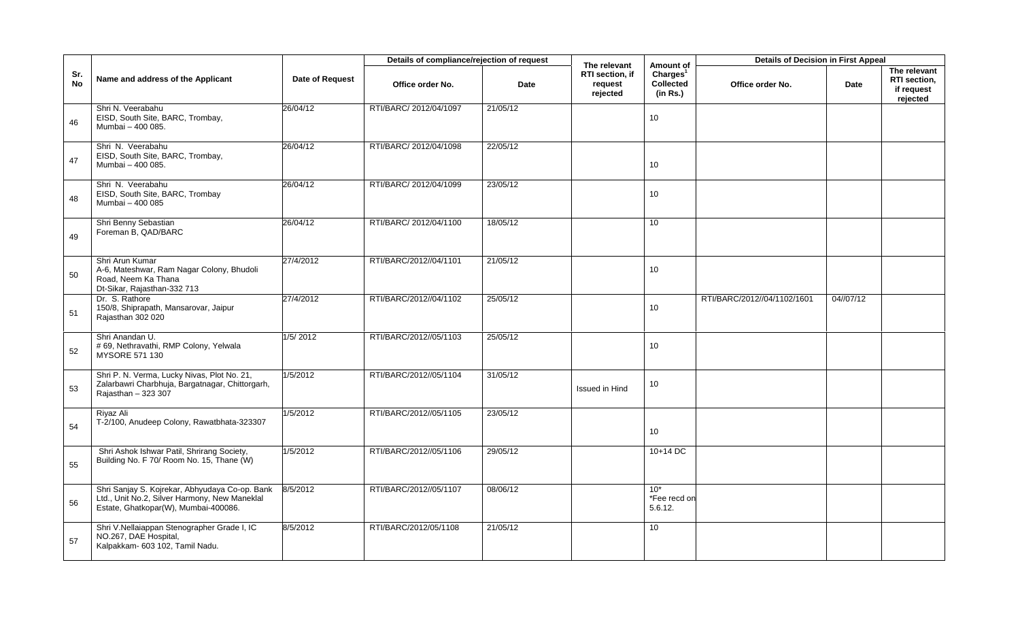|                  |                                                                                                                                         |                 | Details of compliance/rejection of request |          | The relevant                           | Amount of                                            | <b>Details of Decision in First Appeal</b> |           |                                                        |
|------------------|-----------------------------------------------------------------------------------------------------------------------------------------|-----------------|--------------------------------------------|----------|----------------------------------------|------------------------------------------------------|--------------------------------------------|-----------|--------------------------------------------------------|
| Sr.<br><b>No</b> | Name and address of the Applicant                                                                                                       | Date of Request | Office order No.                           | Date     | RTI section, if<br>request<br>rejected | Charles <sup>1</sup><br><b>Collected</b><br>(in Rs.) | Office order No.                           | Date      | The relevant<br>RTI section,<br>if request<br>rejected |
| 46               | Shri N. Veerabahu<br>EISD, South Site, BARC, Trombay,<br>Mumbai - 400 085.                                                              | 26/04/12        | RTI/BARC/ 2012/04/1097                     | 21/05/12 |                                        | 10 <sup>1</sup>                                      |                                            |           |                                                        |
| 47               | Shri N. Veerabahu<br>EISD, South Site, BARC, Trombay,<br>Mumbai - 400 085.                                                              | 26/04/12        | RTI/BARC/ 2012/04/1098                     | 22/05/12 |                                        | 10 <sup>1</sup>                                      |                                            |           |                                                        |
| 48               | Shri N. Veerabahu<br>EISD, South Site, BARC, Trombay<br>Mumbai - 400 085                                                                | 26/04/12        | RTI/BARC/ 2012/04/1099                     | 23/05/12 |                                        | 10                                                   |                                            |           |                                                        |
| 49               | Shri Benny Sebastian<br>Foreman B, QAD/BARC                                                                                             | 26/04/12        | RTI/BARC/ 2012/04/1100                     | 18/05/12 |                                        | 10 <sup>1</sup>                                      |                                            |           |                                                        |
| 50               | Shri Arun Kumar<br>A-6, Mateshwar, Ram Nagar Colony, Bhudoli<br>Road, Neem Ka Thana<br>Dt-Sikar, Rajasthan-332 713                      | 27/4/2012       | RTI/BARC/2012//04/1101                     | 21/05/12 |                                        | 10                                                   |                                            |           |                                                        |
| 51               | Dr. S. Rathore<br>150/8, Shiprapath, Mansarovar, Jaipur<br>Rajasthan 302 020                                                            | 27/4/2012       | RTI/BARC/2012//04/1102                     | 25/05/12 |                                        | 10 <sup>1</sup>                                      | RTI/BARC/2012//04/1102/1601                | 04//07/12 |                                                        |
| 52               | Shri Anandan U.<br># 69, Nethravathi, RMP Colony, Yelwala<br>MYSORE 571 130                                                             | 1/5/2012        | RTI/BARC/2012//05/1103                     | 25/05/12 |                                        | 10                                                   |                                            |           |                                                        |
| 53               | Shri P. N. Verma, Lucky Nivas, Plot No. 21,<br>Zalarbawri Charbhuja, Bargatnagar, Chittorgarh,<br>Rajasthan - 323 307                   | 1/5/2012        | RTI/BARC/2012//05/1104                     | 31/05/12 | Issued in Hind                         | 10                                                   |                                            |           |                                                        |
| 54               | Rivaz Ali<br>T-2/100, Anudeep Colony, Rawatbhata-323307                                                                                 | 1/5/2012        | RTI/BARC/2012//05/1105                     | 23/05/12 |                                        | 10 <sup>1</sup>                                      |                                            |           |                                                        |
| 55               | Shri Ashok Ishwar Patil, Shrirang Society,<br>Building No. F 70/ Room No. 15, Thane (W)                                                 | 1/5/2012        | RTI/BARC/2012//05/1106                     | 29/05/12 |                                        | $10+14$ DC                                           |                                            |           |                                                        |
| 56               | Shri Sanjay S. Kojrekar, Abhyudaya Co-op. Bank<br>Ltd., Unit No.2, Silver Harmony, New Maneklal<br>Estate, Ghatkopar(W), Mumbai-400086. | 8/5/2012        | RTI/BARC/2012//05/1107                     | 08/06/12 |                                        | $10*$<br>*Fee recd on<br>5.6.12.                     |                                            |           |                                                        |
| 57               | Shri V.Nellaiappan Stenographer Grade I, IC<br>NO.267, DAE Hospital,<br>Kalpakkam- 603 102, Tamil Nadu.                                 | 8/5/2012        | RTI/BARC/2012/05/1108                      | 21/05/12 |                                        | 10                                                   |                                            |           |                                                        |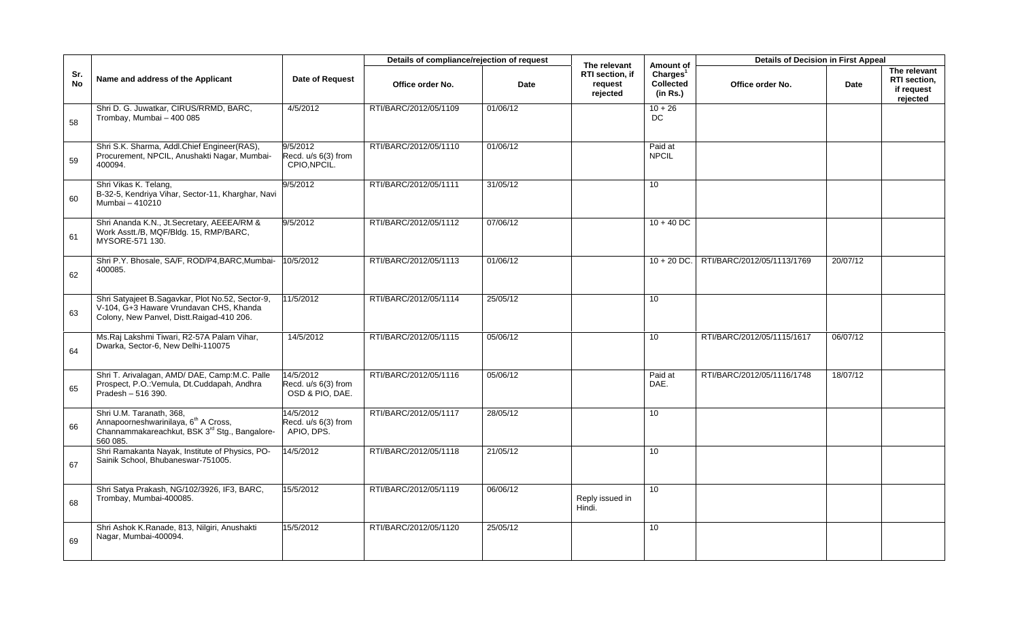|                  |                                                                                                                                           |                                                     | Details of compliance/rejection of request |          | The relevant                           | Amount of                                            | <b>Details of Decision in First Appeal</b> |          |                                                        |
|------------------|-------------------------------------------------------------------------------------------------------------------------------------------|-----------------------------------------------------|--------------------------------------------|----------|----------------------------------------|------------------------------------------------------|--------------------------------------------|----------|--------------------------------------------------------|
| Sr.<br><b>No</b> | Name and address of the Applicant                                                                                                         | Date of Request                                     | Office order No.                           | Date     | RTI section, if<br>request<br>rejected | Charles <sup>1</sup><br><b>Collected</b><br>(in Rs.) | Office order No.                           | Date     | The relevant<br>RTI section,<br>if request<br>rejected |
| 58               | Shri D. G. Juwatkar, CIRUS/RRMD, BARC,<br>Trombay, Mumbai - 400 085                                                                       | 4/5/2012                                            | RTI/BARC/2012/05/1109                      | 01/06/12 |                                        | $10 + 26$<br>DC                                      |                                            |          |                                                        |
| 59               | Shri S.K. Sharma, Addl.Chief Engineer(RAS),<br>Procurement, NPCIL, Anushakti Nagar, Mumbai-<br>400094.                                    | 9/5/2012<br>Recd. u/s 6(3) from<br>CPIO, NPCIL.     | RTI/BARC/2012/05/1110                      | 01/06/12 |                                        | Paid at<br><b>NPCIL</b>                              |                                            |          |                                                        |
| 60               | Shri Vikas K. Telang,<br>B-32-5, Kendriya Vihar, Sector-11, Kharghar, Navi<br>Mumbai - 410210                                             | 9/5/2012                                            | RTI/BARC/2012/05/1111                      | 31/05/12 |                                        | 10 <sup>1</sup>                                      |                                            |          |                                                        |
| 61               | Shri Ananda K.N., Jt.Secretary, AEEEA/RM &<br>Work Asstt./B, MQF/Bldg. 15, RMP/BARC,<br>MYSORE-571 130.                                   | 9/5/2012                                            | RTI/BARC/2012/05/1112                      | 07/06/12 |                                        | $10 + 40$ DC                                         |                                            |          |                                                        |
| 62               | Shri P.Y. Bhosale, SA/F, ROD/P4, BARC, Mumbai-<br>400085.                                                                                 | 10/5/2012                                           | RTI/BARC/2012/05/1113                      | 01/06/12 |                                        | $10 + 20$ DC.                                        | RTI/BARC/2012/05/1113/1769                 | 20/07/12 |                                                        |
| 63               | Shri Satyajeet B.Sagavkar, Plot No.52, Sector-9,<br>V-104. G+3 Haware Vrundavan CHS. Khanda<br>Colony, New Panvel, Distt.Raigad-410 206.  | 11/5/2012                                           | RTI/BARC/2012/05/1114                      | 25/05/12 |                                        | 10 <sup>1</sup>                                      |                                            |          |                                                        |
| 64               | Ms.Raj Lakshmi Tiwari, R2-57A Palam Vihar,<br>Dwarka, Sector-6, New Delhi-110075                                                          | 14/5/2012                                           | RTI/BARC/2012/05/1115                      | 05/06/12 |                                        | 10 <sup>°</sup>                                      | RTI/BARC/2012/05/1115/1617                 | 06/07/12 |                                                        |
| 65               | Shri T. Arivalagan, AMD/ DAE, Camp:M.C. Palle<br>Prospect, P.O.: Vemula, Dt.Cuddapah, Andhra<br>Pradesh - 516 390.                        | 14/5/2012<br>Recd. u/s 6(3) from<br>OSD & PIO, DAE. | RTI/BARC/2012/05/1116                      | 05/06/12 |                                        | Paid at<br>DAE.                                      | RTI/BARC/2012/05/1116/1748                 | 18/07/12 |                                                        |
| 66               | Shri U.M. Taranath, 368,<br>Annapoorneshwarinilaya, 6 <sup>th</sup> A Cross,<br>Channammakareachkut, BSK 3rd Stg., Bangalore-<br>560 085. | 14/5/2012<br>Recd. u/s 6(3) from<br>APIO, DPS.      | RTI/BARC/2012/05/1117                      | 28/05/12 |                                        | 10                                                   |                                            |          |                                                        |
| 67               | Shri Ramakanta Nayak, Institute of Physics, PO-<br>Sainik School, Bhubaneswar-751005.                                                     | 14/5/2012                                           | RTI/BARC/2012/05/1118                      | 21/05/12 |                                        | 10 <sup>°</sup>                                      |                                            |          |                                                        |
| 68               | Shri Satya Prakash, NG/102/3926, IF3, BARC,<br>Trombay, Mumbai-400085.                                                                    | 15/5/2012                                           | RTI/BARC/2012/05/1119                      | 06/06/12 | Reply issued in<br>Hindi.              | 10 <sup>1</sup>                                      |                                            |          |                                                        |
| 69               | Shri Ashok K.Ranade, 813, Nilgiri, Anushakti<br>Nagar, Mumbai-400094.                                                                     | 15/5/2012                                           | RTI/BARC/2012/05/1120                      | 25/05/12 |                                        | 10                                                   |                                            |          |                                                        |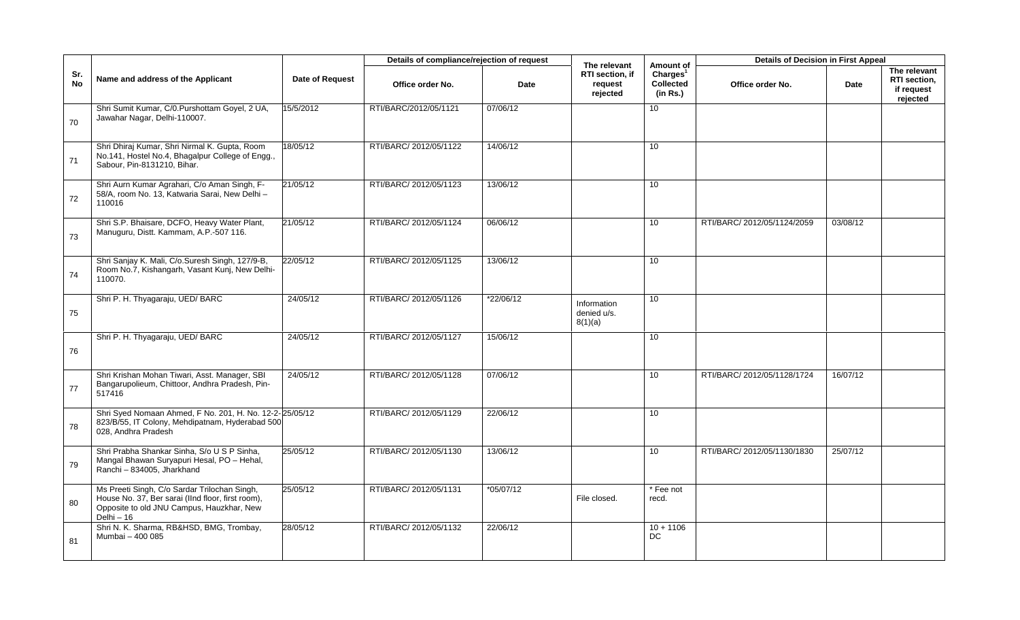|                  |                                                                                                                                                              |                 | Details of compliance/rejection of request |             | The relevant                           | Amount of                                            | <b>Details of Decision in First Appeal</b> |             |                                                        |
|------------------|--------------------------------------------------------------------------------------------------------------------------------------------------------------|-----------------|--------------------------------------------|-------------|----------------------------------------|------------------------------------------------------|--------------------------------------------|-------------|--------------------------------------------------------|
| Sr.<br><b>No</b> | Name and address of the Applicant                                                                                                                            | Date of Request | Office order No.                           | Date        | RTI section, if<br>request<br>rejected | Charles <sup>1</sup><br><b>Collected</b><br>(in Rs.) | Office order No.                           | <b>Date</b> | The relevant<br>RTI section,<br>if request<br>rejected |
| 70               | Shri Sumit Kumar, C/0.Purshottam Goyel, 2 UA,<br>Jawahar Nagar, Delhi-110007.                                                                                | 15/5/2012       | RTI/BARC/2012/05/1121                      | 07/06/12    |                                        | 10 <sup>°</sup>                                      |                                            |             |                                                        |
| 71               | Shri Dhiraj Kumar, Shri Nirmal K. Gupta, Room<br>No.141, Hostel No.4, Bhagalpur College of Engg.,<br>Sabour, Pin-8131210, Bihar.                             | 18/05/12        | RTI/BARC/ 2012/05/1122                     | 14/06/12    |                                        | 10                                                   |                                            |             |                                                        |
| 72               | Shri Aurn Kumar Agrahari, C/o Aman Singh, F-<br>58/A, room No. 13, Katwaria Sarai, New Delhi -<br>110016                                                     | 21/05/12        | RTI/BARC/ 2012/05/1123                     | 13/06/12    |                                        | 10 <sup>°</sup>                                      |                                            |             |                                                        |
| 73               | Shri S.P. Bhaisare, DCFO, Heavy Water Plant,<br>Manuguru, Distt. Kammam, A.P.-507 116.                                                                       | 21/05/12        | RTI/BARC/ 2012/05/1124                     | 06/06/12    |                                        | 10 <sup>°</sup>                                      | RTI/BARC/ 2012/05/1124/2059                | 03/08/12    |                                                        |
| 74               | Shri Sanjay K. Mali, C/o.Suresh Singh, 127/9-B,<br>Room No.7, Kishangarh, Vasant Kunj, New Delhi-<br>110070.                                                 | 22/05/12        | RTI/BARC/ 2012/05/1125                     | 13/06/12    |                                        | 10 <sup>°</sup>                                      |                                            |             |                                                        |
| 75               | Shri P. H. Thyagaraju, UED/BARC                                                                                                                              | 24/05/12        | RTI/BARC/ 2012/05/1126                     | *22/06/12   | Information<br>denied u/s.<br>8(1)(a)  | 10 <sup>1</sup>                                      |                                            |             |                                                        |
| 76               | Shri P. H. Thyagaraju, UED/BARC                                                                                                                              | 24/05/12        | RTI/BARC/ 2012/05/1127                     | 15/06/12    |                                        | 10 <sup>°</sup>                                      |                                            |             |                                                        |
| 77               | Shri Krishan Mohan Tiwari, Asst. Manager, SBI<br>Bangarupolieum, Chittoor, Andhra Pradesh, Pin-<br>517416                                                    | 24/05/12        | RTI/BARC/ 2012/05/1128                     | 07/06/12    |                                        | 10 <sup>1</sup>                                      | RTI/BARC/ 2012/05/1128/1724                | 16/07/12    |                                                        |
| 78               | Shri Syed Nomaan Ahmed, F No. 201, H. No. 12-2-25/05/12<br>823/B/55, IT Colony, Mehdipatnam, Hyderabad 500<br>028, Andhra Pradesh                            |                 | RTI/BARC/ 2012/05/1129                     | 22/06/12    |                                        | 10                                                   |                                            |             |                                                        |
| 79               | Shri Prabha Shankar Sinha, S/o U S P Sinha,<br>Mangal Bhawan Suryapuri Hesal, PO - Hehal,<br>Ranchi - 834005, Jharkhand                                      | 25/05/12        | RTI/BARC/ 2012/05/1130                     | 13/06/12    |                                        | 10 <sup>°</sup>                                      | RTI/BARC/2012/05/1130/1830                 | 25/07/12    |                                                        |
| 80               | Ms Preeti Singh, C/o Sardar Trilochan Singh,<br>House No. 37, Ber sarai (IInd floor, first room),<br>Opposite to old JNU Campus, Hauzkhar, New<br>$Delhi-16$ | 25/05/12        | RTI/BARC/ 2012/05/1131                     | $*05/07/12$ | File closed.                           | * Fee not<br>recd.                                   |                                            |             |                                                        |
| 81               | Shri N. K. Sharma, RB&HSD, BMG, Trombay,<br>Mumbai - 400 085                                                                                                 | 28/05/12        | RTI/BARC/ 2012/05/1132                     | 22/06/12    |                                        | $10 + 1106$<br>DC                                    |                                            |             |                                                        |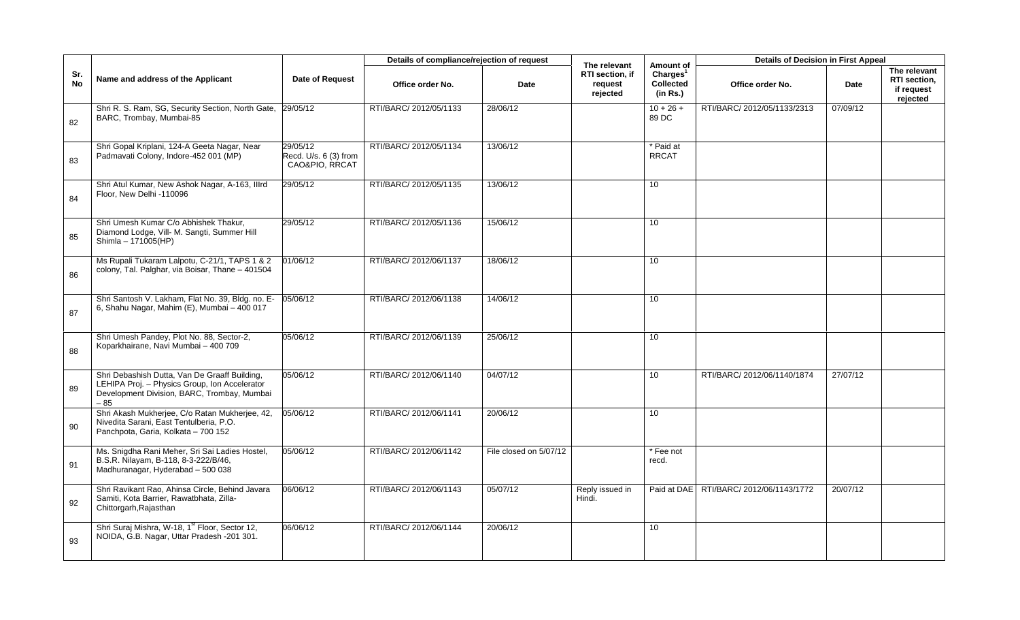|                  |                                                                                                                                                       |                                                     | Details of compliance/rejection of request |                        | The relevant                           | Amount of                                            | <b>Details of Decision in First Appeal</b> |             |                                                        |
|------------------|-------------------------------------------------------------------------------------------------------------------------------------------------------|-----------------------------------------------------|--------------------------------------------|------------------------|----------------------------------------|------------------------------------------------------|--------------------------------------------|-------------|--------------------------------------------------------|
| Sr.<br><b>No</b> | Name and address of the Applicant                                                                                                                     | <b>Date of Request</b>                              | Office order No.                           | Date                   | RTI section, if<br>request<br>rejected | Charges <sup>1</sup><br><b>Collected</b><br>(in Rs.) | Office order No.                           | <b>Date</b> | The relevant<br>RTI section,<br>if request<br>rejected |
| 82               | Shri R. S. Ram, SG, Security Section, North Gate,<br>BARC, Trombay, Mumbai-85                                                                         | 29/05/12                                            | RTI/BARC/ 2012/05/1133                     | 28/06/12               |                                        | $10 + 26 +$<br>89 DC                                 | RTI/BARC/ 2012/05/1133/2313                | 07/09/12    |                                                        |
| 83               | Shri Gopal Kriplani, 124-A Geeta Nagar, Near<br>Padmavati Colony, Indore-452 001 (MP)                                                                 | 29/05/12<br>Recd. U/s. 6 (3) from<br>CAO&PIO, RRCAT | RTI/BARC/ 2012/05/1134                     | 13/06/12               |                                        | * Paid at<br><b>RRCAT</b>                            |                                            |             |                                                        |
| 84               | Shri Atul Kumar, New Ashok Nagar, A-163, Illrd<br>Floor. New Delhi -110096                                                                            | 29/05/12                                            | RTI/BARC/ 2012/05/1135                     | 13/06/12               |                                        | 10 <sup>°</sup>                                      |                                            |             |                                                        |
| 85               | Shri Umesh Kumar C/o Abhishek Thakur,<br>Diamond Lodge, Vill- M. Sangti, Summer Hill<br>Shimla - 171005(HP)                                           | 29/05/12                                            | RTI/BARC/ 2012/05/1136                     | 15/06/12               |                                        | 10                                                   |                                            |             |                                                        |
| 86               | Ms Rupali Tukaram Lalpotu, C-21/1, TAPS 1 & 2<br>colony, Tal. Palghar, via Boisar, Thane - 401504                                                     | 01/06/12                                            | RTI/BARC/ 2012/06/1137                     | 18/06/12               |                                        | 10                                                   |                                            |             |                                                        |
| 87               | Shri Santosh V. Lakham, Flat No. 39, Bldg. no. E-<br>6, Shahu Nagar, Mahim (E), Mumbai - 400 017                                                      | 05/06/12                                            | RTI/BARC/ 2012/06/1138                     | 14/06/12               |                                        | 10                                                   |                                            |             |                                                        |
| 88               | Shri Umesh Pandey, Plot No. 88, Sector-2,<br>Koparkhairane, Navi Mumbai - 400 709                                                                     | 05/06/12                                            | RTI/BARC/ 2012/06/1139                     | 25/06/12               |                                        | 10                                                   |                                            |             |                                                        |
| 89               | Shri Debashish Dutta, Van De Graaff Building,<br>LEHIPA Proj. - Physics Group, Ion Accelerator<br>Development Division, BARC, Trombay, Mumbai<br>- 85 | 05/06/12                                            | RTI/BARC/ 2012/06/1140                     | 04/07/12               |                                        | 10                                                   | RTI/BARC/ 2012/06/1140/1874                | 27/07/12    |                                                        |
| 90               | Shri Akash Mukherjee, C/o Ratan Mukherjee, 42,<br>Nivedita Sarani, East Tentulberia, P.O.<br>Panchpota, Garia, Kolkata - 700 152                      | 05/06/12                                            | RTI/BARC/ 2012/06/1141                     | 20/06/12               |                                        | 10                                                   |                                            |             |                                                        |
| 91               | Ms. Snigdha Rani Meher, Sri Sai Ladies Hostel,<br>B.S.R. Nilayam, B-118, 8-3-222/B/46,<br>Madhuranagar, Hyderabad - 500 038                           | 05/06/12                                            | RTI/BARC/ 2012/06/1142                     | File closed on 5/07/12 |                                        | * Fee not<br>recd.                                   |                                            |             |                                                        |
| 92               | Shri Ravikant Rao, Ahinsa Circle, Behind Javara<br>Samiti, Kota Barrier, Rawatbhata, Zilla-<br>Chittorgarh, Rajasthan                                 | 06/06/12                                            | RTI/BARC/ 2012/06/1143                     | 05/07/12               | Reply issued in<br>Hindi.              |                                                      | Paid at DAE   RTI/BARC/ 2012/06/1143/1772  | 20/07/12    |                                                        |
| 93               | Shri Suraj Mishra, W-18, 1 <sup>st</sup> Floor, Sector 12,<br>NOIDA, G.B. Nagar, Uttar Pradesh -201 301.                                              | 06/06/12                                            | RTI/BARC/ 2012/06/1144                     | 20/06/12               |                                        | 10                                                   |                                            |             |                                                        |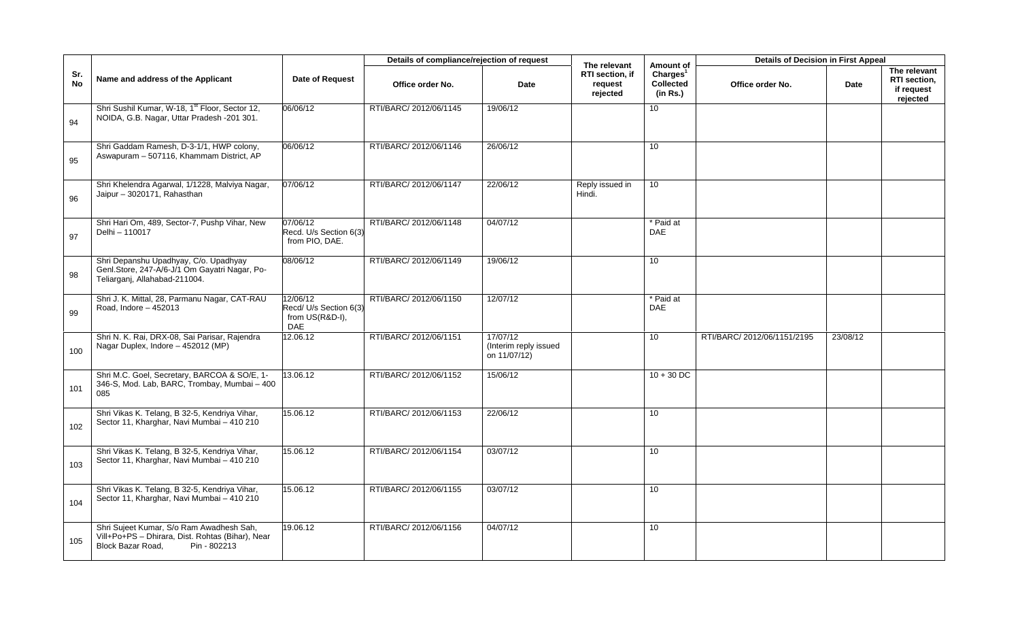|                  |                                                                                                                                   |                                                                     | Details of compliance/rejection of request |                                                   |                                                        | Amount of                                     | <b>Details of Decision in First Appeal</b> |          |                                                        |
|------------------|-----------------------------------------------------------------------------------------------------------------------------------|---------------------------------------------------------------------|--------------------------------------------|---------------------------------------------------|--------------------------------------------------------|-----------------------------------------------|--------------------------------------------|----------|--------------------------------------------------------|
| Sr.<br><b>No</b> | Name and address of the Applicant                                                                                                 | Date of Request                                                     | Office order No.                           | Date                                              | The relevant<br>RTI section, if<br>request<br>rejected | Charles <sup>1</sup><br>Collected<br>(in Rs.) | Office order No.                           | Date     | The relevant<br>RTI section,<br>if request<br>rejected |
| 94               | Shri Sushil Kumar, W-18, 1 <sup>st</sup> Floor, Sector 12,<br>NOIDA, G.B. Nagar, Uttar Pradesh -201 301.                          | 06/06/12                                                            | RTI/BARC/ 2012/06/1145                     | 19/06/12                                          |                                                        | 10                                            |                                            |          |                                                        |
| 95               | Shri Gaddam Ramesh, D-3-1/1, HWP colony,<br>Aswapuram - 507116, Khammam District, AP                                              | 06/06/12                                                            | RTI/BARC/ 2012/06/1146                     | 26/06/12                                          |                                                        | 10                                            |                                            |          |                                                        |
| 96               | Shri Khelendra Agarwal, 1/1228, Malviya Nagar,<br>Jaipur - 3020171, Rahasthan                                                     | 07/06/12                                                            | RTI/BARC/ 2012/06/1147                     | 22/06/12                                          | Reply issued in<br>Hindi.                              | 10                                            |                                            |          |                                                        |
| 97               | Shri Hari Om, 489, Sector-7, Pushp Vihar, New<br>Delhi - 110017                                                                   | 07/06/12<br>Recd. U/s Section 6(3)<br>from PIO, DAE.                | RTI/BARC/ 2012/06/1148                     | 04/07/12                                          |                                                        | * Paid at<br><b>DAE</b>                       |                                            |          |                                                        |
| 98               | Shri Depanshu Upadhyay, C/o. Upadhyay<br>Genl.Store, 247-A/6-J/1 Om Gayatri Nagar, Po-<br>Teliarganj, Allahabad-211004.           | 08/06/12                                                            | RTI/BARC/ 2012/06/1149                     | 19/06/12                                          |                                                        | 10                                            |                                            |          |                                                        |
| 99               | Shri J. K. Mittal, 28, Parmanu Nagar, CAT-RAU<br>Road, Indore - 452013                                                            | 12/06/12<br>Recd/ U/s Section 6(3)<br>from US(R&D-I),<br><b>DAE</b> | RTI/BARC/ 2012/06/1150                     | 12/07/12                                          |                                                        | * Paid at<br><b>DAE</b>                       |                                            |          |                                                        |
| 100              | Shri N. K. Rai, DRX-08, Sai Parisar, Rajendra<br>Nagar Duplex, Indore - 452012 (MP)                                               | 2.06.12                                                             | RTI/BARC/ 2012/06/1151                     | 17/07/12<br>(Interim reply issued<br>on 11/07/12) |                                                        | 10 <sup>1</sup>                               | RTI/BARC/ 2012/06/1151/2195                | 23/08/12 |                                                        |
| 101              | Shri M.C. Goel, Secretary, BARCOA & SO/E, 1-<br>346-S, Mod. Lab, BARC, Trombay, Mumbai - 400<br>085                               | 13.06.12                                                            | RTI/BARC/ 2012/06/1152                     | 15/06/12                                          |                                                        | $10 + 30$ DC                                  |                                            |          |                                                        |
| 102              | Shri Vikas K. Telang, B 32-5, Kendriya Vihar,<br>Sector 11, Kharghar, Navi Mumbai - 410 210                                       | 15.06.12                                                            | RTI/BARC/ 2012/06/1153                     | 22/06/12                                          |                                                        | 10 <sup>°</sup>                               |                                            |          |                                                        |
| 103              | Shri Vikas K. Telang, B 32-5, Kendriya Vihar,<br>Sector 11, Kharghar, Navi Mumbai - 410 210                                       | 15.06.12                                                            | RTI/BARC/ 2012/06/1154                     | 03/07/12                                          |                                                        | 10                                            |                                            |          |                                                        |
| 104              | Shri Vikas K. Telang, B 32-5, Kendriya Vihar,<br>Sector 11, Kharghar, Navi Mumbai - 410 210                                       | 15.06.12                                                            | RTI/BARC/ 2012/06/1155                     | 03/07/12                                          |                                                        | 10                                            |                                            |          |                                                        |
| 105              | Shri Sujeet Kumar, S/o Ram Awadhesh Sah,<br>Vill+Po+PS - Dhirara, Dist. Rohtas (Bihar), Near<br>Block Bazar Road,<br>Pin - 802213 | 19.06.12                                                            | RTI/BARC/ 2012/06/1156                     | 04/07/12                                          |                                                        | 10                                            |                                            |          |                                                        |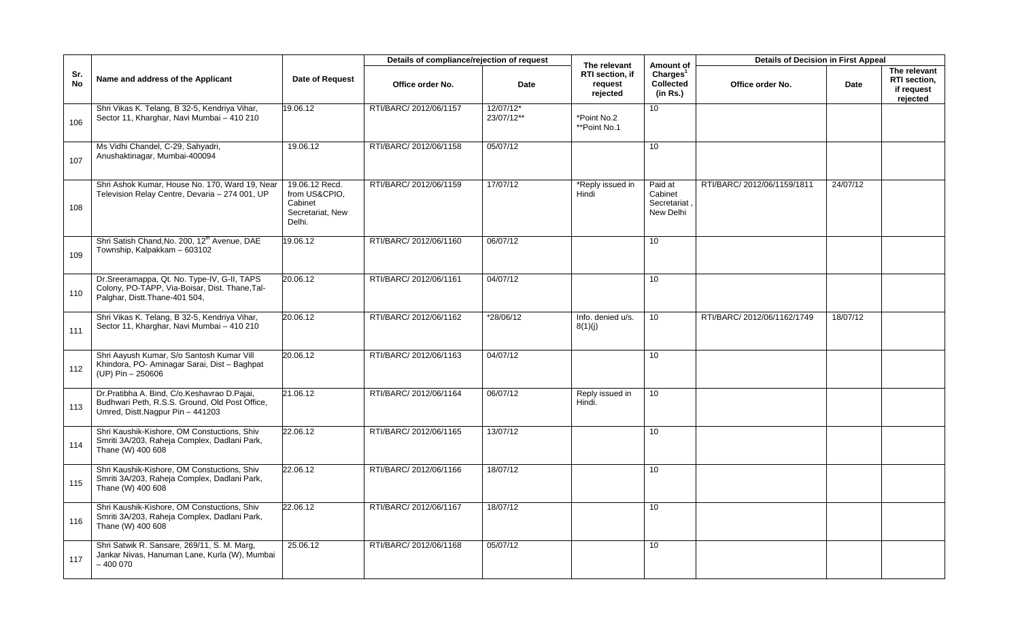|                  |                                                                                                                                   |                                                                          | Details of compliance/rejection of request |                         | The relevant                           | Amount of                                      | <b>Details of Decision in First Appeal</b> |          |                                                        |
|------------------|-----------------------------------------------------------------------------------------------------------------------------------|--------------------------------------------------------------------------|--------------------------------------------|-------------------------|----------------------------------------|------------------------------------------------|--------------------------------------------|----------|--------------------------------------------------------|
| Sr.<br><b>No</b> | Name and address of the Applicant                                                                                                 | <b>Date of Request</b>                                                   | Office order No.                           | Date                    | RTI section, if<br>request<br>rejected | Charles <sup>1</sup><br>Collected<br>(in Rs.)  | Office order No.                           | Date     | The relevant<br>RTI section,<br>if request<br>rejected |
| 106              | Shri Vikas K. Telang, B 32-5, Kendriya Vihar,<br>Sector 11, Kharghar, Navi Mumbai - 410 210                                       | 19.06.12                                                                 | RTI/BARC/ 2012/06/1157                     | 12/07/12*<br>23/07/12** | *Point No.2<br>**Point No.1            | 10 <sup>°</sup>                                |                                            |          |                                                        |
| 107              | Ms Vidhi Chandel, C-29, Sahyadri,<br>Anushaktinagar, Mumbai-400094                                                                | 19.06.12                                                                 | RTI/BARC/ 2012/06/1158                     | 05/07/12                |                                        | 10 <sup>°</sup>                                |                                            |          |                                                        |
| 108              | Shri Ashok Kumar, House No. 170, Ward 19, Near<br>Television Relay Centre, Devaria - 274 001, UP                                  | 19.06.12 Recd.<br>from US&CPIO,<br>Cabinet<br>Secretariat, New<br>Delhi. | RTI/BARC/ 2012/06/1159                     | 17/07/12                | *Reply issued in<br>Hindi              | Paid at<br>Cabinet<br>Secretariat<br>New Delhi | RTI/BARC/ 2012/06/1159/1811                | 24/07/12 |                                                        |
| 109              | Shri Satish Chand, No. 200, 12 <sup>th</sup> Avenue, DAE<br>Township, Kalpakkam - 603102                                          | 19.06.12                                                                 | RTI/BARC/ 2012/06/1160                     | 06/07/12                |                                        | 10                                             |                                            |          |                                                        |
| 110              | Dr.Sreeramappa, Qt. No. Type-IV, G-II, TAPS<br>Colony, PO-TAPP, Via-Boisar, Dist. Thane, Tal-<br>Palghar, Distt.Thane-401 504,    | 20.06.12                                                                 | RTI/BARC/ 2012/06/1161                     | 04/07/12                |                                        | 10                                             |                                            |          |                                                        |
| 111              | Shri Vikas K. Telang, B 32-5, Kendriya Vihar,<br>Sector 11, Kharghar, Navi Mumbai - 410 210                                       | 20.06.12                                                                 | RTI/BARC/ 2012/06/1162                     | *28/06/12               | Info. denied u/s.<br>8(1)(j)           | 10 <sup>°</sup>                                | RTI/BARC/2012/06/1162/1749                 | 18/07/12 |                                                        |
| 112              | Shri Aayush Kumar, S/o Santosh Kumar Vill<br>Khindora, PO- Aminagar Sarai, Dist - Baghpat<br>(UP) Pin - 250606                    | 20.06.12                                                                 | RTI/BARC/ 2012/06/1163                     | 04/07/12                |                                        | 10                                             |                                            |          |                                                        |
| 113              | Dr.Pratibha A. Bind, C/o.Keshavrao D.Pajai,<br>Budhwari Peth, R.S.S. Ground, Old Post Office,<br>Umred, Distt.Nagpur Pin - 441203 | 21.06.12                                                                 | RTI/BARC/ 2012/06/1164                     | 06/07/12                | Reply issued in<br>Hindi.              | 10 <sup>°</sup>                                |                                            |          |                                                        |
| 114              | Shri Kaushik-Kishore, OM Constuctions, Shiv<br>Smriti 3A/203, Raheja Complex, Dadlani Park,<br>Thane (W) 400 608                  | 22.06.12                                                                 | RTI/BARC/ 2012/06/1165                     | 13/07/12                |                                        | 10 <sup>°</sup>                                |                                            |          |                                                        |
| 115              | Shri Kaushik-Kishore, OM Constuctions, Shiv<br>Smriti 3A/203, Raheja Complex, Dadlani Park,<br>Thane (W) 400 608                  | 22.06.12                                                                 | RTI/BARC/ 2012/06/1166                     | 18/07/12                |                                        | 10 <sup>°</sup>                                |                                            |          |                                                        |
| 116              | Shri Kaushik-Kishore, OM Constuctions, Shiv<br>Smriti 3A/203, Raheja Complex, Dadlani Park,<br>Thane (W) 400 608                  | 22.06.12                                                                 | RTI/BARC/ 2012/06/1167                     | 18/07/12                |                                        | 10 <sup>°</sup>                                |                                            |          |                                                        |
| 117              | Shri Satwik R. Sansare, 269/11, S. M. Marg,<br>Jankar Nivas, Hanuman Lane, Kurla (W), Mumbai<br>$-4000070$                        | 25.06.12                                                                 | RTI/BARC/ 2012/06/1168                     | 05/07/12                |                                        | 10                                             |                                            |          |                                                        |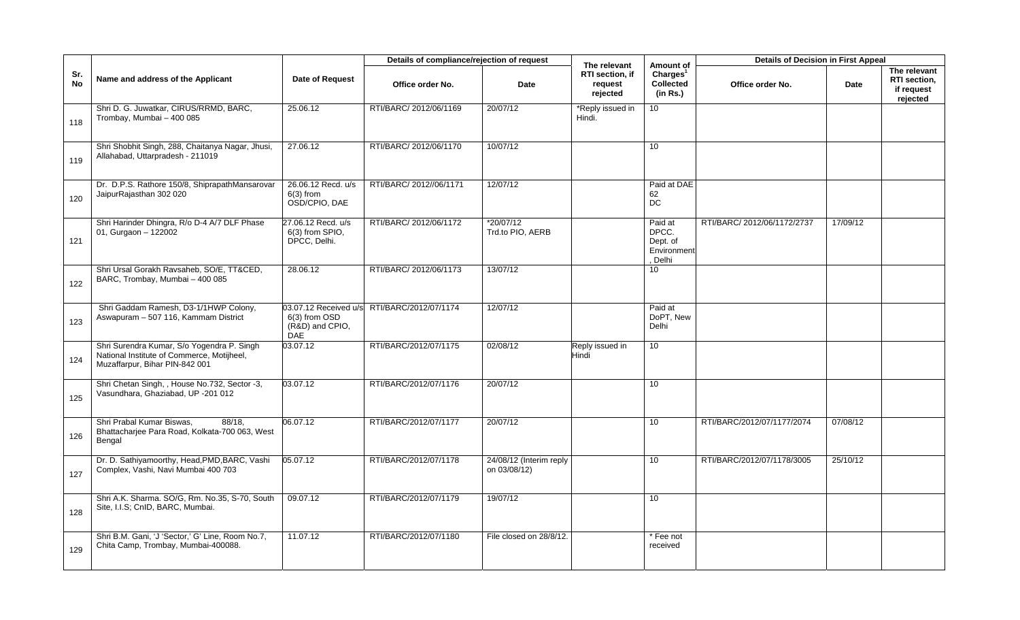|           |                                                                                                                            |                                                       | Details of compliance/rejection of request  |                                         | The relevant                           | Amount of                                              | <b>Details of Decision in First Appeal</b> |          |                                                        |
|-----------|----------------------------------------------------------------------------------------------------------------------------|-------------------------------------------------------|---------------------------------------------|-----------------------------------------|----------------------------------------|--------------------------------------------------------|--------------------------------------------|----------|--------------------------------------------------------|
| Sr.<br>No | Name and address of the Applicant                                                                                          | Date of Request                                       | Office order No.                            | Date                                    | RTI section, if<br>request<br>rejected | Charles <sup>1</sup><br>Collected<br>(in Rs.)          | Office order No.                           | Date     | The relevant<br>RTI section,<br>if request<br>rejected |
| 118       | Shri D. G. Juwatkar, CIRUS/RRMD, BARC,<br>Trombay, Mumbai - 400 085                                                        | 25.06.12                                              | RTI/BARC/ 2012/06/1169                      | 20/07/12                                | *Reply issued in<br>Hindi.             | 10 <sup>1</sup>                                        |                                            |          |                                                        |
| 119       | Shri Shobhit Singh, 288, Chaitanya Nagar, Jhusi,<br>Allahabad, Uttarpradesh - 211019                                       | 27.06.12                                              | RTI/BARC/ 2012/06/1170                      | 10/07/12                                |                                        | 10                                                     |                                            |          |                                                        |
| 120       | Dr. D.P.S. Rathore 150/8, ShiprapathMansarovar<br>JaipurRajasthan 302 020                                                  | 26.06.12 Recd. u/s<br>$6(3)$ from<br>OSD/CPIO, DAE    | RTI/BARC/ 2012//06/1171                     | 12/07/12                                |                                        | Paid at DAE<br>62<br><b>DC</b>                         |                                            |          |                                                        |
| 121       | Shri Harinder Dhingra, R/o D-4 A/7 DLF Phase<br>01, Gurgaon - 122002                                                       | 27.06.12 Recd. u/s<br>6(3) from SPIO.<br>DPCC, Delhi. | RTI/BARC/ 2012/06/1172                      | *20/07/12<br>Trd.to PIO, AERB           |                                        | Paid at<br>DPCC.<br>Dept. of<br>Environment<br>. Delhi | RTI/BARC/ 2012/06/1172/2737                | 17/09/12 |                                                        |
| 122       | Shri Ursal Gorakh Ravsaheb, SO/E, TT&CED,<br>BARC, Trombay, Mumbai - 400 085                                               | 28.06.12                                              | RTI/BARC/ 2012/06/1173                      | 13/07/12                                |                                        | 10 <sup>1</sup>                                        |                                            |          |                                                        |
| 123       | Shri Gaddam Ramesh, D3-1/1HWP Colony,<br>Aswapuram - 507 116, Kammam District                                              | 6(3) from OSD<br>(R&D) and CPIO.<br><b>DAE</b>        | 03.07.12 Received u/s RTI/BARC/2012/07/1174 | 12/07/12                                |                                        | Paid at<br>DoPT, New<br>Delhi                          |                                            |          |                                                        |
| 124       | Shri Surendra Kumar, S/o Yogendra P. Singh<br>National Institute of Commerce, Motijheel,<br>Muzaffarpur, Bihar PIN-842 001 | 03.07.12                                              | RTI/BARC/2012/07/1175                       | 02/08/12                                | Reply issued in<br>Hindi               | 10                                                     |                                            |          |                                                        |
| 125       | Shri Chetan Singh, , House No.732, Sector -3,<br>Vasundhara, Ghaziabad, UP -201 012                                        | 03.07.12                                              | RTI/BARC/2012/07/1176                       | 20/07/12                                |                                        | 10                                                     |                                            |          |                                                        |
| 126       | Shri Prabal Kumar Biswas,<br>88/18.<br>Bhattacharjee Para Road, Kolkata-700 063, West<br>Bengal                            | 06.07.12                                              | RTI/BARC/2012/07/1177                       | 20/07/12                                |                                        | 10                                                     | RTI/BARC/2012/07/1177/2074                 | 07/08/12 |                                                        |
| 127       | Dr. D. Sathiyamoorthy, Head, PMD, BARC, Vashi<br>Complex, Vashi, Navi Mumbai 400 703                                       | 05.07.12                                              | RTI/BARC/2012/07/1178                       | 24/08/12 (Interim reply<br>on 03/08/12) |                                        | 10                                                     | RTI/BARC/2012/07/1178/3005                 | 25/10/12 |                                                        |
| 128       | Shri A.K. Sharma. SO/G, Rm. No.35, S-70, South<br>Site, I.I.S; CnID, BARC, Mumbai.                                         | 09.07.12                                              | RTI/BARC/2012/07/1179                       | 19/07/12                                |                                        | 10 <sup>1</sup>                                        |                                            |          |                                                        |
| 129       | Shri B.M. Gani, 'J 'Sector,' G' Line, Room No.7,<br>Chita Camp, Trombay, Mumbai-400088.                                    | 11.07.12                                              | RTI/BARC/2012/07/1180                       | File closed on 28/8/12.                 |                                        | * Fee not<br>received                                  |                                            |          |                                                        |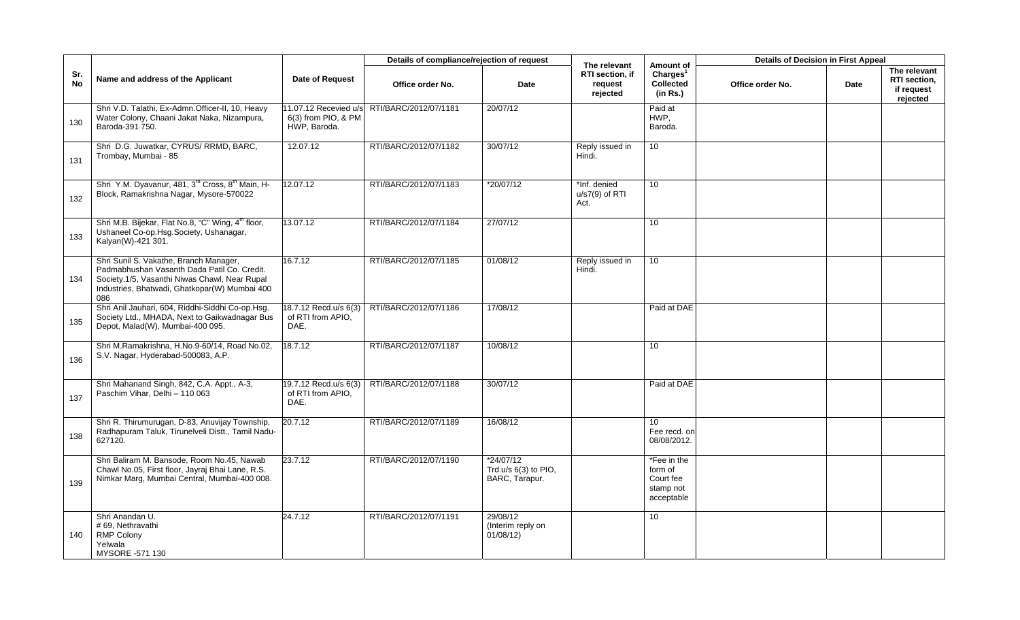|                  |                                                                                                                                                                                                 |                                                              | Details of compliance/rejection of request |                                                       | The relevant                             | Amount of                                                      | <b>Details of Decision in First Appeal</b> |      |                                                        |
|------------------|-------------------------------------------------------------------------------------------------------------------------------------------------------------------------------------------------|--------------------------------------------------------------|--------------------------------------------|-------------------------------------------------------|------------------------------------------|----------------------------------------------------------------|--------------------------------------------|------|--------------------------------------------------------|
| Sr.<br><b>No</b> | Name and address of the Applicant                                                                                                                                                               | <b>Date of Request</b>                                       | Office order No.                           | Date                                                  | RTI section, if<br>request<br>rejected   | Charles <sup>1</sup><br><b>Collected</b><br>(in Rs.)           | Office order No.                           | Date | The relevant<br>RTI section,<br>if request<br>rejected |
| 130              | Shri V.D. Talathi, Ex-Admn.Officer-II, 10, Heavy<br>Water Colony, Chaani Jakat Naka, Nizampura,<br>Baroda-391 750.                                                                              | 11.07.12 Recevied u/s<br>6(3) from PIO, & PM<br>HWP, Baroda. | RTI/BARC/2012/07/1181                      | 20/07/12                                              |                                          | Paid at<br>HWP,<br>Baroda.                                     |                                            |      |                                                        |
| 131              | Shri D.G. Juwatkar, CYRUS/ RRMD, BARC,<br>Trombay, Mumbai - 85                                                                                                                                  | 12.07.12                                                     | RTI/BARC/2012/07/1182                      | 30/07/12                                              | Reply issued in<br>Hindi.                | 10 <sup>1</sup>                                                |                                            |      |                                                        |
| 132              | Shri Y.M. Dyavanur, 481, 3 <sup>rd</sup> Cross, 8 <sup>th</sup> Main, H-<br>Block, Ramakrishna Nagar, Mysore-570022                                                                             | 12.07.12                                                     | RTI/BARC/2012/07/1183                      | *20/07/12                                             | *Inf. denied<br>$u/s7(9)$ of RTI<br>Act. | 10                                                             |                                            |      |                                                        |
| 133              | Shri M.B. Bijekar, Flat No.8, "C" Wing, 4 <sup>th</sup> floor,<br>Ushaneel Co-op.Hsg.Society, Ushanagar,<br>Kalyan(W)-421 301.                                                                  | 13.07.12                                                     | RTI/BARC/2012/07/1184                      | 27/07/12                                              |                                          | 10                                                             |                                            |      |                                                        |
| 134              | Shri Sunil S. Vakathe, Branch Manager,<br>Padmabhushan Vasanth Dada Patil Co. Credit.<br>Society, 1/5, Vasanthi Niwas Chawl, Near Rupal<br>Industries, Bhatwadi, Ghatkopar(W) Mumbai 400<br>086 | 16.7.12                                                      | RTI/BARC/2012/07/1185                      | 01/08/12                                              | Reply issued in<br>Hindi.                | 10 <sup>°</sup>                                                |                                            |      |                                                        |
| 135              | Shri Anil Jauhari, 604, Riddhi-Siddhi Co-op.Hsg.<br>Society Ltd., MHADA, Next to Gaikwadnagar Bus<br>Depot, Malad(W), Mumbai-400 095.                                                           | 18.7.12 Recd.u/s 6(3)<br>of RTI from APIO.<br>DAE.           | RTI/BARC/2012/07/1186                      | 17/08/12                                              |                                          | Paid at DAE                                                    |                                            |      |                                                        |
| 136              | Shri M.Ramakrishna, H.No.9-60/14, Road No.02,<br>S.V. Nagar, Hyderabad-500083, A.P.                                                                                                             | 18.7.12                                                      | RTI/BARC/2012/07/1187                      | 10/08/12                                              |                                          | 10 <sup>1</sup>                                                |                                            |      |                                                        |
| 137              | Shri Mahanand Singh, 842, C.A. Appt., A-3,<br>Paschim Vihar, Delhi - 110 063                                                                                                                    | 19.7.12 Recd.u/s 6(3)<br>of RTI from APIO.<br>DAE.           | RTI/BARC/2012/07/1188                      | 30/07/12                                              |                                          | Paid at DAE                                                    |                                            |      |                                                        |
| 138              | Shri R. Thirumurugan, D-83, Anuvijay Township,<br>Radhapuram Taluk, Tirunelveli Distt., Tamil Nadu-<br>627120.                                                                                  | 20.7.12                                                      | RTI/BARC/2012/07/1189                      | 16/08/12                                              |                                          | $\overline{10}$<br>Fee recd. on<br>08/08/2012.                 |                                            |      |                                                        |
| 139              | Shri Baliram M. Bansode, Room No.45, Nawab<br>Chawl No.05, First floor, Jayraj Bhai Lane, R.S.<br>Nimkar Marg, Mumbai Central, Mumbai-400 008.                                                  | 23.7.12                                                      | RTI/BARC/2012/07/1190                      | *24/07/12<br>Trd.u/s $6(3)$ to PIO,<br>BARC, Tarapur. |                                          | *Fee in the<br>form of<br>Court fee<br>stamp not<br>acceptable |                                            |      |                                                        |
| 140              | Shri Anandan U.<br># 69, Nethravathi<br><b>RMP Colony</b><br>Yelwala<br>MYSORE -571 130                                                                                                         | 24.7.12                                                      | RTI/BARC/2012/07/1191                      | 29/08/12<br>(Interim reply on<br>01/08/12)            |                                          | 10                                                             |                                            |      |                                                        |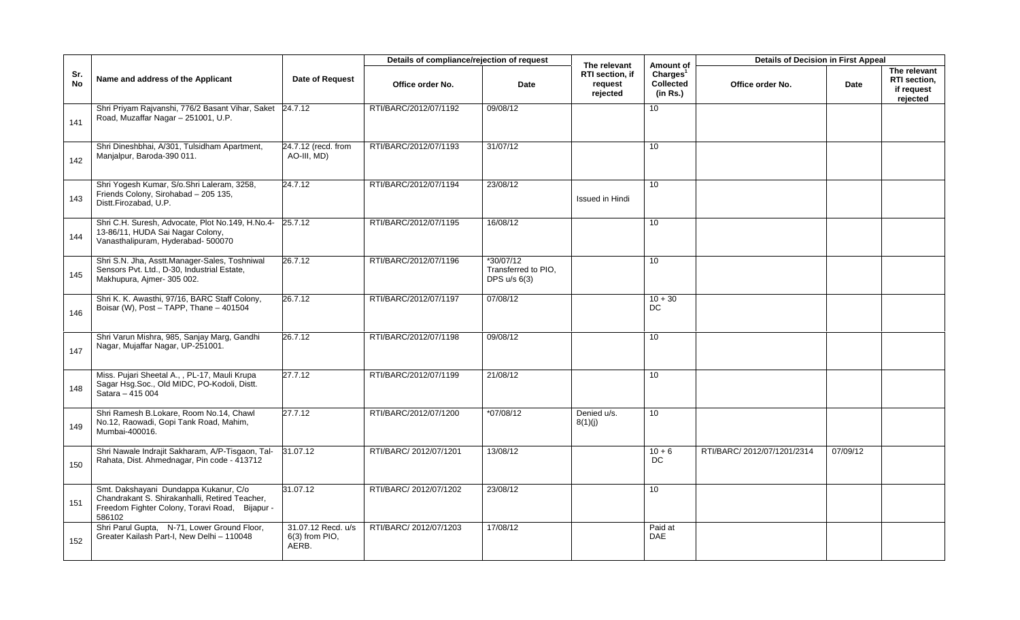|                  |                                                                                                                                                     |                                                 | Details of compliance/rejection of request |                                                  | The relevant                           | Amount of                                            | <b>Details of Decision in First Appeal</b> |          |                                                        |
|------------------|-----------------------------------------------------------------------------------------------------------------------------------------------------|-------------------------------------------------|--------------------------------------------|--------------------------------------------------|----------------------------------------|------------------------------------------------------|--------------------------------------------|----------|--------------------------------------------------------|
| Sr.<br><b>No</b> | Name and address of the Applicant                                                                                                                   | Date of Request                                 | Office order No.                           | Date                                             | RTI section, if<br>request<br>rejected | Charles <sup>1</sup><br><b>Collected</b><br>(in Rs.) | Office order No.                           | Date     | The relevant<br>RTI section,<br>if request<br>rejected |
| 141              | Shri Priyam Rajvanshi, 776/2 Basant Vihar, Saket 24.7.12<br>Road, Muzaffar Nagar - 251001, U.P.                                                     |                                                 | RTI/BARC/2012/07/1192                      | 09/08/12                                         |                                        | 10                                                   |                                            |          |                                                        |
| 142              | Shri Dineshbhai, A/301, Tulsidham Apartment,<br>Manjalpur, Baroda-390 011.                                                                          | 24.7.12 (recd. from<br>AO-III, MD)              | RTI/BARC/2012/07/1193                      | 31/07/12                                         |                                        | 10 <sup>°</sup>                                      |                                            |          |                                                        |
| 143              | Shri Yogesh Kumar, S/o.Shri Laleram, 3258,<br>Friends Colony, Sirohabad - 205 135,<br>Distt.Firozabad, U.P.                                         | 24.7.12                                         | RTI/BARC/2012/07/1194                      | 23/08/12                                         | <b>Issued in Hindi</b>                 | 10 <sup>°</sup>                                      |                                            |          |                                                        |
| 144              | Shri C.H. Suresh, Advocate, Plot No.149, H.No.4-<br>13-86/11, HUDA Sai Nagar Colony,<br>Vanasthalipuram, Hyderabad- 500070                          | 25.7.12                                         | RTI/BARC/2012/07/1195                      | 16/08/12                                         |                                        | 10 <sup>°</sup>                                      |                                            |          |                                                        |
| 145              | Shri S.N. Jha, Asstt.Manager-Sales, Toshniwal<br>Sensors Pvt. Ltd., D-30, Industrial Estate,<br>Makhupura, Ajmer- 305 002.                          | 26.7.12                                         | RTI/BARC/2012/07/1196                      | *30/07/12<br>Transferred to PIO,<br>DPS u/s 6(3) |                                        | 10 <sup>°</sup>                                      |                                            |          |                                                        |
| 146              | Shri K. K. Awasthi, 97/16, BARC Staff Colony,<br>Boisar (W), Post - TAPP, Thane - 401504                                                            | 26.7.12                                         | RTI/BARC/2012/07/1197                      | 07/08/12                                         |                                        | $10 + 30$<br>DC                                      |                                            |          |                                                        |
| 147              | Shri Varun Mishra, 985, Sanjay Marg, Gandhi<br>Nagar, Mujaffar Nagar, UP-251001.                                                                    | 26.7.12                                         | RTI/BARC/2012/07/1198                      | 09/08/12                                         |                                        | 10 <sup>1</sup>                                      |                                            |          |                                                        |
| 148              | Miss. Pujari Sheetal A., , PL-17, Mauli Krupa<br>Sagar Hsg.Soc., Old MIDC, PO-Kodoli, Distt.<br>Satara $-$ 415 004                                  | 27.7.12                                         | RTI/BARC/2012/07/1199                      | 21/08/12                                         |                                        | 10                                                   |                                            |          |                                                        |
| 149              | Shri Ramesh B.Lokare, Room No.14, Chawl<br>No.12, Raowadi, Gopi Tank Road, Mahim,<br>Mumbai-400016.                                                 | 27.7.12                                         | RTI/BARC/2012/07/1200                      | $*07/08/12$                                      | Denied u/s.<br>8(1)(j)                 | 10 <sup>°</sup>                                      |                                            |          |                                                        |
| 150              | Shri Nawale Indrajit Sakharam, A/P-Tisgaon, Tal-<br>Rahata, Dist. Ahmednagar, Pin code - 413712                                                     | 31.07.12                                        | RTI/BARC/ 2012/07/1201                     | 13/08/12                                         |                                        | $10 + 6$<br>DC                                       | RTI/BARC/ 2012/07/1201/2314                | 07/09/12 |                                                        |
| 151              | Smt. Dakshayani Dundappa Kukanur, C/o<br>Chandrakant S. Shirakanhalli, Retired Teacher,<br>Freedom Fighter Colony, Toravi Road, Bijapur -<br>586102 | 31.07.12                                        | RTI/BARC/ 2012/07/1202                     | 23/08/12                                         |                                        | 10 <sup>°</sup>                                      |                                            |          |                                                        |
| 152              | Shri Parul Gupta, N-71, Lower Ground Floor,<br>Greater Kailash Part-I, New Delhi - 110048                                                           | 31.07.12 Recd. u/s<br>$6(3)$ from PIO,<br>AERB. | RTI/BARC/ 2012/07/1203                     | 17/08/12                                         |                                        | Paid at<br><b>DAE</b>                                |                                            |          |                                                        |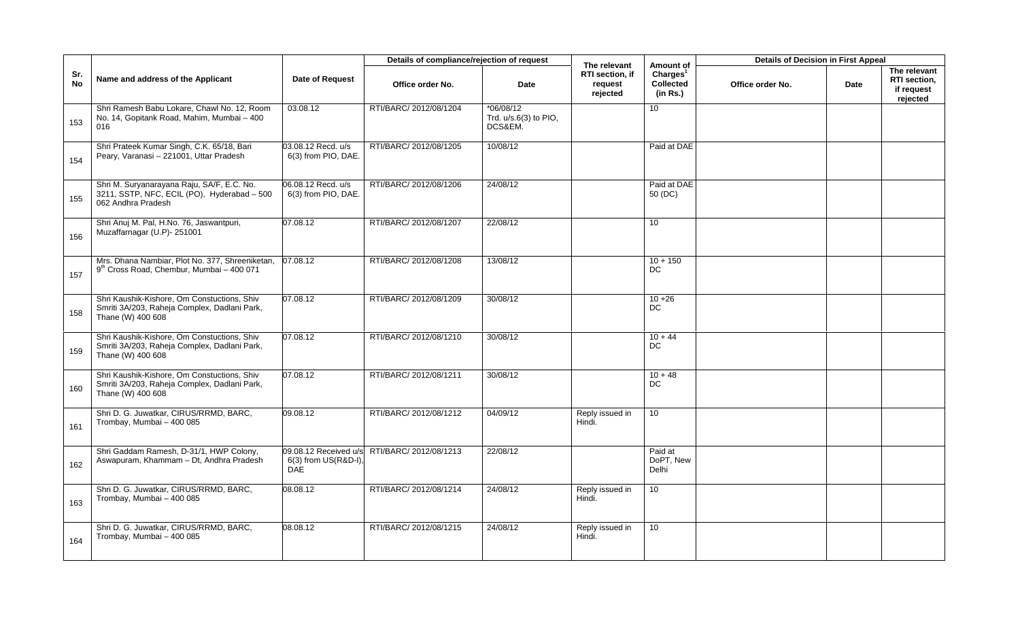|                  |                                                                                                                  |                                                             | Details of compliance/rejection of request |                                                 | The relevant                           | Amount of                                            | <b>Details of Decision in First Appeal</b> |      |                                                        |
|------------------|------------------------------------------------------------------------------------------------------------------|-------------------------------------------------------------|--------------------------------------------|-------------------------------------------------|----------------------------------------|------------------------------------------------------|--------------------------------------------|------|--------------------------------------------------------|
| Sr.<br><b>No</b> | Name and address of the Applicant                                                                                | Date of Request                                             | Office order No.                           | Date                                            | RTI section, if<br>request<br>rejected | Charles <sup>1</sup><br><b>Collected</b><br>(in Rs.) | Office order No.                           | Date | The relevant<br>RTI section,<br>if request<br>rejected |
| 153              | Shri Ramesh Babu Lokare, Chawl No. 12, Room<br>No. 14, Gopitank Road, Mahim, Mumbai - 400<br>016                 | 03.08.12                                                    | RTI/BARC/ 2012/08/1204                     | $*06/08/12$<br>Trd. u/s.6(3) to PIO,<br>DCS&EM. |                                        | 10 <sup>°</sup>                                      |                                            |      |                                                        |
| 154              | Shri Prateek Kumar Singh, C.K. 65/18, Bari<br>Peary, Varanasi - 221001, Uttar Pradesh                            | 03.08.12 Recd. u/s<br>6(3) from PIO, DAE.                   | RTI/BARC/ 2012/08/1205                     | 10/08/12                                        |                                        | Paid at DAE                                          |                                            |      |                                                        |
| 155              | Shri M. Suryanarayana Raju, SA/F, E.C. No.<br>3211, SSTP, NFC, ECIL (PO), Hyderabad - 500<br>062 Andhra Pradesh  | 06.08.12 Recd. u/s<br>6(3) from PIO, DAE.                   | RTI/BARC/ 2012/08/1206                     | 24/08/12                                        |                                        | Paid at DAE<br>50 (DC)                               |                                            |      |                                                        |
| 156              | Shri Anuj M. Pal, H.No. 76, Jaswantpuri,<br>Muzaffarnagar (U.P)- 251001                                          | 07.08.12                                                    | RTI/BARC/ 2012/08/1207                     | 22/08/12                                        |                                        | 10 <sup>1</sup>                                      |                                            |      |                                                        |
| 157              | Mrs. Dhana Nambiar, Plot No. 377, Shreeniketan,<br>9 <sup>th</sup> Cross Road, Chembur, Mumbai - 400 071         | 07.08.12                                                    | RTI/BARC/ 2012/08/1208                     | 13/08/12                                        |                                        | $10 + 150$<br>DC                                     |                                            |      |                                                        |
| 158              | Shri Kaushik-Kishore, Om Constuctions, Shiv<br>Smriti 3A/203, Raheja Complex, Dadlani Park,<br>Thane (W) 400 608 | 07.08.12                                                    | RTI/BARC/ 2012/08/1209                     | 30/08/12                                        |                                        | $10 + 26$<br><b>DC</b>                               |                                            |      |                                                        |
| 159              | Shri Kaushik-Kishore, Om Constuctions, Shiv<br>Smriti 3A/203, Raheja Complex, Dadlani Park,<br>Thane (W) 400 608 | 07.08.12                                                    | RTI/BARC/ 2012/08/1210                     | 30/08/12                                        |                                        | $10 + 44$<br><b>DC</b>                               |                                            |      |                                                        |
| 160              | Shri Kaushik-Kishore, Om Constuctions, Shiv<br>Smriti 3A/203, Raheja Complex, Dadlani Park,<br>Thane (W) 400 608 | 07.08.12                                                    | RTI/BARC/ 2012/08/1211                     | 30/08/12                                        |                                        | $10 + 48$<br><b>DC</b>                               |                                            |      |                                                        |
| 161              | Shri D. G. Juwatkar, CIRUS/RRMD, BARC,<br>Trombay, Mumbai - 400 085                                              | 09.08.12                                                    | RTI/BARC/ 2012/08/1212                     | 04/09/12                                        | Reply issued in<br>Hindi.              | 10 <sup>°</sup>                                      |                                            |      |                                                        |
| 162              | Shri Gaddam Ramesh, D-31/1, HWP Colony,<br>Aswapuram, Khammam - Dt, Andhra Pradesh                               | 09.08.12 Received u/s<br>6(3) from US(R&D-I),<br><b>DAE</b> | RTI/BARC/ 2012/08/1213                     | 22/08/12                                        |                                        | Paid at<br>DoPT, New<br>Delhi                        |                                            |      |                                                        |
| 163              | Shri D. G. Juwatkar, CIRUS/RRMD, BARC,<br>Trombay, Mumbai - 400 085                                              | 08.08.12                                                    | RTI/BARC/ 2012/08/1214                     | 24/08/12                                        | Reply issued in<br>Hindi.              | 10 <sup>1</sup>                                      |                                            |      |                                                        |
| 164              | Shri D. G. Juwatkar, CIRUS/RRMD, BARC,<br>Trombay, Mumbai - 400 085                                              | 08.08.12                                                    | RTI/BARC/ 2012/08/1215                     | 24/08/12                                        | Reply issued in<br>Hindi.              | 10 <sup>°</sup>                                      |                                            |      |                                                        |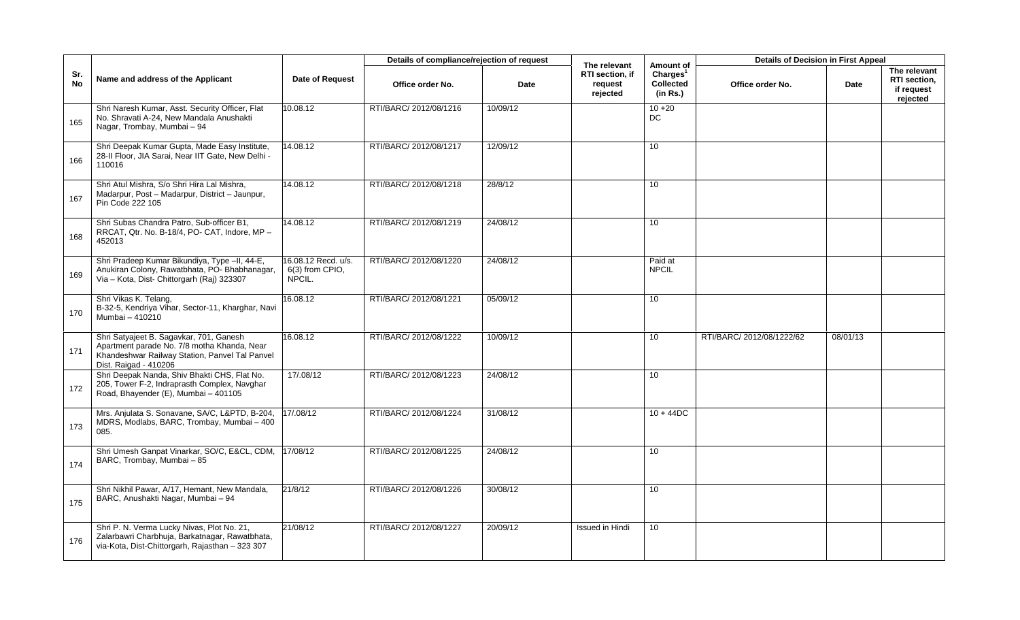|                  |                                                                                                                                                                   |                                                 | Details of compliance/rejection of request |          |                                                        |                                                            | <b>Details of Decision in First Appeal</b> |          |                                                        |
|------------------|-------------------------------------------------------------------------------------------------------------------------------------------------------------------|-------------------------------------------------|--------------------------------------------|----------|--------------------------------------------------------|------------------------------------------------------------|--------------------------------------------|----------|--------------------------------------------------------|
| Sr.<br><b>No</b> | Name and address of the Applicant                                                                                                                                 | Date of Request                                 | Office order No.                           | Date     | The relevant<br>RTI section, if<br>request<br>rejected | Amount of<br>Charles <sup>1</sup><br>Collected<br>(in Rs.) | Office order No.                           | Date     | The relevant<br>RTI section,<br>if request<br>rejected |
| 165              | Shri Naresh Kumar, Asst. Security Officer, Flat<br>No. Shravati A-24, New Mandala Anushakti<br>Nagar, Trombay, Mumbai - 94                                        | 10.08.12                                        | RTI/BARC/ 2012/08/1216                     | 10/09/12 |                                                        | $10 + 20$<br>$DC$                                          |                                            |          |                                                        |
| 166              | Shri Deepak Kumar Gupta, Made Easy Institute,<br>28-II Floor, JIA Sarai, Near IIT Gate, New Delhi -<br>110016                                                     | 14.08.12                                        | RTI/BARC/ 2012/08/1217                     | 12/09/12 |                                                        | 10                                                         |                                            |          |                                                        |
| 167              | Shri Atul Mishra, S/o Shri Hira Lal Mishra,<br>Madarpur, Post - Madarpur, District - Jaunpur,<br>Pin Code 222 105                                                 | 14.08.12                                        | RTI/BARC/ 2012/08/1218                     | 28/8/12  |                                                        | 10                                                         |                                            |          |                                                        |
| 168              | Shri Subas Chandra Patro, Sub-officer B1,<br>RRCAT, Qtr. No. B-18/4, PO- CAT, Indore, MP -<br>452013                                                              | 14.08.12                                        | RTI/BARC/ 2012/08/1219                     | 24/08/12 |                                                        | 10                                                         |                                            |          |                                                        |
| 169              | Shri Pradeep Kumar Bikundiya, Type -II, 44-E,<br>Anukiran Colony, Rawatbhata, PO- Bhabhanagar,<br>Via - Kota, Dist- Chittorgarh (Raj) 323307                      | 6.08.12 Recd. u/s.<br>6(3) from CPIO,<br>NPCIL. | RTI/BARC/ 2012/08/1220                     | 24/08/12 |                                                        | Paid at<br><b>NPCIL</b>                                    |                                            |          |                                                        |
| 170              | Shri Vikas K. Telang,<br>B-32-5, Kendriya Vihar, Sector-11, Kharghar, Navi<br>Mumbai - 410210                                                                     | 16.08.12                                        | RTI/BARC/ 2012/08/1221                     | 05/09/12 |                                                        | 10                                                         |                                            |          |                                                        |
| 171              | Shri Satyajeet B. Sagavkar, 701, Ganesh<br>Apartment parade No. 7/8 motha Khanda, Near<br>Khandeshwar Railway Station, Panvel Tal Panvel<br>Dist. Raigad - 410206 | 16.08.12                                        | RTI/BARC/ 2012/08/1222                     | 10/09/12 |                                                        | 10 <sup>1</sup>                                            | RTI/BARC/2012/08/1222/62                   | 08/01/13 |                                                        |
| 172              | Shri Deepak Nanda, Shiv Bhakti CHS, Flat No.<br>205, Tower F-2, Indraprasth Complex, Navghar<br>Road, Bhayender (E), Mumbai - 401105                              | 17/.08/12                                       | RTI/BARC/ 2012/08/1223                     | 24/08/12 |                                                        | 10                                                         |                                            |          |                                                        |
| 173              | Mrs. Anjulata S. Sonavane, SA/C, L&PTD, B-204,<br>MDRS, Modlabs, BARC, Trombay, Mumbai - 400<br>085.                                                              | 17/.08/12                                       | RTI/BARC/ 2012/08/1224                     | 31/08/12 |                                                        | $10 + 44DC$                                                |                                            |          |                                                        |
| 174              | Shri Umesh Ganpat Vinarkar, SO/C, E&CL, CDM, 17/08/12<br>BARC, Trombay, Mumbai - 85                                                                               |                                                 | RTI/BARC/ 2012/08/1225                     | 24/08/12 |                                                        | 10                                                         |                                            |          |                                                        |
| 175              | Shri Nikhil Pawar, A/17, Hemant, New Mandala,<br>BARC, Anushakti Nagar, Mumbai - 94                                                                               | 21/8/12                                         | RTI/BARC/ 2012/08/1226                     | 30/08/12 |                                                        | 10                                                         |                                            |          |                                                        |
| 176              | Shri P. N. Verma Lucky Nivas, Plot No. 21,<br>Zalarbawri Charbhuja, Barkatnagar, Rawatbhata,<br>via-Kota, Dist-Chittorgarh, Rajasthan - 323 307                   | 21/08/12                                        | RTI/BARC/ 2012/08/1227                     | 20/09/12 | Issued in Hindi                                        | 10                                                         |                                            |          |                                                        |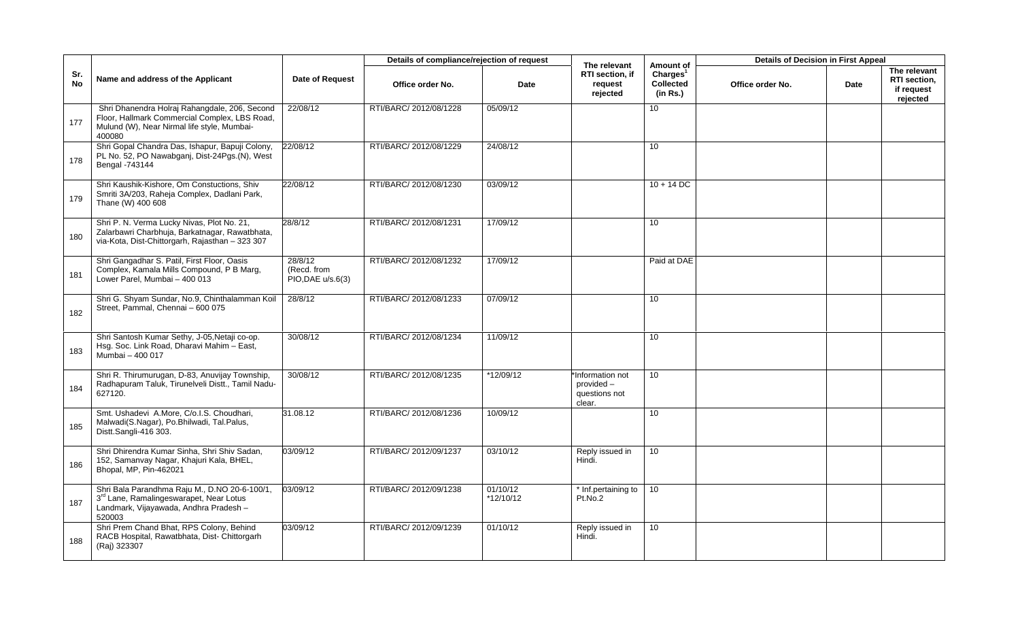|                  |                                                                                                                                                          |                                             | Details of compliance/rejection of request |                       |                                                          |                                                            | <b>Details of Decision in First Appeal</b> |      |                                                        |
|------------------|----------------------------------------------------------------------------------------------------------------------------------------------------------|---------------------------------------------|--------------------------------------------|-----------------------|----------------------------------------------------------|------------------------------------------------------------|--------------------------------------------|------|--------------------------------------------------------|
| Sr.<br><b>No</b> | Name and address of the Applicant                                                                                                                        | <b>Date of Request</b>                      | Office order No.                           | Date                  | The relevant<br>RTI section, if<br>request<br>rejected   | Amount of<br>Charles <sup>1</sup><br>Collected<br>(in Rs.) | Office order No.                           | Date | The relevant<br>RTI section,<br>if request<br>rejected |
| 177              | Shri Dhanendra Holraj Rahangdale, 206, Second<br>Floor, Hallmark Commercial Complex, LBS Road,<br>Mulund (W), Near Nirmal life style, Mumbai-<br>400080  | 22/08/12                                    | RTI/BARC/ 2012/08/1228                     | 05/09/12              |                                                          | 10                                                         |                                            |      |                                                        |
| 178              | Shri Gopal Chandra Das, Ishapur, Bapuji Colony,<br>PL No. 52, PO Nawabganj, Dist-24Pgs.(N), West<br>Bengal -743144                                       | 22/08/12                                    | RTI/BARC/ 2012/08/1229                     | 24/08/12              |                                                          | 10                                                         |                                            |      |                                                        |
| 179              | Shri Kaushik-Kishore, Om Constuctions, Shiv<br>Smriti 3A/203, Raheja Complex, Dadlani Park,<br>Thane (W) 400 608                                         | 22/08/12                                    | RTI/BARC/ 2012/08/1230                     | 03/09/12              |                                                          | $10 + 14$ DC                                               |                                            |      |                                                        |
| 180              | Shri P. N. Verma Lucky Nivas, Plot No. 21,<br>Zalarbawri Charbhuja, Barkatnagar, Rawatbhata,<br>via-Kota, Dist-Chittorgarh, Rajasthan - 323 307          | 28/8/12                                     | RTI/BARC/ 2012/08/1231                     | 17/09/12              |                                                          | 10                                                         |                                            |      |                                                        |
| 181              | Shri Gangadhar S. Patil, First Floor, Oasis<br>Complex, Kamala Mills Compound, P B Marg,<br>Lower Parel, Mumbai - 400 013                                | 28/8/12<br>(Recd. from<br>PIO, DAE u/s.6(3) | RTI/BARC/ 2012/08/1232                     | 17/09/12              |                                                          | Paid at DAE                                                |                                            |      |                                                        |
| 182              | Shri G. Shyam Sundar, No.9, Chinthalamman Koil<br>Street, Pammal, Chennai - 600 075                                                                      | 28/8/12                                     | RTI/BARC/ 2012/08/1233                     | 07/09/12              |                                                          | 10                                                         |                                            |      |                                                        |
| 183              | Shri Santosh Kumar Sethy, J-05, Netaji co-op.<br>Hsg. Soc. Link Road, Dharavi Mahim - East,<br>Mumbai - 400 017                                          | 30/08/12                                    | RTI/BARC/ 2012/08/1234                     | 11/09/12              |                                                          | 10 <sup>1</sup>                                            |                                            |      |                                                        |
| 184              | Shri R. Thirumurugan, D-83, Anuvijay Township,<br>Radhapuram Taluk, Tirunelveli Distt., Tamil Nadu-<br>627120.                                           | 30/08/12                                    | RTI/BARC/ 2012/08/1235                     | *12/09/12             | Information not<br>provided -<br>questions not<br>clear. | 10                                                         |                                            |      |                                                        |
| 185              | Smt. Ushadevi A.More, C/o.I.S. Choudhari,<br>Malwadi(S.Nagar), Po.Bhilwadi, Tal.Palus,<br>Distt.Sangli-416 303.                                          | 31.08.12                                    | RTI/BARC/ 2012/08/1236                     | 10/09/12              |                                                          | 10 <sup>°</sup>                                            |                                            |      |                                                        |
| 186              | Shri Dhirendra Kumar Sinha, Shri Shiv Sadan,<br>152, Samanvay Nagar, Khajuri Kala, BHEL,<br>Bhopal, MP, Pin-462021                                       | 03/09/12                                    | RTI/BARC/ 2012/09/1237                     | 03/10/12              | Reply issued in<br>Hindi.                                | 10                                                         |                                            |      |                                                        |
| 187              | Shri Bala Parandhma Raju M., D.NO 20-6-100/1,<br>3 <sup>rd</sup> Lane, Ramalingeswarapet, Near Lotus<br>Landmark, Vijayawada, Andhra Pradesh -<br>520003 | 03/09/12                                    | RTI/BARC/ 2012/09/1238                     | 01/10/12<br>*12/10/12 | * Inf.pertaining to<br>Pt.No.2                           | 10                                                         |                                            |      |                                                        |
| 188              | Shri Prem Chand Bhat, RPS Colony, Behind<br>RACB Hospital, Rawatbhata, Dist- Chittorgarh<br>(Raj) 323307                                                 | 03/09/12                                    | RTI/BARC/ 2012/09/1239                     | 01/10/12              | Reply issued in<br>Hindi.                                | 10                                                         |                                            |      |                                                        |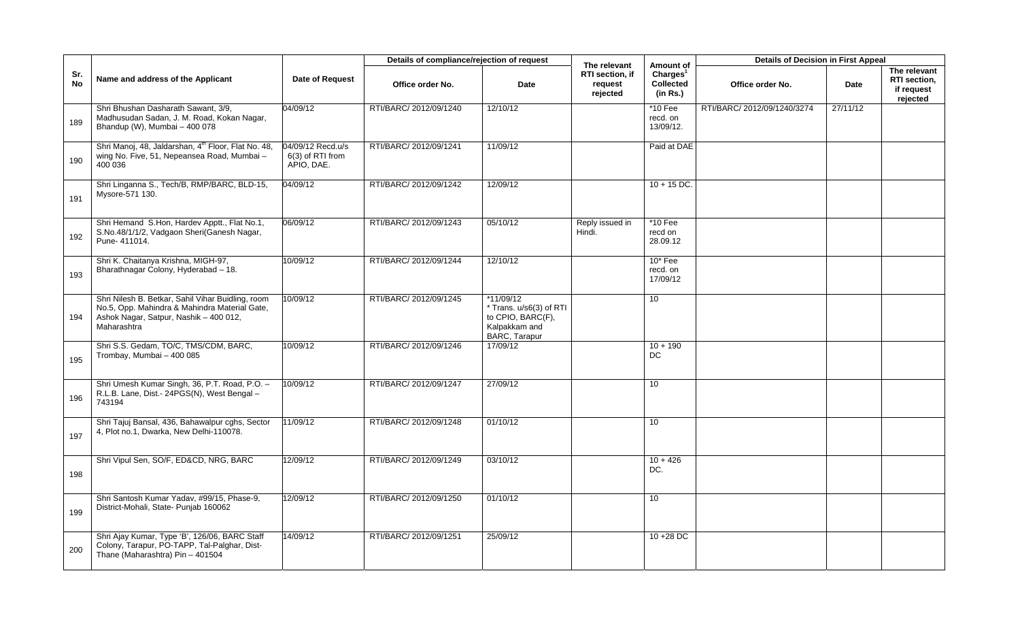|                  |                                                                                                                                                             |                                                       | Details of compliance/rejection of request |                                                                                               | The relevant                           | Amount of                                     | <b>Details of Decision in First Appeal</b> |          |                                                               |
|------------------|-------------------------------------------------------------------------------------------------------------------------------------------------------------|-------------------------------------------------------|--------------------------------------------|-----------------------------------------------------------------------------------------------|----------------------------------------|-----------------------------------------------|--------------------------------------------|----------|---------------------------------------------------------------|
| Sr.<br><b>No</b> | Name and address of the Applicant                                                                                                                           | <b>Date of Request</b>                                | Office order No.                           | Date                                                                                          | RTI section, if<br>request<br>rejected | Charles <sup>1</sup><br>Collected<br>(in Rs.) | Office order No.                           | Date     | The relevant<br><b>RTI</b> section.<br>if request<br>rejected |
| 189              | Shri Bhushan Dasharath Sawant, 3/9,<br>Madhusudan Sadan, J. M. Road, Kokan Nagar,<br>Bhandup (W), Mumbai - 400 078                                          | 04/09/12                                              | RTI/BARC/ 2012/09/1240                     | 12/10/12                                                                                      |                                        | *10 Fee<br>recd. on<br>13/09/12.              | RTI/BARC/ 2012/09/1240/3274                | 27/11/12 |                                                               |
| 190              | Shri Manoj, 48, Jaldarshan, 4 <sup>th</sup> Floor, Flat No. 48,<br>wing No. Five, 51, Nepeansea Road, Mumbai -<br>400 036                                   | 04/09/12 Recd.u/s<br>$6(3)$ of RTI from<br>APIO, DAE. | RTI/BARC/ 2012/09/1241                     | 11/09/12                                                                                      |                                        | Paid at DAE                                   |                                            |          |                                                               |
| 191              | Shri Linganna S., Tech/B, RMP/BARC, BLD-15,<br>Mysore-571 130.                                                                                              | 04/09/12                                              | RTI/BARC/ 2012/09/1242                     | 12/09/12                                                                                      |                                        | $10 + 15$ DC.                                 |                                            |          |                                                               |
| 192              | Shri Hemand S.Hon, Hardev Apptt., Flat No.1,<br>S.No.48/1/1/2, Vadgaon Sheri(Ganesh Nagar,<br>Pune- 411014.                                                 | 06/09/12                                              | RTI/BARC/ 2012/09/1243                     | 05/10/12                                                                                      | Reply issued in<br>Hindi.              | *10 Fee<br>recd on<br>28.09.12                |                                            |          |                                                               |
| 193              | Shri K. Chaitanya Krishna, MIGH-97,<br>Bharathnagar Colony, Hyderabad - 18.                                                                                 | 10/09/12                                              | RTI/BARC/ 2012/09/1244                     | 12/10/12                                                                                      |                                        | $10*$ Fee<br>recd. on<br>17/09/12             |                                            |          |                                                               |
| 194              | Shri Nilesh B. Betkar, Sahil Vihar Buidling, room<br>No.5, Opp. Mahindra & Mahindra Material Gate,<br>Ashok Nagar, Satpur, Nashik - 400 012,<br>Maharashtra | 10/09/12                                              | RTI/BARC/ 2012/09/1245                     | $*11/09/12$<br>* Trans. u/s6(3) of RTI<br>to CPIO, BARC(F),<br>Kalpakkam and<br>BARC, Tarapur |                                        | 10                                            |                                            |          |                                                               |
| 195              | Shri S.S. Gedam, TO/C, TMS/CDM, BARC,<br>Trombay, Mumbai - 400 085                                                                                          | 10/09/12                                              | RTI/BARC/ 2012/09/1246                     | 17/09/12                                                                                      |                                        | $10 + 190$<br>DC.                             |                                            |          |                                                               |
| 196              | Shri Umesh Kumar Singh, 36, P.T. Road, P.O. -<br>R.L.B. Lane, Dist.- 24PGS(N), West Bengal -<br>743194                                                      | 10/09/12                                              | RTI/BARC/ 2012/09/1247                     | 27/09/12                                                                                      |                                        | 10                                            |                                            |          |                                                               |
| 197              | Shri Tajuj Bansal, 436, Bahawalpur cghs, Sector<br>4, Plot no.1, Dwarka, New Delhi-110078.                                                                  | 11/09/12                                              | RTI/BARC/ 2012/09/1248                     | 01/10/12                                                                                      |                                        | 10                                            |                                            |          |                                                               |
| 198              | Shri Vipul Sen, SO/F, ED&CD, NRG, BARC                                                                                                                      | 12/09/12                                              | RTI/BARC/ 2012/09/1249                     | 03/10/12                                                                                      |                                        | $10 + 426$<br>DC.                             |                                            |          |                                                               |
| 199              | Shri Santosh Kumar Yadav, #99/15, Phase-9,<br>District-Mohali, State- Punjab 160062                                                                         | 12/09/12                                              | RTI/BARC/ 2012/09/1250                     | 01/10/12                                                                                      |                                        | 10                                            |                                            |          |                                                               |
| 200              | Shri Ajay Kumar, Type 'B', 126/06, BARC Staff<br>Colony, Tarapur, PO-TAPP, Tal-Palghar, Dist-<br>Thane (Maharashtra) Pin - 401504                           | 14/09/12                                              | RTI/BARC/ 2012/09/1251                     | 25/09/12                                                                                      |                                        | $10 + 28$ DC                                  |                                            |          |                                                               |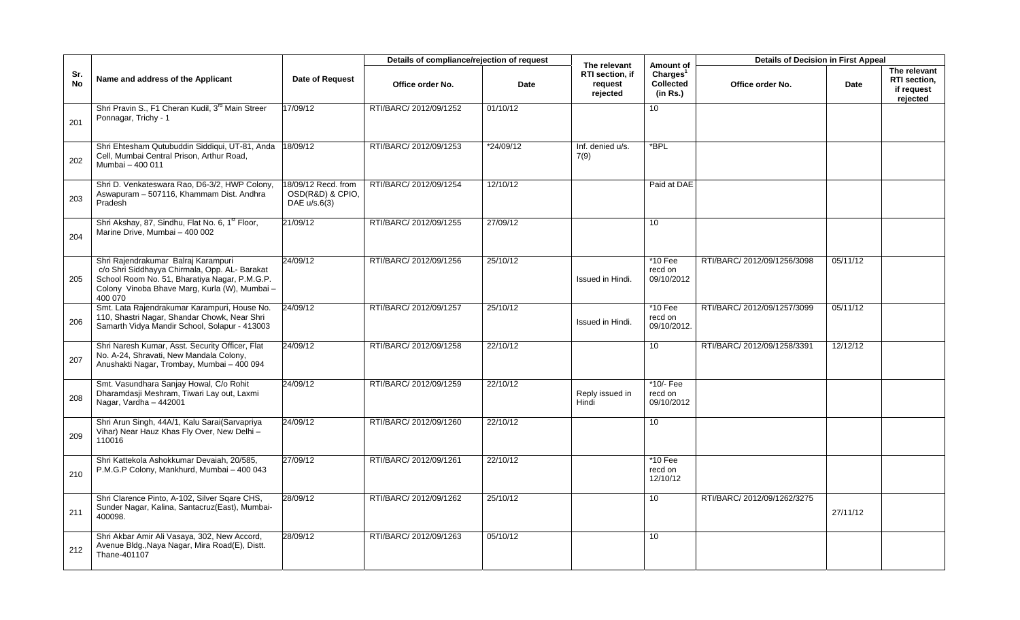|                  |                                                                                                                                                                                                   |                                                         | Details of compliance/rejection of request |           | The relevant                           | Amount of                                            | <b>Details of Decision in First Appeal</b> |          |                                                        |
|------------------|---------------------------------------------------------------------------------------------------------------------------------------------------------------------------------------------------|---------------------------------------------------------|--------------------------------------------|-----------|----------------------------------------|------------------------------------------------------|--------------------------------------------|----------|--------------------------------------------------------|
| Sr.<br><b>No</b> | Name and address of the Applicant                                                                                                                                                                 | <b>Date of Request</b>                                  | Office order No.                           | Date      | RTI section, if<br>request<br>rejected | Charles <sup>1</sup><br><b>Collected</b><br>(in Rs.) | Office order No.                           | Date     | The relevant<br>RTI section,<br>if request<br>rejected |
| 201              | Shri Pravin S., F1 Cheran Kudil, 3 <sup>rd</sup> Main Streer<br>Ponnagar, Trichy - 1                                                                                                              | 17/09/12                                                | RTI/BARC/ 2012/09/1252                     | 01/10/12  |                                        | 10                                                   |                                            |          |                                                        |
| 202              | Shri Ehtesham Qutubuddin Siddiqui, UT-81, Anda<br>Cell, Mumbai Central Prison, Arthur Road,<br>Mumbai - 400 011                                                                                   | 18/09/12                                                | RTI/BARC/ 2012/09/1253                     | *24/09/12 | Inf. denied u/s.<br>7(9)               | $*$ BPL                                              |                                            |          |                                                        |
| 203              | Shri D. Venkateswara Rao, D6-3/2, HWP Colony,<br>Aswapuram - 507116, Khammam Dist. Andhra<br>Pradesh                                                                                              | 18/09/12 Recd. from<br>OSD(R&D) & CPIO,<br>DAE u/s.6(3) | RTI/BARC/ 2012/09/1254                     | 12/10/12  |                                        | Paid at DAE                                          |                                            |          |                                                        |
| 204              | Shri Akshay, 87, Sindhu, Flat No. 6, 1 <sup>st</sup> Floor,<br>Marine Drive, Mumbai - 400 002                                                                                                     | 21/09/12                                                | RTI/BARC/ 2012/09/1255                     | 27/09/12  |                                        | 10 <sup>1</sup>                                      |                                            |          |                                                        |
| 205              | Shri Rajendrakumar Balraj Karampuri<br>c/o Shri Siddhayya Chirmala, Opp. AL- Barakat<br>School Room No. 51, Bharatiya Nagar, P.M.G.P.<br>Colony Vinoba Bhave Marg, Kurla (W), Mumbai -<br>400 070 | 24/09/12                                                | RTI/BARC/ 2012/09/1256                     | 25/10/12  | Issued in Hindi.                       | $*10$ Fee<br>recd on<br>09/10/2012                   | RTI/BARC/2012/09/1256/3098                 | 05/11/12 |                                                        |
| 206              | Smt. Lata Rajendrakumar Karampuri, House No.<br>110, Shastri Nagar, Shandar Chowk, Near Shri<br>Samarth Vidya Mandir School, Solapur - 413003                                                     | 24/09/12                                                | RTI/BARC/ 2012/09/1257                     | 25/10/12  | Issued in Hindi.                       | $*10$ Fee<br>recd on<br>09/10/2012.                  | RTI/BARC/2012/09/1257/3099                 | 05/11/12 |                                                        |
| 207              | Shri Naresh Kumar, Asst. Security Officer, Flat<br>No. A-24, Shravati, New Mandala Colony,<br>Anushakti Nagar, Trombay, Mumbai - 400 094                                                          | 24/09/12                                                | RTI/BARC/ 2012/09/1258                     | 22/10/12  |                                        | 10                                                   | RTI/BARC/2012/09/1258/3391                 | 12/12/12 |                                                        |
| 208              | Smt. Vasundhara Sanjay Howal, C/o Rohit<br>Dharamdasji Meshram, Tiwari Lay out, Laxmi<br>Nagar, Vardha - 442001                                                                                   | 24/09/12                                                | RTI/BARC/ 2012/09/1259                     | 22/10/12  | Reply issued in<br>Hindi               | *10/- Fee<br>recd on<br>09/10/2012                   |                                            |          |                                                        |
| 209              | Shri Arun Singh, 44A/1, Kalu Sarai(Sarvapriya<br>Vihar) Near Hauz Khas Fly Over, New Delhi-<br>110016                                                                                             | 24/09/12                                                | RTI/BARC/ 2012/09/1260                     | 22/10/12  |                                        | 10                                                   |                                            |          |                                                        |
| 210              | Shri Kattekola Ashokkumar Devaiah, 20/585,<br>P.M.G.P Colony, Mankhurd, Mumbai - 400 043                                                                                                          | 27/09/12                                                | RTI/BARC/ 2012/09/1261                     | 22/10/12  |                                        | *10 Fee<br>recd on<br>12/10/12                       |                                            |          |                                                        |
| 211              | Shri Clarence Pinto, A-102, Silver Sqare CHS,<br>Sunder Nagar, Kalina, Santacruz(East), Mumbai-<br>400098.                                                                                        | 28/09/12                                                | RTI/BARC/ 2012/09/1262                     | 25/10/12  |                                        | 10                                                   | RTI/BARC/2012/09/1262/3275                 | 27/11/12 |                                                        |
| 212              | Shri Akbar Amir Ali Vasaya, 302, New Accord,<br>Avenue Bldg., Naya Nagar, Mira Road(E), Distt.<br>Thane-401107                                                                                    | 28/09/12                                                | RTI/BARC/ 2012/09/1263                     | 05/10/12  |                                        | 10                                                   |                                            |          |                                                        |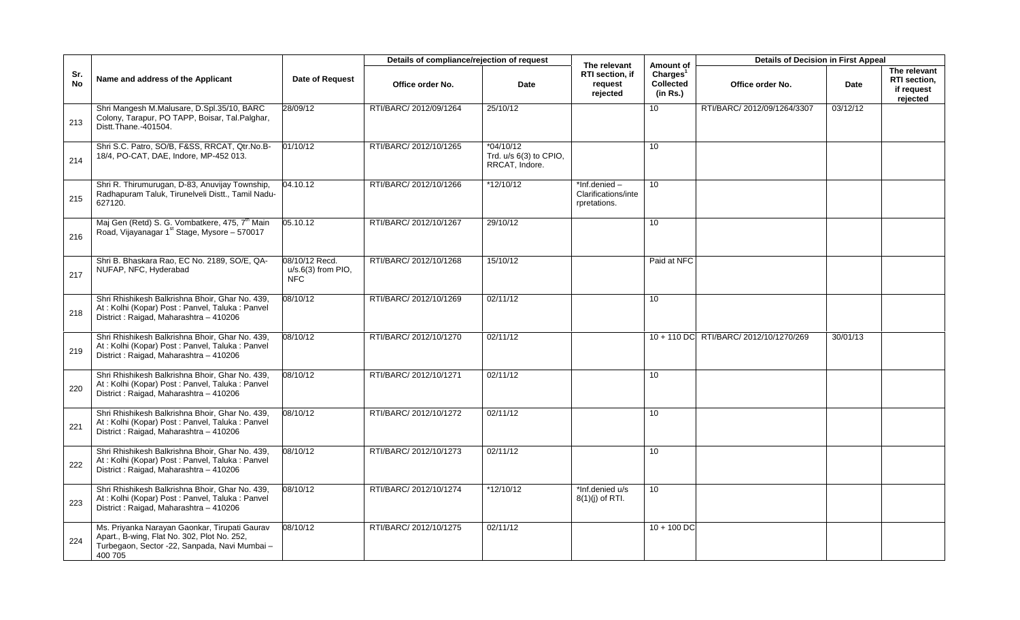|                  |                                                                                                                                                          |                                                      | Details of compliance/rejection of request |                                                         | The relevant                                        | Amount of                                            | <b>Details of Decision in First Appeal</b> |             |                                                        |
|------------------|----------------------------------------------------------------------------------------------------------------------------------------------------------|------------------------------------------------------|--------------------------------------------|---------------------------------------------------------|-----------------------------------------------------|------------------------------------------------------|--------------------------------------------|-------------|--------------------------------------------------------|
| Sr.<br><b>No</b> | Name and address of the Applicant                                                                                                                        | <b>Date of Request</b>                               | Office order No.                           | Date                                                    | RTI section, if<br>request<br>rejected              | Charles <sup>1</sup><br><b>Collected</b><br>(in Rs.) | Office order No.                           | <b>Date</b> | The relevant<br>RTI section,<br>if request<br>rejected |
| 213              | Shri Mangesh M.Malusare, D.Spl.35/10, BARC<br>Colony, Tarapur, PO TAPP, Boisar, Tal.Palghar,<br>Distt. Thane. - 401504.                                  | 28/09/12                                             | RTI/BARC/ 2012/09/1264                     | 25/10/12                                                |                                                     | 10                                                   | RTI/BARC/ 2012/09/1264/3307                | 03/12/12    |                                                        |
| 214              | Shri S.C. Patro, SO/B, F&SS, RRCAT, Qtr.No.B-<br>18/4, PO-CAT, DAE, Indore, MP-452 013.                                                                  | 01/10/12                                             | RTI/BARC/ 2012/10/1265                     | $*04/10/12$<br>Trd. u/s 6(3) to CPIO,<br>RRCAT. Indore. |                                                     | 10                                                   |                                            |             |                                                        |
| 215              | Shri R. Thirumurugan, D-83, Anuvijay Township,<br>Radhapuram Taluk, Tirunelveli Distt., Tamil Nadu-<br>627120.                                           | 04.10.12                                             | RTI/BARC/ 2012/10/1266                     | $*12/10/12$                                             | *Inf.denied-<br>Clarifications/inte<br>rpretations. | 10 <sup>°</sup>                                      |                                            |             |                                                        |
| 216              | Maj Gen (Retd) S. G. Vombatkere, 475, 7 <sup>th</sup> Main<br>Road, Vijayanagar 1 <sup>st</sup> Stage, Mysore - 570017                                   | 05.10.12                                             | RTI/BARC/ 2012/10/1267                     | 29/10/12                                                |                                                     | 10                                                   |                                            |             |                                                        |
| 217              | Shri B. Bhaskara Rao, EC No. 2189, SO/E, QA-<br>NUFAP, NFC, Hyderabad                                                                                    | 08/10/12 Recd.<br>$u/s.6(3)$ from PIO,<br><b>NFC</b> | RTI/BARC/ 2012/10/1268                     | 15/10/12                                                |                                                     | Paid at NFC                                          |                                            |             |                                                        |
| 218              | Shri Rhishikesh Balkrishna Bhoir, Ghar No. 439,<br>At: Kolhi (Kopar) Post: Panvel, Taluka: Panvel<br>District: Raigad, Maharashtra - 410206              | 08/10/12                                             | RTI/BARC/ 2012/10/1269                     | 02/11/12                                                |                                                     | 10                                                   |                                            |             |                                                        |
| 219              | Shri Rhishikesh Balkrishna Bhoir, Ghar No. 439,<br>At: Kolhi (Kopar) Post: Panvel, Taluka: Panvel<br>District: Raigad, Maharashtra - 410206              | 08/10/12                                             | RTI/BARC/ 2012/10/1270                     | 02/11/12                                                |                                                     |                                                      | 10 + 110 DC RTI/BARC/ 2012/10/1270/269     | 30/01/13    |                                                        |
| 220              | Shri Rhishikesh Balkrishna Bhoir, Ghar No. 439,<br>At: Kolhi (Kopar) Post: Panvel, Taluka: Panvel<br>District: Raigad, Maharashtra - 410206              | 08/10/12                                             | RTI/BARC/ 2012/10/1271                     | 02/11/12                                                |                                                     | 10                                                   |                                            |             |                                                        |
| 221              | Shri Rhishikesh Balkrishna Bhoir, Ghar No. 439,<br>At: Kolhi (Kopar) Post: Panvel, Taluka: Panvel<br>District: Raigad, Maharashtra - 410206              | 08/10/12                                             | RTI/BARC/ 2012/10/1272                     | 02/11/12                                                |                                                     | 10                                                   |                                            |             |                                                        |
| 222              | Shri Rhishikesh Balkrishna Bhoir, Ghar No. 439,<br>At : Kolhi (Kopar) Post : Panvel, Taluka : Panvel<br>District: Raigad, Maharashtra - 410206           | 08/10/12                                             | RTI/BARC/ 2012/10/1273                     | 02/11/12                                                |                                                     | 10                                                   |                                            |             |                                                        |
| 223              | Shri Rhishikesh Balkrishna Bhoir, Ghar No. 439,<br>At: Kolhi (Kopar) Post: Panvel, Taluka: Panvel<br>District: Raigad, Maharashtra - 410206              | 08/10/12                                             | RTI/BARC/ 2012/10/1274                     | *12/10/12                                               | *Inf.denied u/s<br>$8(1)(j)$ of RTI.                | 10                                                   |                                            |             |                                                        |
| 224              | Ms. Priyanka Narayan Gaonkar, Tirupati Gaurav<br>Apart., B-wing, Flat No. 302, Plot No. 252,<br>Turbegaon, Sector -22, Sanpada, Navi Mumbai -<br>400 705 | 08/10/12                                             | RTI/BARC/ 2012/10/1275                     | 02/11/12                                                |                                                     | $10 + 100$ DC                                        |                                            |             |                                                        |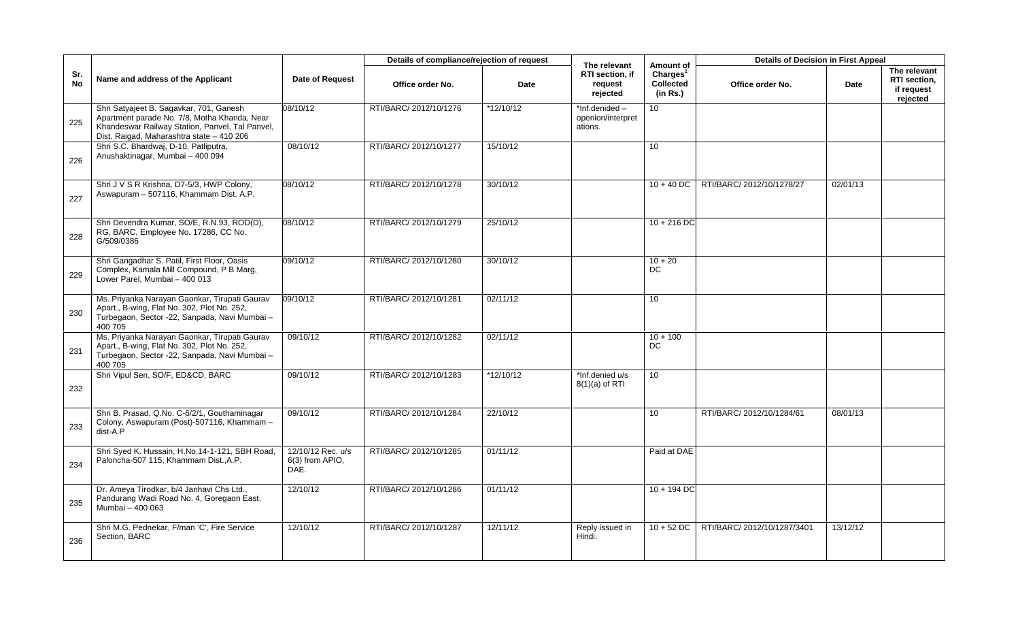|                  |                                                                                                                                                                                         |                                                | Details of compliance/rejection of request |             | The relevant                                  | Amount of                                            | <b>Details of Decision in First Appeal</b> |          |                                                        |
|------------------|-----------------------------------------------------------------------------------------------------------------------------------------------------------------------------------------|------------------------------------------------|--------------------------------------------|-------------|-----------------------------------------------|------------------------------------------------------|--------------------------------------------|----------|--------------------------------------------------------|
| Sr.<br><b>No</b> | Name and address of the Applicant                                                                                                                                                       | Date of Request                                | Office order No.                           | Date        | RTI section, if<br>request<br>rejected        | Charles <sup>1</sup><br><b>Collected</b><br>(in Rs.) | Office order No.                           | Date     | The relevant<br>RTI section,<br>if request<br>rejected |
| 225              | Shri Satyajeet B. Sagavkar, 701, Ganesh<br>Apartment parade No. 7/8, Motha Khanda, Near<br>Khandeswar Railway Station, Panvel, Tal Panvel,<br>Dist. Raigad, Maharashtra state - 410 206 | 08/10/12                                       | RTI/BARC/ 2012/10/1276                     | *12/10/12   | *Inf.denided-<br>openion/interpret<br>ations. | 10                                                   |                                            |          |                                                        |
| 226              | Shri S.C. Bhardwaj, D-10, Patliputra,<br>Anushaktinagar, Mumbai - 400 094                                                                                                               | 08/10/12                                       | RTI/BARC/ 2012/10/1277                     | 15/10/12    |                                               | 10 <sup>°</sup>                                      |                                            |          |                                                        |
| 227              | Shri J V S R Krishna, D7-5/3, HWP Colony,<br>Aswapuram - 507116, Khammam Dist. A.P.                                                                                                     | 08/10/12                                       | RTI/BARC/ 2012/10/1278                     | 30/10/12    |                                               | $10 + 40$ DC                                         | RTI/BARC/ 2012/10/1278/27                  | 02/01/13 |                                                        |
| 228              | Shri Devendra Kumar, SO/E, R.N.93, ROD(D),<br>RG, BARC, Employee No. 17286, CC No.<br>G/509/0386                                                                                        | 08/10/12                                       | RTI/BARC/ 2012/10/1279                     | 25/10/12    |                                               | $10 + 216$ DC                                        |                                            |          |                                                        |
| 229              | Shri Gangadhar S. Patil, First Floor, Oasis<br>Complex, Kamala Mill Compound, P B Marg,<br>Lower Parel, Mumbai - 400 013                                                                | 09/10/12                                       | RTI/BARC/ 2012/10/1280                     | 30/10/12    |                                               | $10 + 20$<br>DC.                                     |                                            |          |                                                        |
| 230              | Ms. Priyanka Narayan Gaonkar, Tirupati Gaurav<br>Apart., B-wing, Flat No. 302, Plot No. 252,<br>Turbegaon, Sector -22, Sanpada, Navi Mumbai -<br>400 705                                | 09/10/12                                       | RTI/BARC/ 2012/10/1281                     | 02/11/12    |                                               | 10                                                   |                                            |          |                                                        |
| 231              | Ms. Priyanka Narayan Gaonkar, Tirupati Gaurav<br>Apart., B-wing, Flat No. 302, Plot No. 252,<br>Turbegaon, Sector -22, Sanpada, Navi Mumbai -<br>400 705                                | 09/10/12                                       | RTI/BARC/ 2012/10/1282                     | 02/11/12    |                                               | $10 + 100$<br>DC                                     |                                            |          |                                                        |
| 232              | Shri Vipul Sen, SO/F, ED&CD, BARC                                                                                                                                                       | 09/10/12                                       | RTI/BARC/ 2012/10/1283                     | $*12/10/12$ | *Inf.denied u/s<br>$8(1)(a)$ of RTI           | 10 <sup>°</sup>                                      |                                            |          |                                                        |
| 233              | Shri B. Prasad, Q.No. C-6/2/1, Gouthaminagar<br>Colony, Aswapuram (Post)-507116, Khammam -<br>dist-A.P                                                                                  | 09/10/12                                       | RTI/BARC/ 2012/10/1284                     | 22/10/12    |                                               | 10 <sup>1</sup>                                      | RTI/BARC/ 2012/10/1284/61                  | 08/01/13 |                                                        |
| 234              | Shri Syed K. Hussain, H.No.14-1-121, SBH Road,<br>Paloncha-507 115, Khammam Dist., A.P.                                                                                                 | 12/10/12 Rec. u/s<br>$6(3)$ from APIO,<br>DAE. | RTI/BARC/ 2012/10/1285                     | 01/11/12    |                                               | Paid at DAE                                          |                                            |          |                                                        |
| 235              | Dr. Ameya Tirodkar, b/4 Janhavi Chs Ltd.,<br>Pandurang Wadi Road No. 4, Goregaon East,<br>Mumbai - 400 063                                                                              | 12/10/12                                       | RTI/BARC/ 2012/10/1286                     | 01/11/12    |                                               | $10 + 194$ DC                                        |                                            |          |                                                        |
| 236              | Shri M.G. Pednekar, F/man 'C', Fire Service<br>Section, BARC                                                                                                                            | 12/10/12                                       | RTI/BARC/ 2012/10/1287                     | 12/11/12    | Reply issued in<br>Hindi.                     | $10 + 52$ DC                                         | RTI/BARC/ 2012/10/1287/3401                | 13/12/12 |                                                        |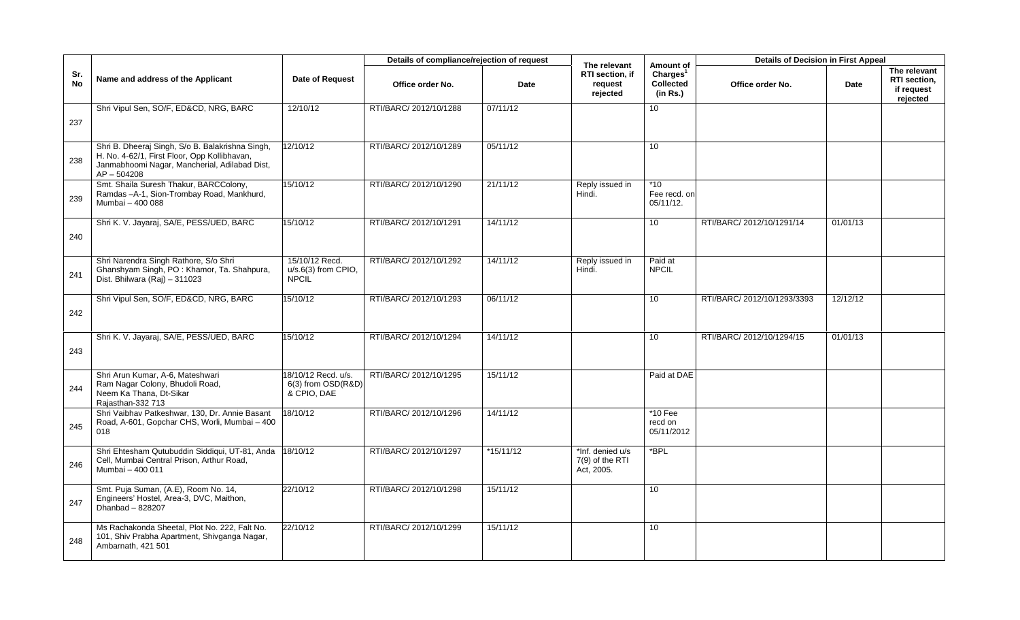|                  |                                                                                                                                                                    |                                                          | Details of compliance/rejection of request |             |                                                        |                                                                   | <b>Details of Decision in First Appeal</b> |          |                                                        |
|------------------|--------------------------------------------------------------------------------------------------------------------------------------------------------------------|----------------------------------------------------------|--------------------------------------------|-------------|--------------------------------------------------------|-------------------------------------------------------------------|--------------------------------------------|----------|--------------------------------------------------------|
| Sr.<br><b>No</b> | Name and address of the Applicant                                                                                                                                  | Date of Request                                          | Office order No.                           | Date        | The relevant<br>RTI section, if<br>request<br>rejected | Amount of<br>Charles <sup>1</sup><br><b>Collected</b><br>(in Rs.) | Office order No.                           | Date     | The relevant<br>RTI section,<br>if request<br>rejected |
|                  | Shri Vipul Sen, SO/F, ED&CD, NRG, BARC                                                                                                                             | 12/10/12                                                 | RTI/BARC/ 2012/10/1288                     | 07/11/12    |                                                        | 10                                                                |                                            |          |                                                        |
| 237              |                                                                                                                                                                    |                                                          |                                            |             |                                                        |                                                                   |                                            |          |                                                        |
| 238              | Shri B. Dheeraj Singh, S/o B. Balakrishna Singh,<br>H. No. 4-62/1, First Floor, Opp Kollibhavan,<br>Janmabhoomi Nagar, Mancherial, Adilabad Dist,<br>$AP - 504208$ | 2/10/12                                                  | RTI/BARC/ 2012/10/1289                     | 05/11/12    |                                                        | 10                                                                |                                            |          |                                                        |
| 239              | Smt. Shaila Suresh Thakur, BARCColony,<br>Ramdas-A-1, Sion-Trombay Road, Mankhurd,<br>Mumbai - 400 088                                                             | 15/10/12                                                 | RTI/BARC/ 2012/10/1290                     | 21/11/12    | Reply issued in<br>Hindi.                              | $*10$<br>Fee recd. on<br>$05/11/12$ .                             |                                            |          |                                                        |
|                  | Shri K. V. Jayaraj, SA/E, PESS/UED, BARC                                                                                                                           | 15/10/12                                                 | RTI/BARC/ 2012/10/1291                     | 14/11/12    |                                                        | 10                                                                | RTI/BARC/ 2012/10/1291/14                  | 01/01/13 |                                                        |
| 240              |                                                                                                                                                                    |                                                          |                                            |             |                                                        |                                                                   |                                            |          |                                                        |
| 241              | Shri Narendra Singh Rathore, S/o Shri<br>Ghanshyam Singh, PO: Khamor, Ta. Shahpura,<br>Dist. Bhilwara (Raj) - 311023                                               | 15/10/12 Recd.<br>u/s.6(3) from CPIO,<br><b>NPCIL</b>    | RTI/BARC/ 2012/10/1292                     | 14/11/12    | Reply issued in<br>Hindi.                              | Paid at<br><b>NPCIL</b>                                           |                                            |          |                                                        |
|                  | Shri Vipul Sen, SO/F, ED&CD, NRG, BARC                                                                                                                             | 15/10/12                                                 | RTI/BARC/ 2012/10/1293                     | 06/11/12    |                                                        | 10                                                                | RTI/BARC/ 2012/10/1293/3393                | 12/12/12 |                                                        |
| 242              |                                                                                                                                                                    |                                                          |                                            |             |                                                        |                                                                   |                                            |          |                                                        |
|                  | Shri K. V. Jayaraj, SA/E, PESS/UED, BARC                                                                                                                           | 15/10/12                                                 | RTI/BARC/ 2012/10/1294                     | 14/11/12    |                                                        | 10                                                                | RTI/BARC/ 2012/10/1294/15                  | 01/01/13 |                                                        |
| 243              |                                                                                                                                                                    |                                                          |                                            |             |                                                        |                                                                   |                                            |          |                                                        |
| 244              | Shri Arun Kumar, A-6, Mateshwari<br>Ram Nagar Colony, Bhudoli Road,<br>Neem Ka Thana, Dt-Sikar<br>Rajasthan-332 713                                                | 18/10/12 Recd. u/s.<br>6(3) from OSD(R&D)<br>& CPIO, DAE | RTI/BARC/ 2012/10/1295                     | 15/11/12    |                                                        | Paid at DAE                                                       |                                            |          |                                                        |
| 245              | Shri Vaibhav Patkeshwar, 130, Dr. Annie Basant<br>Road, A-601, Gopchar CHS, Worli, Mumbai - 400<br>018                                                             | 18/10/12                                                 | RTI/BARC/ 2012/10/1296                     | 14/11/12    |                                                        | $*10$ Fee<br>recd on<br>05/11/2012                                |                                            |          |                                                        |
| 246              | Shri Ehtesham Qutubuddin Siddiqui, UT-81, Anda<br>Cell, Mumbai Central Prison, Arthur Road,<br>Mumbai - 400 011                                                    | 18/10/12                                                 | RTI/BARC/ 2012/10/1297                     | $*15/11/12$ | *Inf. denied u/s<br>$7(9)$ of the RTI<br>Act, 2005.    | $*$ BPL                                                           |                                            |          |                                                        |
| 247              | Smt. Puja Suman, (A.E), Room No. 14,<br>Engineers' Hostel, Area-3, DVC, Maithon,<br>Dhanbad $-828207$                                                              | 22/10/12                                                 | RTI/BARC/ 2012/10/1298                     | 15/11/12    |                                                        | 10                                                                |                                            |          |                                                        |
| 248              | Ms Rachakonda Sheetal, Plot No. 222, Falt No.<br>101, Shiv Prabha Apartment, Shivganga Nagar,<br>Ambarnath, 421 501                                                | 22/10/12                                                 | RTI/BARC/ 2012/10/1299                     | 15/11/12    |                                                        | 10                                                                |                                            |          |                                                        |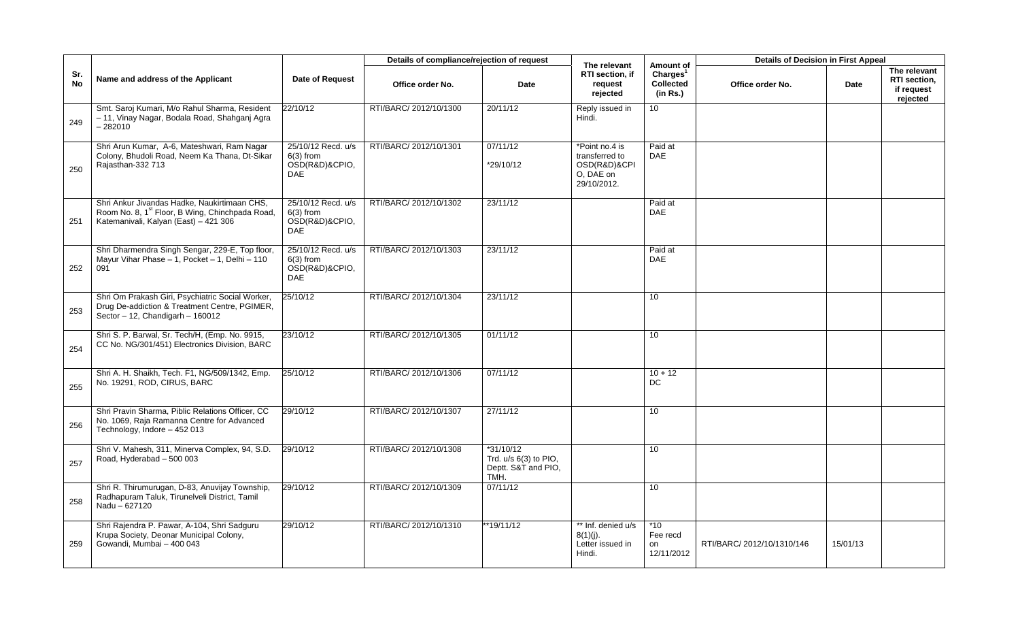|                  |                                                                                                                                                      |                                                                   | Details of compliance/rejection of request |                                                                     | The relevant                                                                 | Amount of                                            | <b>Details of Decision in First Appeal</b> |          |                                                        |
|------------------|------------------------------------------------------------------------------------------------------------------------------------------------------|-------------------------------------------------------------------|--------------------------------------------|---------------------------------------------------------------------|------------------------------------------------------------------------------|------------------------------------------------------|--------------------------------------------|----------|--------------------------------------------------------|
| Sr.<br><b>No</b> | Name and address of the Applicant                                                                                                                    | <b>Date of Request</b>                                            | Office order No.                           | Date                                                                | RTI section, if<br>request<br>rejected                                       | Charles <sup>1</sup><br><b>Collected</b><br>(in Rs.) | Office order No.                           | Date     | The relevant<br>RTI section,<br>if request<br>rejected |
| 249              | Smt. Saroj Kumari, M/o Rahul Sharma, Resident<br>- 11, Vinay Nagar, Bodala Road, Shahganj Agra<br>$-282010$                                          | 22/10/12                                                          | RTI/BARC/ 2012/10/1300                     | 20/11/12                                                            | Reply issued in<br>Hindi.                                                    | 10 <sup>°</sup>                                      |                                            |          |                                                        |
| 250              | Shri Arun Kumar, A-6, Mateshwari, Ram Nagar<br>Colony, Bhudoli Road, Neem Ka Thana, Dt-Sikar<br>Rajasthan-332 713                                    | 25/10/12 Recd. u/s<br>$6(3)$ from<br>OSD(R&D)&CPIO,<br><b>DAE</b> | RTI/BARC/ 2012/10/1301                     | 07/11/12<br>*29/10/12                                               | *Point no.4 is<br>transferred to<br>OSD(R&D)&CPI<br>O, DAE on<br>29/10/2012. | Paid at<br><b>DAE</b>                                |                                            |          |                                                        |
| 251              | Shri Ankur Jivandas Hadke, Naukirtimaan CHS,<br>Room No. 8, 1 <sup>st</sup> Floor, B Wing, Chinchpada Road,<br>Katemanivali, Kalyan (East) - 421 306 | 25/10/12 Recd. u/s<br>$6(3)$ from<br>OSD(R&D)&CPIO,<br>DAE        | RTI/BARC/ 2012/10/1302                     | 23/11/12                                                            |                                                                              | Paid at<br><b>DAE</b>                                |                                            |          |                                                        |
| 252              | Shri Dharmendra Singh Sengar, 229-E, Top floor,<br>Mayur Vihar Phase - 1, Pocket - 1, Delhi - 110<br>091                                             | 25/10/12 Recd. u/s<br>$6(3)$ from<br>OSD(R&D)&CPIO,<br><b>DAE</b> | RTI/BARC/ 2012/10/1303                     | 23/11/12                                                            |                                                                              | Paid at<br>DAE                                       |                                            |          |                                                        |
| 253              | Shri Om Prakash Giri, Psychiatric Social Worker,<br>Drug De-addiction & Treatment Centre, PGIMER,<br>Sector - 12, Chandigarh - 160012                | 25/10/12                                                          | RTI/BARC/ 2012/10/1304                     | 23/11/12                                                            |                                                                              | 10 <sup>1</sup>                                      |                                            |          |                                                        |
| 254              | Shri S. P. Barwal, Sr. Tech/H, (Emp. No. 9915,<br>CC No. NG/301/451) Electronics Division, BARC                                                      | 23/10/12                                                          | RTI/BARC/ 2012/10/1305                     | 01/11/12                                                            |                                                                              | 10                                                   |                                            |          |                                                        |
| 255              | Shri A. H. Shaikh, Tech. F1, NG/509/1342, Emp.<br>No. 19291, ROD, CIRUS, BARC                                                                        | 25/10/12                                                          | RTI/BARC/ 2012/10/1306                     | 07/11/12                                                            |                                                                              | $10 + 12$<br>DC                                      |                                            |          |                                                        |
| 256              | Shri Pravin Sharma, Piblic Relations Officer, CC<br>No. 1069, Raja Ramanna Centre for Advanced<br>Technology, Indore - 452 013                       | 29/10/12                                                          | RTI/BARC/ 2012/10/1307                     | 27/11/12                                                            |                                                                              | 10                                                   |                                            |          |                                                        |
| 257              | Shri V. Mahesh, 311, Minerva Complex, 94, S.D.<br>Road, Hyderabad - 500 003                                                                          | 29/10/12                                                          | RTI/BARC/ 2012/10/1308                     | $*31/10/12$<br>Trd. u/s 6(3) to PIO,<br>Deptt. S&T and PIO,<br>TMH. |                                                                              | 10                                                   |                                            |          |                                                        |
| 258              | Shri R. Thirumurugan, D-83, Anuvijay Township,<br>Radhapuram Taluk, Tirunelveli District, Tamil<br>Nadu - 627120                                     | 29/10/12                                                          | RTI/BARC/ 2012/10/1309                     | 07/11/12                                                            |                                                                              | 10                                                   |                                            |          |                                                        |
| 259              | Shri Rajendra P. Pawar, A-104, Shri Sadguru<br>Krupa Society, Deonar Municipal Colony,<br>Gowandi, Mumbai - 400 043                                  | 29/10/12                                                          | RTI/BARC/ 2012/10/1310                     | *19/11/12                                                           | ** Inf. denied u/s<br>$8(1)(j)$ .<br>Letter issued in<br>Hindi.              | $*10$<br>Fee recd<br>on<br>12/11/2012                | RTI/BARC/ 2012/10/1310/146                 | 15/01/13 |                                                        |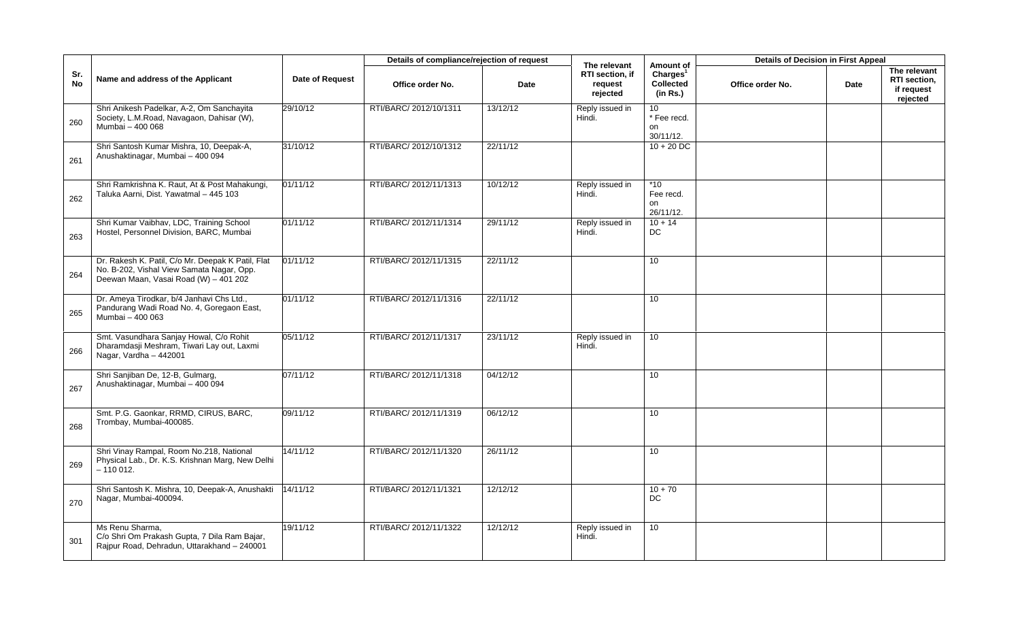|           |                                                                                                                                         |                 | Details of compliance/rejection of request |          |                                                        |                                                            | <b>Details of Decision in First Appeal</b> |      |                                                        |
|-----------|-----------------------------------------------------------------------------------------------------------------------------------------|-----------------|--------------------------------------------|----------|--------------------------------------------------------|------------------------------------------------------------|--------------------------------------------|------|--------------------------------------------------------|
| Sr.<br>No | Name and address of the Applicant                                                                                                       | Date of Request | Office order No.                           | Date     | The relevant<br>RTI section, if<br>request<br>rejected | Amount of<br>Charles <sup>1</sup><br>Collected<br>(in Rs.) | Office order No.                           | Date | The relevant<br>RTI section,<br>if request<br>rejected |
| 260       | Shri Anikesh Padelkar, A-2, Om Sanchayita<br>Society, L.M.Road, Navagaon, Dahisar (W),<br>Mumbai - 400 068                              | 29/10/12        | RTI/BARC/ 2012/10/1311                     | 13/12/12 | Reply issued in<br>Hindi.                              | 10<br>* Fee recd.<br>on<br>30/11/12.                       |                                            |      |                                                        |
| 261       | Shri Santosh Kumar Mishra, 10, Deepak-A,<br>Anushaktinagar, Mumbai - 400 094                                                            | 31/10/12        | RTI/BARC/ 2012/10/1312                     | 22/11/12 |                                                        | $10 + 20$ DC                                               |                                            |      |                                                        |
| 262       | Shri Ramkrishna K. Raut, At & Post Mahakungi,<br>Taluka Aarni, Dist. Yawatmal - 445 103                                                 | 01/11/12        | RTI/BARC/ 2012/11/1313                     | 10/12/12 | Reply issued in<br>Hindi.                              | $*10$<br>Fee recd.<br>on<br>26/11/12.                      |                                            |      |                                                        |
| 263       | Shri Kumar Vaibhav, LDC, Training School<br>Hostel, Personnel Division, BARC, Mumbai                                                    | 01/11/12        | RTI/BARC/ 2012/11/1314                     | 29/11/12 | Reply issued in<br>Hindi.                              | $10 + 14$<br><b>DC</b>                                     |                                            |      |                                                        |
| 264       | Dr. Rakesh K. Patil, C/o Mr. Deepak K Patil, Flat<br>No. B-202, Vishal View Samata Nagar, Opp.<br>Deewan Maan, Vasai Road (W) - 401 202 | 01/11/12        | RTI/BARC/ 2012/11/1315                     | 22/11/12 |                                                        | 10                                                         |                                            |      |                                                        |
| 265       | Dr. Ameya Tirodkar, b/4 Janhavi Chs Ltd.,<br>Pandurang Wadi Road No. 4, Goregaon East,<br>Mumbai - 400 063                              | 01/11/12        | RTI/BARC/ 2012/11/1316                     | 22/11/12 |                                                        | 10                                                         |                                            |      |                                                        |
| 266       | Smt. Vasundhara Sanjay Howal, C/o Rohit<br>Dharamdasji Meshram, Tiwari Lay out, Laxmi<br>Nagar, Vardha - 442001                         | 05/11/12        | RTI/BARC/ 2012/11/1317                     | 23/11/12 | Reply issued in<br>Hindi.                              | 10                                                         |                                            |      |                                                        |
| 267       | Shri Sanjiban De, 12-B, Gulmarg,<br>Anushaktinagar, Mumbai - 400 094                                                                    | 07/11/12        | RTI/BARC/ 2012/11/1318                     | 04/12/12 |                                                        | 10                                                         |                                            |      |                                                        |
| 268       | Smt. P.G. Gaonkar, RRMD, CIRUS, BARC,<br>Trombay, Mumbai-400085.                                                                        | 09/11/12        | RTI/BARC/ 2012/11/1319                     | 06/12/12 |                                                        | 10                                                         |                                            |      |                                                        |
| 269       | Shri Vinay Rampal, Room No.218, National<br>Physical Lab., Dr. K.S. Krishnan Marg, New Delhi<br>$-110012.$                              | 14/11/12        | RTI/BARC/ 2012/11/1320                     | 26/11/12 |                                                        | 10                                                         |                                            |      |                                                        |
| 270       | Shri Santosh K. Mishra, 10, Deepak-A, Anushakti<br>Nagar, Mumbai-400094.                                                                | 4/11/12         | RTI/BARC/ 2012/11/1321                     | 12/12/12 |                                                        | $10 + 70$<br>DC                                            |                                            |      |                                                        |
| 301       | Ms Renu Sharma,<br>C/o Shri Om Prakash Gupta, 7 Dila Ram Bajar,<br>Rajpur Road, Dehradun, Uttarakhand - 240001                          | 19/11/12        | RTI/BARC/ 2012/11/1322                     | 12/12/12 | Reply issued in<br>Hindi.                              | 10                                                         |                                            |      |                                                        |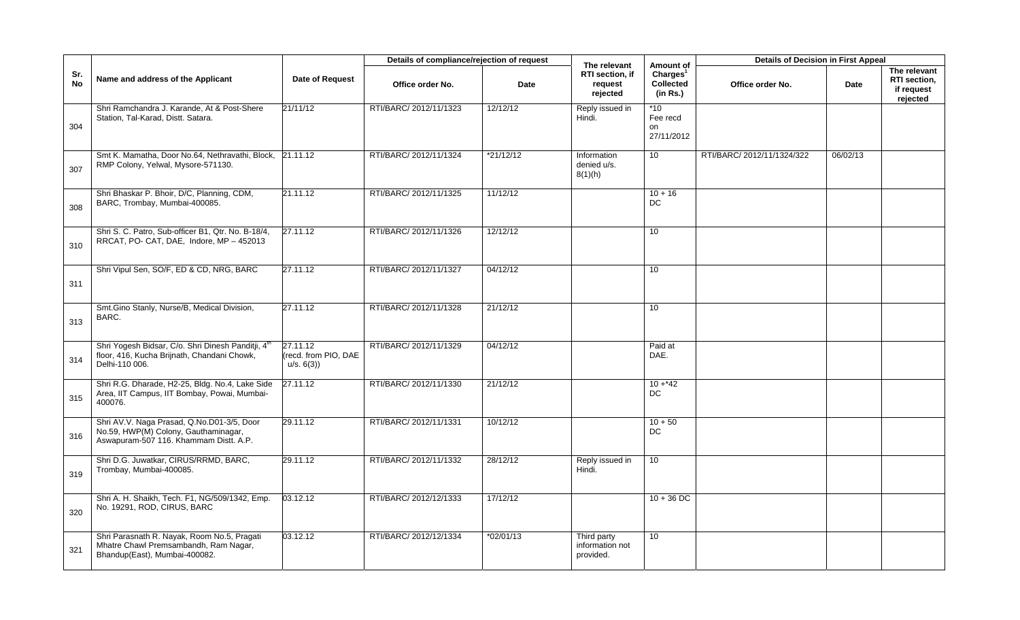|                  |                                                                                                                              |                                               | Details of compliance/rejection of request |           | The relevant                                | Amount of                                            | <b>Details of Decision in First Appeal</b> |          |                                                        |
|------------------|------------------------------------------------------------------------------------------------------------------------------|-----------------------------------------------|--------------------------------------------|-----------|---------------------------------------------|------------------------------------------------------|--------------------------------------------|----------|--------------------------------------------------------|
| Sr.<br><b>No</b> | Name and address of the Applicant                                                                                            | <b>Date of Request</b>                        | Office order No.                           | Date      | RTI section, if<br>request<br>rejected      | Charles <sup>1</sup><br><b>Collected</b><br>(in Rs.) | Office order No.                           | Date     | The relevant<br>RTI section,<br>if request<br>rejected |
| 304              | Shri Ramchandra J. Karande, At & Post-Shere<br>Station, Tal-Karad, Distt. Satara.                                            | 21/11/12                                      | RTI/BARC/ 2012/11/1323                     | 12/12/12  | Reply issued in<br>Hindi.                   | $*10$<br>Fee recd<br>on<br>27/11/2012                |                                            |          |                                                        |
| 307              | Smt K. Mamatha, Door No.64, Nethravathi, Block,<br>RMP Colony, Yelwal, Mysore-571130.                                        | 21.11.12                                      | RTI/BARC/ 2012/11/1324                     | *21/12/12 | Information<br>denied u/s.<br>8(1)(h)       | 10                                                   | RTI/BARC/ 2012/11/1324/322                 | 06/02/13 |                                                        |
| 308              | Shri Bhaskar P. Bhoir, D/C, Planning, CDM,<br>BARC, Trombay, Mumbai-400085.                                                  | 21.11.12                                      | RTI/BARC/ 2012/11/1325                     | 11/12/12  |                                             | $10 + 16$<br>DC                                      |                                            |          |                                                        |
| 310              | Shri S. C. Patro, Sub-officer B1, Qtr. No. B-18/4,<br>RRCAT, PO- CAT, DAE, Indore, MP - 452013                               | 27.11.12                                      | RTI/BARC/ 2012/11/1326                     | 12/12/12  |                                             | 10                                                   |                                            |          |                                                        |
| 311              | Shri Vipul Sen, SO/F, ED & CD, NRG, BARC                                                                                     | 27.11.12                                      | RTI/BARC/ 2012/11/1327                     | 04/12/12  |                                             | 10 <sup>°</sup>                                      |                                            |          |                                                        |
| 313              | Smt.Gino Stanly, Nurse/B, Medical Division,<br>BARC.                                                                         | 27.11.12                                      | RTI/BARC/ 2012/11/1328                     | 21/12/12  |                                             | 10 <sup>1</sup>                                      |                                            |          |                                                        |
| 314              | Shri Yogesh Bidsar, C/o. Shri Dinesh Panditji, 4th<br>floor, 416, Kucha Brijnath, Chandani Chowk,<br>Delhi-110 006.          | 27.11.12<br>(recd. from PIO, DAE<br>u/s. 6(3) | RTI/BARC/ 2012/11/1329                     | 04/12/12  |                                             | Paid at<br>DAE.                                      |                                            |          |                                                        |
| 315              | Shri R.G. Dharade, H2-25, Bldg. No.4, Lake Side<br>Area, IIT Campus, IIT Bombay, Powai, Mumbai-<br>400076.                   | 27.11.12                                      | RTI/BARC/ 2012/11/1330                     | 21/12/12  |                                             | $10 + 42$<br><b>DC</b>                               |                                            |          |                                                        |
| 316              | Shri AV.V. Naga Prasad, Q.No.D01-3/5, Door<br>No.59, HWP(M) Colony, Gauthaminagar,<br>Aswapuram-507 116. Khammam Distt. A.P. | 29.11.12                                      | RTI/BARC/ 2012/11/1331                     | 10/12/12  |                                             | $10 + 50$<br><b>DC</b>                               |                                            |          |                                                        |
| 319              | Shri D.G. Juwatkar, CIRUS/RRMD, BARC,<br>Trombay, Mumbai-400085.                                                             | 29.11.12                                      | RTI/BARC/ 2012/11/1332                     | 28/12/12  | Reply issued in<br>Hindi.                   | 10 <sup>°</sup>                                      |                                            |          |                                                        |
| 320              | Shri A. H. Shaikh, Tech. F1, NG/509/1342, Emp.<br>No. 19291, ROD, CIRUS, BARC                                                | 03.12.12                                      | RTI/BARC/ 2012/12/1333                     | 17/12/12  |                                             | $10 + 36$ DC                                         |                                            |          |                                                        |
| 321              | Shri Parasnath R. Nayak, Room No.5, Pragati<br>Mhatre Chawl Premsambandh, Ram Nagar,<br>Bhandup(East), Mumbai-400082.        | 03.12.12                                      | RTI/BARC/ 2012/12/1334                     | *02/01/13 | Third party<br>information not<br>provided. | 10                                                   |                                            |          |                                                        |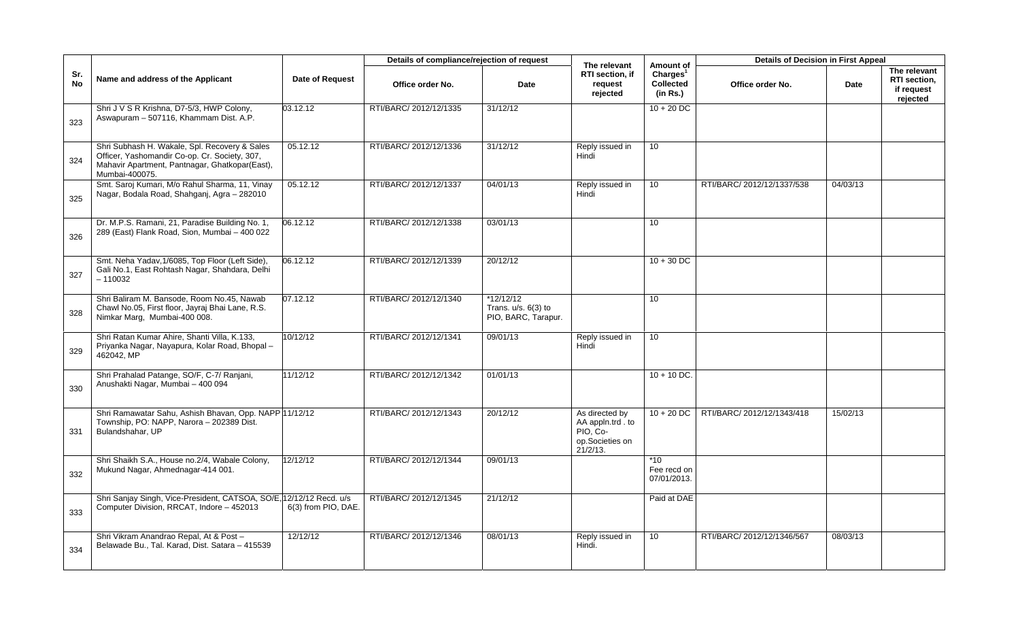|                  |                                                                                                                                                                    |                        | Details of compliance/rejection of request |                                                             | The relevant                                                                      | Amount of                                            | <b>Details of Decision in First Appeal</b> |          |                                                        |
|------------------|--------------------------------------------------------------------------------------------------------------------------------------------------------------------|------------------------|--------------------------------------------|-------------------------------------------------------------|-----------------------------------------------------------------------------------|------------------------------------------------------|--------------------------------------------|----------|--------------------------------------------------------|
| Sr.<br><b>No</b> | Name and address of the Applicant                                                                                                                                  | <b>Date of Request</b> | Office order No.                           | Date                                                        | RTI section, if<br>request<br>rejected                                            | Charles <sup>1</sup><br><b>Collected</b><br>(in Rs.) | Office order No.                           | Date     | The relevant<br>RTI section,<br>if request<br>rejected |
| 323              | Shri J V S R Krishna, D7-5/3, HWP Colony,<br>Aswapuram - 507116, Khammam Dist. A.P.                                                                                | 03.12.12               | RTI/BARC/ 2012/12/1335                     | 31/12/12                                                    |                                                                                   | $10 + 20$ DC                                         |                                            |          |                                                        |
| 324              | Shri Subhash H. Wakale, Spl. Recovery & Sales<br>Officer, Yashomandir Co-op. Cr. Society, 307,<br>Mahavir Apartment, Pantnagar, Ghatkopar(East),<br>Mumbai-400075. | 05.12.12               | RTI/BARC/ 2012/12/1336                     | 31/12/12                                                    | Reply issued in<br>Hindi                                                          | 10 <sup>°</sup>                                      |                                            |          |                                                        |
| 325              | Smt. Saroj Kumari, M/o Rahul Sharma, 11, Vinay<br>Nagar, Bodala Road, Shahganj, Agra - 282010                                                                      | $\overline{05.12.12}$  | RTI/BARC/ 2012/12/1337                     | 04/01/13                                                    | Reply issued in<br>Hindi                                                          | 10 <sup>1</sup>                                      | RTI/BARC/ 2012/12/1337/538                 | 04/03/13 |                                                        |
| 326              | Dr. M.P.S. Ramani, 21, Paradise Building No. 1,<br>289 (East) Flank Road, Sion, Mumbai - 400 022                                                                   | 06.12.12               | RTI/BARC/ 2012/12/1338                     | 03/01/13                                                    |                                                                                   | 10 <sup>1</sup>                                      |                                            |          |                                                        |
| 327              | Smt. Neha Yadav, 1/6085, Top Floor (Left Side),<br>Gali No.1, East Rohtash Nagar, Shahdara, Delhi<br>$-110032$                                                     | 06.12.12               | RTI/BARC/ 2012/12/1339                     | 20/12/12                                                    |                                                                                   | $10 + 30$ DC                                         |                                            |          |                                                        |
| 328              | Shri Baliram M. Bansode, Room No.45, Nawab<br>Chawl No.05, First floor, Jayraj Bhai Lane, R.S.<br>Nimkar Marg, Mumbai-400 008.                                     | 07.12.12               | RTI/BARC/ 2012/12/1340                     | $*12/12/12$<br>Trans. $u/s. 6(3)$ to<br>PIO, BARC, Tarapur. |                                                                                   | 10                                                   |                                            |          |                                                        |
| 329              | Shri Ratan Kumar Ahire, Shanti Villa, K.133,<br>Priyanka Nagar, Nayapura, Kolar Road, Bhopal -<br>462042, MP                                                       | 10/12/12               | RTI/BARC/ 2012/12/1341                     | 09/01/13                                                    | Reply issued in<br>Hindi                                                          | 10 <sup>°</sup>                                      |                                            |          |                                                        |
| 330              | Shri Prahalad Patange, SO/F, C-7/ Ranjani,<br>Anushakti Nagar, Mumbai - 400 094                                                                                    | 11/12/12               | RTI/BARC/ 2012/12/1342                     | 01/01/13                                                    |                                                                                   | $10 + 10$ DC.                                        |                                            |          |                                                        |
| 331              | Shri Ramawatar Sahu, Ashish Bhavan, Opp. NAPP 11/12/12<br>Township, PO: NAPP, Narora - 202389 Dist.<br>Bulandshahar, UP                                            |                        | RTI/BARC/ 2012/12/1343                     | 20/12/12                                                    | As directed by<br>AA appln.trd . to<br>PIO, Co-<br>op.Societies on<br>$21/2/13$ . | $10 + 20$ DC                                         | RTI/BARC/ 2012/12/1343/418                 | 15/02/13 |                                                        |
| 332              | Shri Shaikh S.A., House no.2/4, Wabale Colony,<br>Mukund Nagar, Ahmednagar-414 001.                                                                                | 12/12/12               | RTI/BARC/ 2012/12/1344                     | 09/01/13                                                    |                                                                                   | $*10$<br>Fee recd on<br>07/01/2013.                  |                                            |          |                                                        |
| 333              | Shri Sanjay Singh, Vice-President, CATSOA, SO/E, 12/12/12 Recd. u/s<br>Computer Division, RRCAT, Indore - 452013                                                   | 6(3) from PIO, DAE.    | RTI/BARC/ 2012/12/1345                     | 21/12/12                                                    |                                                                                   | Paid at DAE                                          |                                            |          |                                                        |
| 334              | Shri Vikram Anandrao Repal, At & Post -<br>Belawade Bu., Tal. Karad, Dist. Satara - 415539                                                                         | 12/12/12               | RTI/BARC/ 2012/12/1346                     | 08/01/13                                                    | Reply issued in<br>Hindi.                                                         | 10 <sup>1</sup>                                      | RTI/BARC/ 2012/12/1346/567                 | 08/03/13 |                                                        |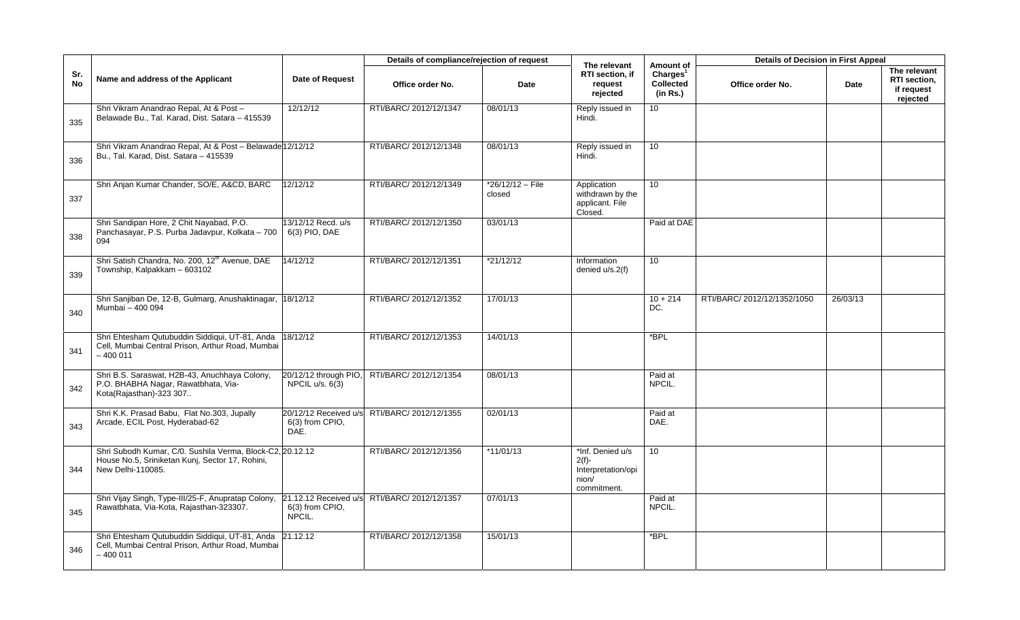|                  |                                                                                                                                   |                                                    | Details of compliance/rejection of request |                            | The relevant                                                               | Amount of                                            | <b>Details of Decision in First Appeal</b> |          |                                                        |
|------------------|-----------------------------------------------------------------------------------------------------------------------------------|----------------------------------------------------|--------------------------------------------|----------------------------|----------------------------------------------------------------------------|------------------------------------------------------|--------------------------------------------|----------|--------------------------------------------------------|
| Sr.<br><b>No</b> | Name and address of the Applicant                                                                                                 | <b>Date of Request</b>                             | Office order No.                           | Date                       | RTI section, if<br>request<br>rejected                                     | Charles <sup>1</sup><br><b>Collected</b><br>(in Rs.) | Office order No.                           | Date     | The relevant<br>RTI section,<br>if request<br>rejected |
| 335              | Shri Vikram Anandrao Repal, At & Post -<br>Belawade Bu., Tal. Karad, Dist. Satara - 415539                                        | 12/12/12                                           | RTI/BARC/ 2012/12/1347                     | 08/01/13                   | Reply issued in<br>Hindi.                                                  | 10                                                   |                                            |          |                                                        |
| 336              | Shri Vikram Anandrao Repal, At & Post - Belawade 12/12/12<br>Bu., Tal. Karad, Dist. Satara - 415539                               |                                                    | RTI/BARC/ 2012/12/1348                     | 08/01/13                   | Reply issued in<br>Hindi.                                                  | 10 <sup>°</sup>                                      |                                            |          |                                                        |
| 337              | Shri Anjan Kumar Chander, SO/E, A&CD, BARC                                                                                        | 12/12/12                                           | RTI/BARC/ 2012/12/1349                     | *26/12/12 - File<br>closed | Application<br>withdrawn by the<br>applicant. File<br>Closed.              | 10 <sup>10</sup>                                     |                                            |          |                                                        |
| 338              | Shri Sandipan Hore, 2 Chit Nayabad, P.O.<br>Panchasayar, P.S. Purba Jadavpur, Kolkata - 700<br>094                                | 13/12/12 Recd. u/s<br>6(3) PIO, DAE                | RTI/BARC/ 2012/12/1350                     | 03/01/13                   |                                                                            | Paid at DAE                                          |                                            |          |                                                        |
| 339              | Shri Satish Chandra, No. 200, 12 <sup>th</sup> Avenue, DAE<br>Township, Kalpakkam - 603102                                        | 14/12/12                                           | RTI/BARC/ 2012/12/1351                     | *21/12/12                  | Information<br>denied u/s.2(f)                                             | 10                                                   |                                            |          |                                                        |
| 340              | Shri Sanjiban De, 12-B, Gulmarg, Anushaktinagar,<br>Mumbai - 400 094                                                              | 18/12/12                                           | RTI/BARC/ 2012/12/1352                     | 17/01/13                   |                                                                            | $10 + 214$<br>DC.                                    | RTI/BARC/ 2012/12/1352/1050                | 26/03/13 |                                                        |
| 341              | Shri Ehtesham Qutubuddin Siddiqui, UT-81, Anda<br>Cell, Mumbai Central Prison, Arthur Road, Mumbai<br>$-400011$                   | 18/12/12                                           | RTI/BARC/ 2012/12/1353                     | 14/01/13                   |                                                                            | *BPL                                                 |                                            |          |                                                        |
| 342              | Shri B.S. Saraswat, H2B-43, Anuchhaya Colony,<br>P.O. BHABHA Nagar, Rawatbhata, Via-<br>Kota(Rajasthan)-323 307                   | 20/12/12 through PIO,<br>NPCIL $u/s. 6(3)$         | RTI/BARC/ 2012/12/1354                     | 08/01/13                   |                                                                            | Paid at<br>NPCIL.                                    |                                            |          |                                                        |
| 343              | Shri K.K. Prasad Babu, Flat No.303, Jupally<br>Arcade, ECIL Post, Hyderabad-62                                                    | 20/12/12 Received u/s<br>6(3) from CPIO,<br>DAE.   | RTI/BARC/ 2012/12/1355                     | 02/01/13                   |                                                                            | Paid at<br>DAE.                                      |                                            |          |                                                        |
| 344              | Shri Subodh Kumar, C/0. Sushila Verma, Block-C2, 20.12.12<br>House No.5, Sriniketan Kunj, Sector 17, Rohini,<br>New Delhi-110085. |                                                    | RTI/BARC/ 2012/12/1356                     | $*11/01/13$                | *Inf. Denied u/s<br>$2(f)$ -<br>Interpretation/opi<br>nion/<br>commitment. | 10 <sup>°</sup>                                      |                                            |          |                                                        |
| 345              | Shri Vijay Singh, Type-III/25-F, Anupratap Colony,<br>Rawatbhata, Via-Kota, Rajasthan-323307.                                     | 21.12.12 Received u/s<br>6(3) from CPIO,<br>NPCIL. | RTI/BARC/ 2012/12/1357                     | 07/01/13                   |                                                                            | Paid at<br>NPCIL.                                    |                                            |          |                                                        |
| 346              | Shri Ehtesham Qutubuddin Siddiqui, UT-81, Anda<br>Cell, Mumbai Central Prison, Arthur Road, Mumbai<br>$-400011$                   | 21.12.12                                           | RTI/BARC/ 2012/12/1358                     | 15/01/13                   |                                                                            | *BPL                                                 |                                            |          |                                                        |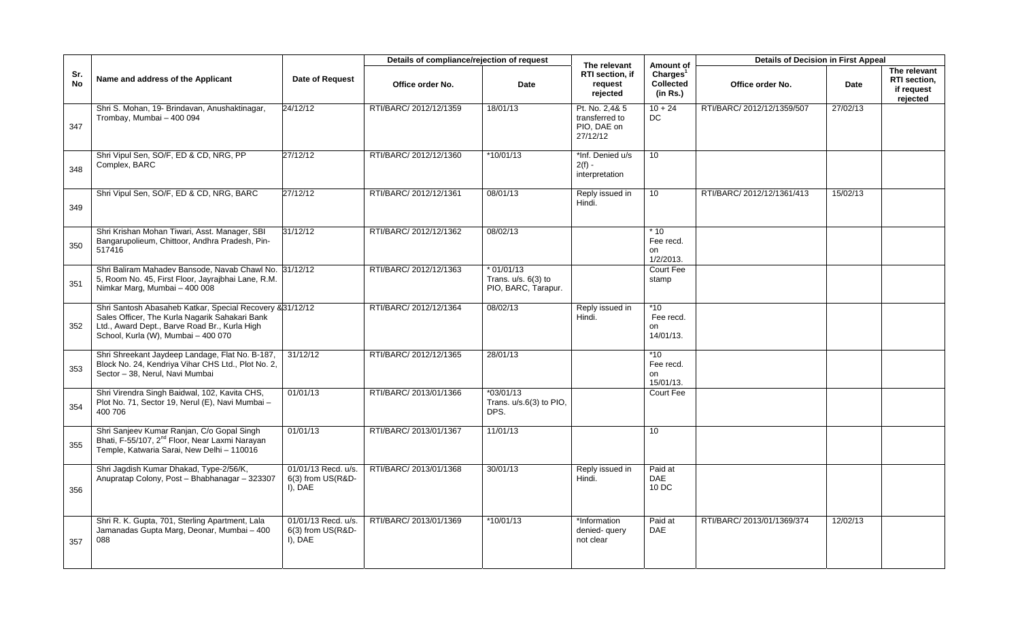|                  |                                                                                                                                                                                                     |                                                     | Details of compliance/rejection of request |                                                             | The relevant                                                | Amount of                                     | <b>Details of Decision in First Appeal</b> |             |                                                               |
|------------------|-----------------------------------------------------------------------------------------------------------------------------------------------------------------------------------------------------|-----------------------------------------------------|--------------------------------------------|-------------------------------------------------------------|-------------------------------------------------------------|-----------------------------------------------|--------------------------------------------|-------------|---------------------------------------------------------------|
| Sr.<br><b>No</b> | Name and address of the Applicant                                                                                                                                                                   | <b>Date of Request</b>                              | Office order No.                           | Date                                                        | RTI section. if<br>request<br>rejected                      | Charles <sup>1</sup><br>Collected<br>(in Rs.) | Office order No.                           | <b>Date</b> | The relevant<br><b>RTI</b> section.<br>if request<br>rejected |
| 347              | Shri S. Mohan, 19- Brindavan, Anushaktinagar,<br>Trombay, Mumbai - 400 094                                                                                                                          | 24/12/12                                            | RTI/BARC/ 2012/12/1359                     | 18/01/13                                                    | Pt. No. 2,4& 5<br>transferred to<br>PIO, DAE on<br>27/12/12 | $10 + 24$<br>DC                               | RTI/BARC/ 2012/12/1359/507                 | 27/02/13    |                                                               |
| 348              | Shri Vipul Sen, SO/F, ED & CD, NRG, PP<br>Complex, BARC                                                                                                                                             | 27/12/12                                            | RTI/BARC/ 2012/12/1360                     | $*10/01/13$                                                 | *Inf. Denied u/s<br>$2(f) -$<br>interpretation              | 10                                            |                                            |             |                                                               |
| 349              | Shri Vipul Sen, SO/F, ED & CD, NRG, BARC                                                                                                                                                            | 27/12/12                                            | RTI/BARC/ 2012/12/1361                     | 08/01/13                                                    | Reply issued in<br>Hindi.                                   | 10                                            | RTI/BARC/ 2012/12/1361/413                 | 15/02/13    |                                                               |
| 350              | Shri Krishan Mohan Tiwari, Asst. Manager, SBI<br>Bangarupolieum, Chittoor, Andhra Pradesh, Pin-<br>517416                                                                                           | 31/12/12                                            | RTI/BARC/ 2012/12/1362                     | 08/02/13                                                    |                                                             | $*10$<br>Fee recd.<br>on<br>1/2/2013.         |                                            |             |                                                               |
| 351              | Shri Baliram Mahadev Bansode, Navab Chawl No. 31/12/12<br>5, Room No. 45, First Floor, Jayrajbhai Lane, R.M.<br>Nimkar Marg, Mumbai - 400 008                                                       |                                                     | RTI/BARC/ 2012/12/1363                     | $*01/01/13$<br>Trans. $u/s. 6(3)$ to<br>PIO, BARC, Tarapur. |                                                             | Court Fee<br>stamp                            |                                            |             |                                                               |
| 352              | Shri Santosh Abasaheb Katkar, Special Recovery & 31/12/12<br>Sales Officer, The Kurla Nagarik Sahakari Bank<br>Ltd., Award Dept., Barve Road Br., Kurla High<br>School, Kurla (W), Mumbai - 400 070 |                                                     | RTI/BARC/ 2012/12/1364                     | 08/02/13                                                    | Reply issued in<br>Hindi.                                   | $*10$<br>Fee recd.<br>on<br>14/01/13.         |                                            |             |                                                               |
| 353              | Shri Shreekant Jaydeep Landage, Flat No. B-187,<br>Block No. 24, Kendriya Vihar CHS Ltd., Plot No. 2,<br>Sector - 38, Nerul, Navi Mumbai                                                            | 31/12/12                                            | RTI/BARC/ 2012/12/1365                     | 28/01/13                                                    |                                                             | $*10$<br>Fee recd.<br>on<br>15/01/13.         |                                            |             |                                                               |
| 354              | Shri Virendra Singh Baidwal, 102, Kavita CHS,<br>Plot No. 71, Sector 19, Nerul (E), Navi Mumbai -<br>400 706                                                                                        | 01/01/13                                            | RTI/BARC/ 2013/01/1366                     | $*03/01/13$<br>Trans. u/s.6(3) to PIO,<br>DPS.              |                                                             | Court Fee                                     |                                            |             |                                                               |
| 355              | Shri Sanjeev Kumar Ranjan, C/o Gopal Singh<br>Bhati, F-55/107, 2 <sup>nd</sup> Floor, Near Laxmi Narayan<br>Temple, Katwaria Sarai, New Delhi - 110016                                              | 01/01/13                                            | RTI/BARC/ 2013/01/1367                     | 11/01/13                                                    |                                                             | 10 <sup>1</sup>                               |                                            |             |                                                               |
| 356              | Shri Jaqdish Kumar Dhakad, Type-2/56/K,<br>Anupratap Colony, Post - Bhabhanagar - 323307                                                                                                            | 01/01/13 Recd. u/s.<br>6(3) from US(R&D-<br>I), DAE | RTI/BARC/ 2013/01/1368                     | 30/01/13                                                    | Reply issued in<br>Hindi.                                   | Paid at<br><b>DAE</b><br>10 DC                |                                            |             |                                                               |
| 357              | Shri R. K. Gupta, 701, Sterling Apartment, Lala<br>Jamanadas Gupta Marg, Deonar, Mumbai - 400<br>088                                                                                                | 01/01/13 Recd. u/s.<br>6(3) from US(R&D-<br>I), DAE | RTI/BARC/ 2013/01/1369                     | *10/01/13                                                   | *Information<br>denied- query<br>not clear                  | Paid at<br><b>DAE</b>                         | RTI/BARC/ 2013/01/1369/374                 | 12/02/13    |                                                               |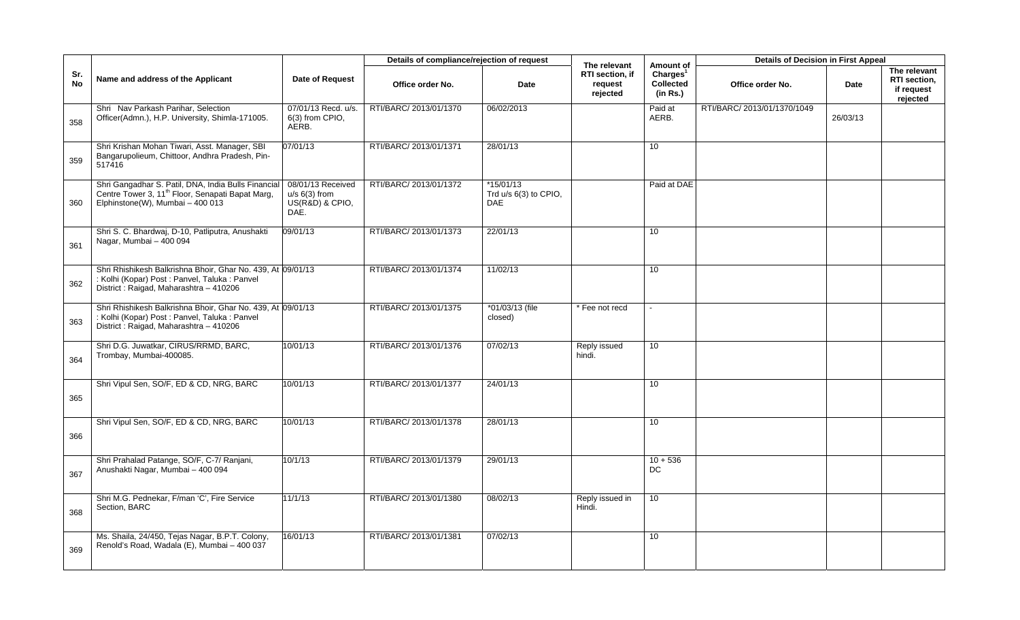|           |                                                                                                                                                          |                                                                 | Details of compliance/rejection of request |                                                    | The relevant                           | Amount of                                     | <b>Details of Decision in First Appeal</b> |          |                                                        |
|-----------|----------------------------------------------------------------------------------------------------------------------------------------------------------|-----------------------------------------------------------------|--------------------------------------------|----------------------------------------------------|----------------------------------------|-----------------------------------------------|--------------------------------------------|----------|--------------------------------------------------------|
| Sr.<br>No | Name and address of the Applicant                                                                                                                        | Date of Request                                                 | Office order No.                           | Date                                               | RTI section, if<br>request<br>rejected | Charles <sup>1</sup><br>Collected<br>(in Rs.) | Office order No.                           | Date     | The relevant<br>RTI section,<br>if request<br>rejected |
| 358       | Shri Nav Parkash Parihar, Selection<br>Officer(Admn.), H.P. University, Shimla-171005.                                                                   | 07/01/13 Recd. u/s.<br>6(3) from CPIO,<br>AERB.                 | RTI/BARC/ 2013/01/1370                     | 06/02/2013                                         |                                        | Paid at<br>AERB.                              | RTI/BARC/ 2013/01/1370/1049                | 26/03/13 |                                                        |
| 359       | Shri Krishan Mohan Tiwari, Asst. Manager, SBI<br>Bangarupolieum, Chittoor, Andhra Pradesh, Pin-<br>517416                                                | 07/01/13                                                        | RTI/BARC/ 2013/01/1371                     | 28/01/13                                           |                                        | 10                                            |                                            |          |                                                        |
| 360       | Shri Gangadhar S. Patil, DNA, India Bulls Financial<br>Centre Tower 3, 11 <sup>th</sup> Floor, Senapati Bapat Marg,<br>Elphinstone(W), Mumbai - 400 013  | 08/01/13 Received<br>$u/s$ 6(3) from<br>US(R&D) & CPIO,<br>DAE. | RTI/BARC/ 2013/01/1372                     | $*15/01/13$<br>Trd u/s 6(3) to CPIO,<br><b>DAE</b> |                                        | Paid at DAE                                   |                                            |          |                                                        |
| 361       | Shri S. C. Bhardwaj, D-10, Patliputra, Anushakti<br>Nagar, Mumbai - 400 094                                                                              | 09/01/13                                                        | RTI/BARC/ 2013/01/1373                     | 22/01/13                                           |                                        | 10                                            |                                            |          |                                                        |
| 362       | Shri Rhishikesh Balkrishna Bhoir, Ghar No. 439, At 09/01/13<br>: Kolhi (Kopar) Post : Panvel, Taluka : Panvel<br>District : Raigad, Maharashtra - 410206 |                                                                 | RTI/BARC/ 2013/01/1374                     | 11/02/13                                           |                                        | 10                                            |                                            |          |                                                        |
| 363       | Shri Rhishikesh Balkrishna Bhoir, Ghar No. 439, At 09/01/13<br>: Kolhi (Kopar) Post : Panvel, Taluka : Panvel<br>District: Raigad, Maharashtra - 410206  |                                                                 | RTI/BARC/ 2013/01/1375                     | *01/03/13 (file<br>closed)                         | Fee not recd                           | $\sim$                                        |                                            |          |                                                        |
| 364       | Shri D.G. Juwatkar, CIRUS/RRMD, BARC,<br>Trombay, Mumbai-400085.                                                                                         | 10/01/13                                                        | RTI/BARC/ 2013/01/1376                     | 07/02/13                                           | Reply issued<br>hindi.                 | 10                                            |                                            |          |                                                        |
| 365       | Shri Vipul Sen, SO/F, ED & CD, NRG, BARC                                                                                                                 | 10/01/13                                                        | RTI/BARC/ 2013/01/1377                     | 24/01/13                                           |                                        | 10                                            |                                            |          |                                                        |
| 366       | Shri Vipul Sen, SO/F, ED & CD, NRG, BARC                                                                                                                 | 10/01/13                                                        | RTI/BARC/ 2013/01/1378                     | 28/01/13                                           |                                        | 10                                            |                                            |          |                                                        |
| 367       | Shri Prahalad Patange, SO/F, C-7/ Ranjani,<br>Anushakti Nagar, Mumbai - 400 094                                                                          | 10/1/13                                                         | RTI/BARC/ 2013/01/1379                     | 29/01/13                                           |                                        | $10 + 536$<br>DC                              |                                            |          |                                                        |
| 368       | Shri M.G. Pednekar, F/man 'C', Fire Service<br>Section, BARC                                                                                             | 11/1/13                                                         | RTI/BARC/ 2013/01/1380                     | 08/02/13                                           | Reply issued in<br>Hindi.              | 10                                            |                                            |          |                                                        |
| 369       | Ms. Shaila, 24/450, Tejas Nagar, B.P.T. Colony,<br>Renold's Road, Wadala (E), Mumbai - 400 037                                                           | 16/01/13                                                        | RTI/BARC/ 2013/01/1381                     | 07/02/13                                           |                                        | 10                                            |                                            |          |                                                        |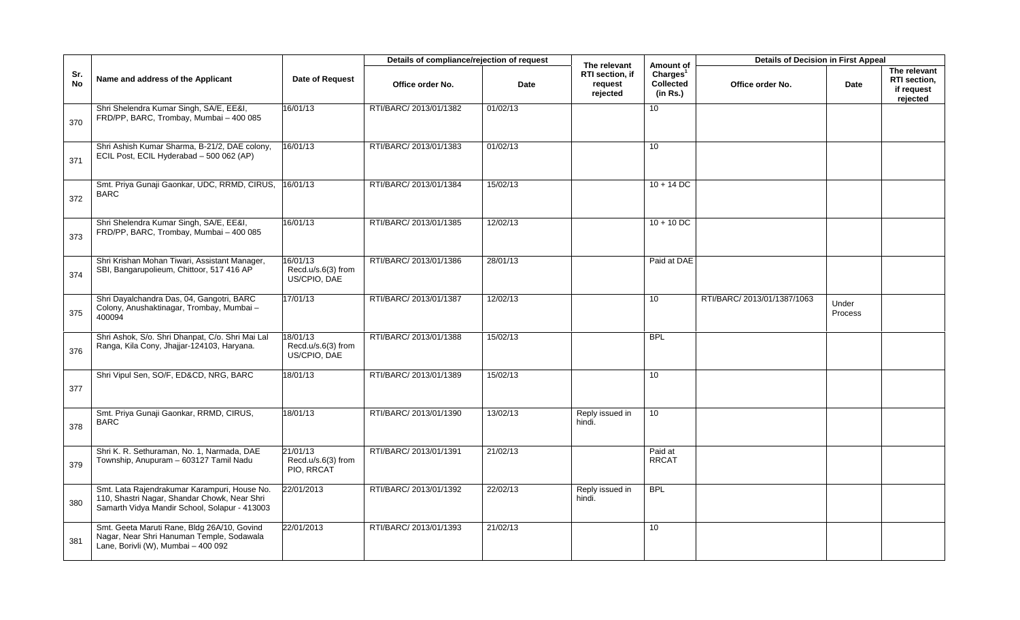|                  |                                                                                                                                               |                                               | Details of compliance/rejection of request |          |                                                        |                                                                   | <b>Details of Decision in First Appeal</b> |                  |                                                        |
|------------------|-----------------------------------------------------------------------------------------------------------------------------------------------|-----------------------------------------------|--------------------------------------------|----------|--------------------------------------------------------|-------------------------------------------------------------------|--------------------------------------------|------------------|--------------------------------------------------------|
| Sr.<br><b>No</b> | Name and address of the Applicant                                                                                                             | Date of Request                               | Office order No.                           | Date     | The relevant<br>RTI section, if<br>request<br>rejected | Amount of<br>Charles <sup>1</sup><br><b>Collected</b><br>(in Rs.) | Office order No.                           | Date             | The relevant<br>RTI section,<br>if request<br>rejected |
| 370              | Shri Shelendra Kumar Singh, SA/E, EE&I,<br>FRD/PP, BARC, Trombay, Mumbai - 400 085                                                            | 16/01/13                                      | RTI/BARC/ 2013/01/1382                     | 01/02/13 |                                                        | 10                                                                |                                            |                  |                                                        |
| 371              | Shri Ashish Kumar Sharma, B-21/2, DAE colony,<br>ECIL Post, ECIL Hyderabad - 500 062 (AP)                                                     | 16/01/13                                      | RTI/BARC/ 2013/01/1383                     | 01/02/13 |                                                        | 10                                                                |                                            |                  |                                                        |
| 372              | Smt. Priya Gunaji Gaonkar, UDC, RRMD, CIRUS,<br><b>BARC</b>                                                                                   | 16/01/13                                      | RTI/BARC/ 2013/01/1384                     | 15/02/13 |                                                        | $10 + 14$ DC                                                      |                                            |                  |                                                        |
| 373              | Shri Shelendra Kumar Singh, SA/E, EE&I,<br>FRD/PP, BARC, Trombay, Mumbai - 400 085                                                            | 16/01/13                                      | RTI/BARC/ 2013/01/1385                     | 12/02/13 |                                                        | $10 + 10$ DC                                                      |                                            |                  |                                                        |
| 374              | Shri Krishan Mohan Tiwari, Assistant Manager,<br>SBI, Bangarupolieum, Chittoor, 517 416 AP                                                    | 6/01/13<br>Recd.u/s.6(3) from<br>US/CPIO, DAE | RTI/BARC/ 2013/01/1386                     | 28/01/13 |                                                        | Paid at DAE                                                       |                                            |                  |                                                        |
| 375              | Shri Dayalchandra Das, 04, Gangotri, BARC<br>Colony, Anushaktinagar, Trombay, Mumbai-<br>400094                                               | 17/01/13                                      | RTI/BARC/ 2013/01/1387                     | 12/02/13 |                                                        | 10                                                                | RTI/BARC/ 2013/01/1387/1063                | Under<br>Process |                                                        |
| 376              | Shri Ashok, S/o. Shri Dhanpat, C/o. Shri Mai Lal<br>Ranga, Kila Cony, Jhajjar-124103, Haryana.                                                | 8/01/13<br>Recd.u/s.6(3) from<br>US/CPIO, DAE | RTI/BARC/ 2013/01/1388                     | 15/02/13 |                                                        | <b>BPL</b>                                                        |                                            |                  |                                                        |
| 377              | Shri Vipul Sen, SO/F, ED&CD, NRG, BARC                                                                                                        | 18/01/13                                      | RTI/BARC/ 2013/01/1389                     | 15/02/13 |                                                        | 10                                                                |                                            |                  |                                                        |
| 378              | Smt. Priya Gunaji Gaonkar, RRMD, CIRUS,<br><b>BARC</b>                                                                                        | 18/01/13                                      | RTI/BARC/ 2013/01/1390                     | 13/02/13 | Reply issued in<br>hindi.                              | 10                                                                |                                            |                  |                                                        |
| 379              | Shri K. R. Sethuraman, No. 1, Narmada, DAE<br>Township, Anupuram - 603127 Tamil Nadu                                                          | 21/01/13<br>Recd.u/s.6(3) from<br>PIO, RRCAT  | RTI/BARC/ 2013/01/1391                     | 21/02/13 |                                                        | Paid at<br><b>RRCAT</b>                                           |                                            |                  |                                                        |
| 380              | Smt. Lata Rajendrakumar Karampuri, House No.<br>110, Shastri Nagar, Shandar Chowk, Near Shri<br>Samarth Vidya Mandir School, Solapur - 413003 | 22/01/2013                                    | RTI/BARC/ 2013/01/1392                     | 22/02/13 | Reply issued in<br>hindi.                              | <b>BPL</b>                                                        |                                            |                  |                                                        |
| 381              | Smt. Geeta Maruti Rane, Bldg 26A/10, Govind<br>Nagar, Near Shri Hanuman Temple, Sodawala<br>Lane, Borivli (W), Mumbai - 400 092               | 22/01/2013                                    | RTI/BARC/ 2013/01/1393                     | 21/02/13 |                                                        | 10                                                                |                                            |                  |                                                        |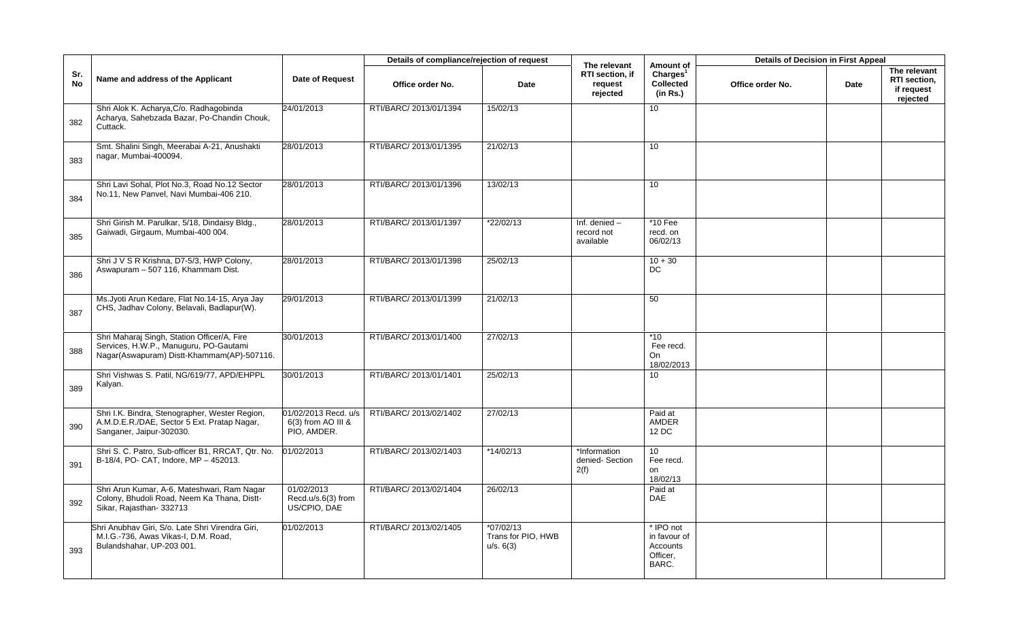|                  |                                                                                                                                     |                                                           | Details of compliance/rejection of request |                                                | The relevant                               | Amount of                                                  | <b>Details of Decision in First Appeal</b> |      |                                                        |
|------------------|-------------------------------------------------------------------------------------------------------------------------------------|-----------------------------------------------------------|--------------------------------------------|------------------------------------------------|--------------------------------------------|------------------------------------------------------------|--------------------------------------------|------|--------------------------------------------------------|
| Sr.<br><b>No</b> | Name and address of the Applicant                                                                                                   | <b>Date of Request</b>                                    | Office order No.                           | Date                                           | RTI section, if<br>request<br>rejected     | Charles <sup>1</sup><br>Collected<br>(in Rs.)              | Office order No.                           | Date | The relevant<br>RTI section,<br>if request<br>rejected |
| 382              | Shri Alok K. Acharya, C/o. Radhagobinda<br>Acharya, Sahebzada Bazar, Po-Chandin Chouk,<br>Cuttack.                                  | 24/01/2013                                                | RTI/BARC/ 2013/01/1394                     | 15/02/13                                       |                                            | 10 <sup>1</sup>                                            |                                            |      |                                                        |
| 383              | Smt. Shalini Singh, Meerabai A-21, Anushakti<br>nagar, Mumbai-400094.                                                               | 28/01/2013                                                | RTI/BARC/ 2013/01/1395                     | 21/02/13                                       |                                            | 10                                                         |                                            |      |                                                        |
| 384              | Shri Lavi Sohal, Plot No.3, Road No.12 Sector<br>No.11, New Panvel, Navi Mumbai-406 210.                                            | 28/01/2013                                                | RTI/BARC/ 2013/01/1396                     | 13/02/13                                       |                                            | 10                                                         |                                            |      |                                                        |
| 385              | Shri Girish M. Parulkar, 5/18, Dindaisy Bldg.,<br>Gaiwadi, Girgaum, Mumbai-400 004.                                                 | 28/01/2013                                                | RTI/BARC/ 2013/01/1397                     | *22/02/13                                      | Inf. denied $-$<br>record not<br>available | $*10$ Fee<br>recd. on<br>06/02/13                          |                                            |      |                                                        |
| 386              | Shri J V S R Krishna, D7-5/3, HWP Colony,<br>Aswapuram - 507 116, Khammam Dist.                                                     | 28/01/2013                                                | RTI/BARC/ 2013/01/1398                     | 25/02/13                                       |                                            | $10 + 30$<br>DC                                            |                                            |      |                                                        |
| 387              | Ms. Jyoti Arun Kedare, Flat No. 14-15, Arya Jay<br>CHS, Jadhav Colony, Belavali, Badlapur(W).                                       | 29/01/2013                                                | RTI/BARC/ 2013/01/1399                     | 21/02/13                                       |                                            | 50                                                         |                                            |      |                                                        |
| 388              | Shri Maharaj Singh, Station Officer/A, Fire<br>Services, H.W.P., Manuguru, PO-Gautami<br>Nagar(Aswapuram) Distt-Khammam(AP)-507116. | 30/01/2013                                                | RTI/BARC/ 2013/01/1400                     | 27/02/13                                       |                                            | $*10$<br>Fee recd.<br><b>On</b><br>18/02/2013              |                                            |      |                                                        |
| 389              | Shri Vishwas S. Patil, NG/619/77, APD/EHPPL<br>Kalyan.                                                                              | 30/01/2013                                                | RTI/BARC/ 2013/01/1401                     | 25/02/13                                       |                                            | 10                                                         |                                            |      |                                                        |
| 390              | Shri I.K. Bindra, Stenographer, Wester Region,<br>A.M.D.E.R./DAE, Sector 5 Ext. Pratap Nagar,<br>Sanganer, Jaipur-302030.           | 01/02/2013 Recd. u/s<br>6(3) from AO III &<br>PIO, AMDER. | RTI/BARC/ 2013/02/1402                     | 27/02/13                                       |                                            | Paid at<br><b>AMDER</b><br>12 DC                           |                                            |      |                                                        |
| 391              | Shri S. C. Patro, Sub-officer B1, RRCAT, Qtr. No.<br>B-18/4, PO- CAT, Indore, MP - 452013.                                          | 01/02/2013                                                | RTI/BARC/ 2013/02/1403                     | $*14/02/13$                                    | *Information<br>denied-Section<br>2(f)     | 10 <sup>°</sup><br>Fee recd.<br>on<br>18/02/13             |                                            |      |                                                        |
| 392              | Shri Arun Kumar, A-6, Mateshwari, Ram Nagar<br>Colony, Bhudoli Road, Neem Ka Thana, Distt-<br>Sikar, Rajasthan- 332713              | 01/02/2013<br>Recd.u/s.6(3) from<br>US/CPIO, DAE          | RTI/BARC/ 2013/02/1404                     | 26/02/13                                       |                                            | Paid at<br><b>DAE</b>                                      |                                            |      |                                                        |
| 393              | Shri Anubhav Giri, S/o. Late Shri Virendra Giri,<br>M.I.G.-736, Awas Vikas-I, D.M. Road,<br>Bulandshahar, UP-203 001.               | 01/02/2013                                                | RTI/BARC/ 2013/02/1405                     | $*07/02/13$<br>Trans for PIO, HWB<br>u/s. 6(3) |                                            | * IPO not<br>in favour of<br>Accounts<br>Officer.<br>BARC. |                                            |      |                                                        |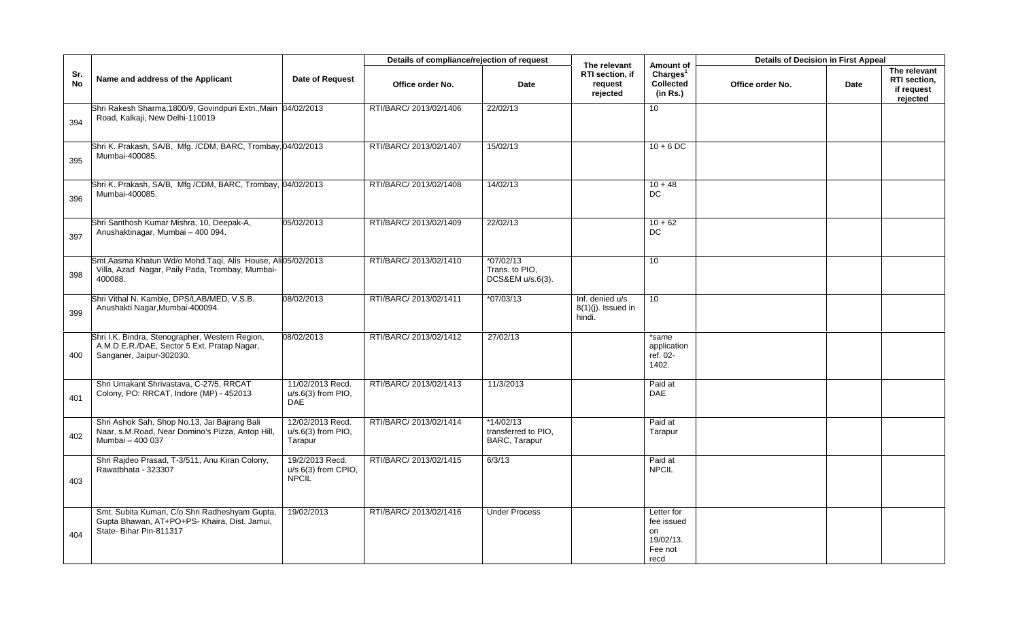|                  |                                                                                                                            |                                                        | Details of compliance/rejection of request |                                                     | The relevant                                       | Amount of                                                      | <b>Details of Decision in First Appeal</b> |      |                                                        |
|------------------|----------------------------------------------------------------------------------------------------------------------------|--------------------------------------------------------|--------------------------------------------|-----------------------------------------------------|----------------------------------------------------|----------------------------------------------------------------|--------------------------------------------|------|--------------------------------------------------------|
| Sr.<br><b>No</b> | Name and address of the Applicant                                                                                          | Date of Request                                        | Office order No.                           | Date                                                | RTI section, if<br>request<br>rejected             | Charles <sup>1</sup><br><b>Collected</b><br>(in Rs.)           | Office order No.                           | Date | The relevant<br>RTI section,<br>if request<br>rejected |
| 394              | Shri Rakesh Sharma, 1800/9, Govindpuri Extn., Main 04/02/2013<br>Road, Kalkaji, New Delhi-110019                           |                                                        | RTI/BARC/ 2013/02/1406                     | 22/02/13                                            |                                                    | 10 <sup>1</sup>                                                |                                            |      |                                                        |
| 395              | Shri K. Prakash, SA/B, Mfg. /CDM, BARC, Trombay, 04/02/2013<br>Mumbai-400085.                                              |                                                        | RTI/BARC/ 2013/02/1407                     | 15/02/13                                            |                                                    | $10 + 6$ DC                                                    |                                            |      |                                                        |
| 396              | Shri K. Prakash, SA/B, Mfg /CDM, BARC, Trombay, 04/02/2013<br>Mumbai-400085.                                               |                                                        | RTI/BARC/ 2013/02/1408                     | 14/02/13                                            |                                                    | $10 + 48$<br>DC                                                |                                            |      |                                                        |
| 397              | Shri Santhosh Kumar Mishra, 10, Deepak-A,<br>Anushaktinagar, Mumbai - 400 094.                                             | 05/02/2013                                             | RTI/BARC/ 2013/02/1409                     | 22/02/13                                            |                                                    | $10 + 62$<br>DC                                                |                                            |      |                                                        |
| 398              | Smt.Aasma Khatun Wd/o Mohd.Taqi, Alis House, Ali05/02/2013<br>Villa, Azad Nagar, Paily Pada, Trombay, Mumbai-<br>400088.   |                                                        | RTI/BARC/ 2013/02/1410                     | $*07/02/13$<br>Trans. to PIO,<br>DCS&EM u/s.6(3).   |                                                    | 10                                                             |                                            |      |                                                        |
| 399              | Shri Vithal N. Kamble, DPS/LAB/MED, V.S.B.<br>Anushakti Nagar, Mumbai-400094.                                              | 08/02/2013                                             | RTI/BARC/ 2013/02/1411                     | $*07/03/13$                                         | Inf. denied u/s<br>$8(1)(j)$ . Issued in<br>hindi. | 10                                                             |                                            |      |                                                        |
| 400              | Shri I.K. Bindra, Stenographer, Western Region,<br>A.M.D.E.R./DAE, Sector 5 Ext. Pratap Nagar,<br>Sanganer, Jaipur-302030. | 08/02/2013                                             | RTI/BARC/ 2013/02/1412                     | 27/02/13                                            |                                                    | *same<br>application<br>ref. 02-<br>1402.                      |                                            |      |                                                        |
| 401              | Shri Umakant Shrivastava, C-27/5, RRCAT<br>Colony, PO: RRCAT, Indore (MP) - 452013                                         | 11/02/2013 Recd.<br>$u/s.6(3)$ from PIO,<br><b>DAE</b> | RTI/BARC/ 2013/02/1413                     | 11/3/2013                                           |                                                    | Paid at<br><b>DAE</b>                                          |                                            |      |                                                        |
| 402              | Shri Ashok Sah, Shop No.13, Jai Bajrang Bali<br>Naar, s.M.Road, Near Domino's Pizza, Antop Hill,<br>Mumbai - 400 037       | 12/02/2013 Recd.<br>$u/s.6(3)$ from PIO,<br>Tarapur    | RTI/BARC/ 2013/02/1414                     | $*14/02/13$<br>transferred to PIO.<br>BARC, Tarapur |                                                    | Paid at<br>Tarapur                                             |                                            |      |                                                        |
| 403              | Shri Rajdeo Prasad, T-3/511, Anu Kiran Colony,<br>Rawatbhata - 323307                                                      | 19/2/2013 Recd.<br>u/s 6(3) from CPIO,<br><b>NPCIL</b> | RTI/BARC/ 2013/02/1415                     | 6/3/13                                              |                                                    | Paid at<br><b>NPCIL</b>                                        |                                            |      |                                                        |
| 404              | Smt. Subita Kumari, C/o Shri Radheshyam Gupta,<br>Gupta Bhawan, AT+PO+PS- Khaira, Dist. Jamui,<br>State- Bihar Pin-811317  | 19/02/2013                                             | RTI/BARC/ 2013/02/1416                     | <b>Under Process</b>                                |                                                    | Letter for<br>fee issued<br>on<br>19/02/13.<br>Fee not<br>recd |                                            |      |                                                        |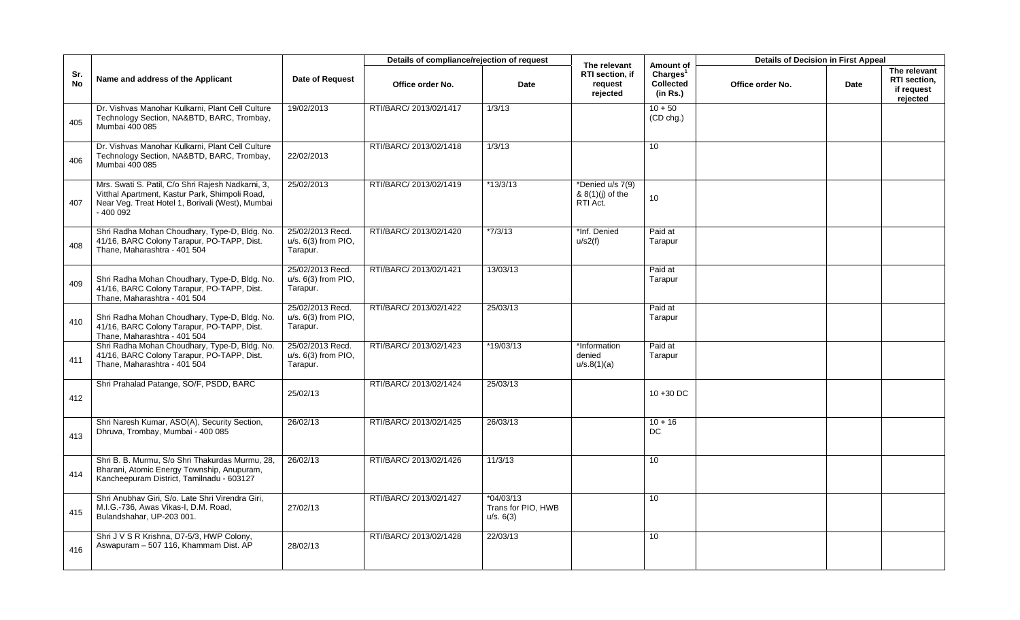|                  |                                                                                                                                                                      |                                                       | Details of compliance/rejection of request |                                                | The relevant                                     | Amount of                                            | <b>Details of Decision in First Appeal</b> |      |                                                        |
|------------------|----------------------------------------------------------------------------------------------------------------------------------------------------------------------|-------------------------------------------------------|--------------------------------------------|------------------------------------------------|--------------------------------------------------|------------------------------------------------------|--------------------------------------------|------|--------------------------------------------------------|
| Sr.<br><b>No</b> | Name and address of the Applicant                                                                                                                                    | <b>Date of Request</b>                                | Office order No.                           | Date                                           | RTI section, if<br>request<br>rejected           | Charles <sup>1</sup><br><b>Collected</b><br>(in Rs.) | Office order No.                           | Date | The relevant<br>RTI section,<br>if request<br>rejected |
| 405              | Dr. Vishvas Manohar Kulkarni, Plant Cell Culture<br>Technology Section, NA&BTD, BARC, Trombay,<br>Mumbai 400 085                                                     | 19/02/2013                                            | RTI/BARC/ 2013/02/1417                     | 1/3/13                                         |                                                  | $10 + 50$<br>(CD chg.)                               |                                            |      |                                                        |
| 406              | Dr. Vishvas Manohar Kulkarni, Plant Cell Culture<br>Technology Section, NA&BTD, BARC, Trombay,<br>Mumbai 400 085                                                     | 22/02/2013                                            | RTI/BARC/ 2013/02/1418                     | 1/3/13                                         |                                                  | 10                                                   |                                            |      |                                                        |
| 407              | Mrs. Swati S. Patil, C/o Shri Rajesh Nadkarni, 3,<br>Vitthal Apartment, Kastur Park, Shimpoli Road,<br>Near Veg. Treat Hotel 1, Borivali (West), Mumbai<br>- 400 092 | 25/02/2013                                            | RTI/BARC/ 2013/02/1419                     | *13/3/13                                       | *Denied u/s 7(9)<br>& 8(1)(j) of the<br>RTI Act. | 10                                                   |                                            |      |                                                        |
| 408              | Shri Radha Mohan Choudhary, Type-D, Bldg. No.<br>41/16, BARC Colony Tarapur, PO-TAPP, Dist.<br>Thane, Maharashtra - 401 504                                          | 25/02/2013 Recd.<br>$u/s. 6(3)$ from PIO,<br>Tarapur. | RTI/BARC/ 2013/02/1420                     | $*7/3/13$                                      | *Inf. Denied<br>u/s2(f)                          | Paid at<br>Tarapur                                   |                                            |      |                                                        |
| 409              | Shri Radha Mohan Choudhary, Type-D, Bldg. No.<br>41/16, BARC Colony Tarapur, PO-TAPP, Dist.<br>Thane, Maharashtra - 401 504                                          | 25/02/2013 Recd.<br>$u/s. 6(3)$ from PIO,<br>Tarapur. | RTI/BARC/ 2013/02/1421                     | 13/03/13                                       |                                                  | Paid at<br>Tarapur                                   |                                            |      |                                                        |
| 410              | Shri Radha Mohan Choudhary, Type-D, Bldg. No.<br>41/16, BARC Colony Tarapur, PO-TAPP, Dist.<br>Thane, Maharashtra - 401 504                                          | 25/02/2013 Recd.<br>$u/s. 6(3)$ from PIO.<br>Tarapur. | RTI/BARC/ 2013/02/1422                     | 25/03/13                                       |                                                  | Paid at<br>Tarapur                                   |                                            |      |                                                        |
| 411              | Shri Radha Mohan Choudhary, Type-D, Bldg. No.<br>41/16, BARC Colony Tarapur, PO-TAPP, Dist.<br>Thane, Maharashtra - 401 504                                          | 25/02/2013 Recd.<br>$u/s. 6(3)$ from PIO,<br>Tarapur. | RTI/BARC/ 2013/02/1423                     | *19/03/13                                      | *Information<br>denied<br>u/s.8(1)(a)            | Paid at<br>Tarapur                                   |                                            |      |                                                        |
| 412              | Shri Prahalad Patange, SO/F, PSDD, BARC                                                                                                                              | 25/02/13                                              | RTI/BARC/ 2013/02/1424                     | 25/03/13                                       |                                                  | $10 + 30$ DC                                         |                                            |      |                                                        |
| 413              | Shri Naresh Kumar, ASO(A), Security Section,<br>Dhruva, Trombay, Mumbai - 400 085                                                                                    | 26/02/13                                              | RTI/BARC/ 2013/02/1425                     | 26/03/13                                       |                                                  | $10 + 16$<br>DC                                      |                                            |      |                                                        |
| 414              | Shri B. B. Murmu, S/o Shri Thakurdas Murmu, 28,<br>Bharani, Atomic Energy Township, Anupuram,<br>Kancheepuram District, Tamilnadu - 603127                           | 26/02/13                                              | RTI/BARC/ 2013/02/1426                     | 11/3/13                                        |                                                  | 10                                                   |                                            |      |                                                        |
| 415              | Shri Anubhav Giri, S/o. Late Shri Virendra Giri,<br>M.I.G.-736, Awas Vikas-I, D.M. Road,<br>Bulandshahar, UP-203 001.                                                | 27/02/13                                              | RTI/BARC/ 2013/02/1427                     | $*04/03/13$<br>Trans for PIO, HWB<br>u/s. 6(3) |                                                  | 10                                                   |                                            |      |                                                        |
| 416              | Shri J V S R Krishna, D7-5/3, HWP Colony,<br>Aswapuram - 507 116, Khammam Dist. AP                                                                                   | 28/02/13                                              | RTI/BARC/ 2013/02/1428                     | 22/03/13                                       |                                                  | 10                                                   |                                            |      |                                                        |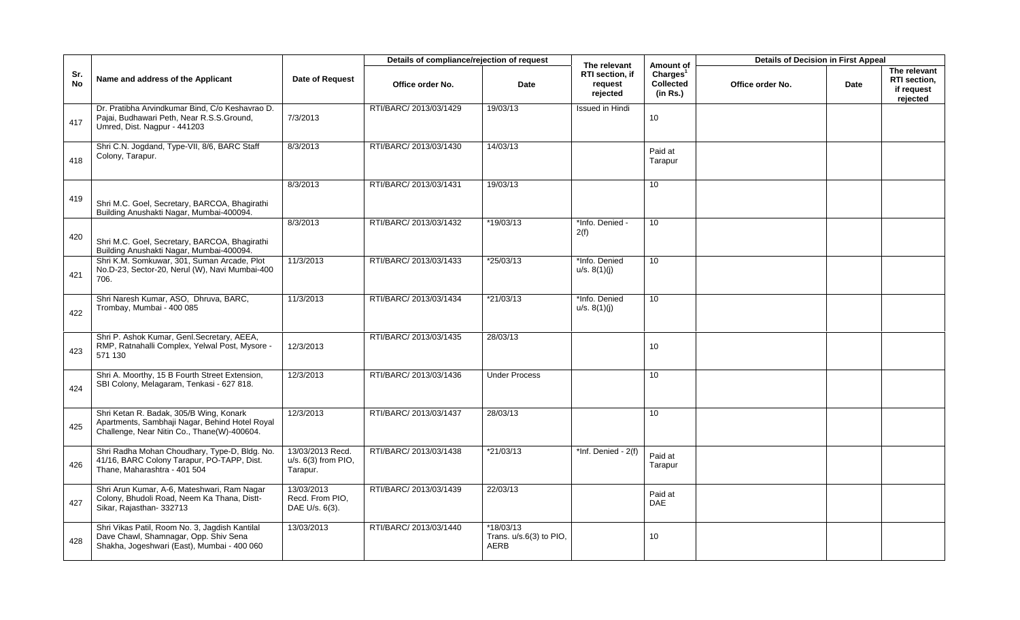|                  |                                                                                                                                          |                                                     | Details of compliance/rejection of request |                                                  | The relevant                           | Amount of                                            | <b>Details of Decision in First Appeal</b> |             |                                                        |
|------------------|------------------------------------------------------------------------------------------------------------------------------------------|-----------------------------------------------------|--------------------------------------------|--------------------------------------------------|----------------------------------------|------------------------------------------------------|--------------------------------------------|-------------|--------------------------------------------------------|
| Sr.<br><b>No</b> | Name and address of the Applicant                                                                                                        | <b>Date of Request</b>                              | Office order No.                           | Date                                             | RTI section, if<br>request<br>rejected | Charges <sup>1</sup><br><b>Collected</b><br>(in Rs.) | Office order No.                           | <b>Date</b> | The relevant<br>RTI section,<br>if request<br>rejected |
| 417              | Dr. Pratibha Arvindkumar Bind, C/o Keshavrao D.<br>Pajai, Budhawari Peth, Near R.S.S.Ground,<br>Umred, Dist. Nagpur - 441203             | 7/3/2013                                            | RTI/BARC/ 2013/03/1429                     | 19/03/13                                         | Issued in Hindi                        | 10                                                   |                                            |             |                                                        |
| 418              | Shri C.N. Jogdand, Type-VII, 8/6, BARC Staff<br>Colony, Tarapur.                                                                         | 8/3/2013                                            | RTI/BARC/ 2013/03/1430                     | 14/03/13                                         |                                        | Paid at<br>Tarapur                                   |                                            |             |                                                        |
| 419              | Shri M.C. Goel, Secretary, BARCOA, Bhagirathi<br>Building Anushakti Nagar, Mumbai-400094.                                                | 8/3/2013                                            | RTI/BARC/ 2013/03/1431                     | 19/03/13                                         |                                        | 10 <sup>1</sup>                                      |                                            |             |                                                        |
| 420              | Shri M.C. Goel, Secretary, BARCOA, Bhagirathi<br>Building Anushakti Nagar, Mumbai-400094.                                                | 8/3/2013                                            | RTI/BARC/ 2013/03/1432                     | *19/03/13                                        | *Info. Denied -<br>2(f)                | 10                                                   |                                            |             |                                                        |
| 421              | Shri K.M. Somkuwar, 301, Suman Arcade, Plot<br>No.D-23, Sector-20, Nerul (W), Navi Mumbai-400<br>706.                                    | 11/3/2013                                           | RTI/BARC/ 2013/03/1433                     | *25/03/13                                        | *Info. Denied<br>u/s. 8(1)(j)          | 10 <sup>°</sup>                                      |                                            |             |                                                        |
| 422              | Shri Naresh Kumar, ASO, Dhruva, BARC,<br>Trombay, Mumbai - 400 085                                                                       | 11/3/2013                                           | RTI/BARC/ 2013/03/1434                     | $*21/03/13$                                      | *Info. Denied<br>u/s. 8(1)(j)          | 10                                                   |                                            |             |                                                        |
| 423              | Shri P. Ashok Kumar, Genl.Secretary, AEEA,<br>RMP, Ratnahalli Complex, Yelwal Post, Mysore -<br>571 130                                  | 12/3/2013                                           | RTI/BARC/ 2013/03/1435                     | 28/03/13                                         |                                        | 10                                                   |                                            |             |                                                        |
| 424              | Shri A. Moorthy, 15 B Fourth Street Extension,<br>SBI Colony, Melagaram, Tenkasi - 627 818.                                              | 12/3/2013                                           | RTI/BARC/ 2013/03/1436                     | <b>Under Process</b>                             |                                        | 10                                                   |                                            |             |                                                        |
| 425              | Shri Ketan R. Badak, 305/B Wing, Konark<br>Apartments, Sambhaji Nagar, Behind Hotel Royal<br>Challenge, Near Nitin Co., Thane(W)-400604. | 12/3/2013                                           | RTI/BARC/ 2013/03/1437                     | 28/03/13                                         |                                        | 10                                                   |                                            |             |                                                        |
| 426              | Shri Radha Mohan Choudhary, Type-D, Bldg. No.<br>41/16, BARC Colony Tarapur, PO-TAPP, Dist.<br>Thane, Maharashtra - 401 504              | 13/03/2013 Recd.<br>u/s. 6(3) from PIO,<br>Tarapur. | RTI/BARC/ 2013/03/1438                     | $*21/03/13$                                      | $*Inf. Denied - 2(f)$                  | Paid at<br>Tarapur                                   |                                            |             |                                                        |
| 427              | Shri Arun Kumar, A-6, Mateshwari, Ram Nagar<br>Colony, Bhudoli Road, Neem Ka Thana, Distt-<br>Sikar, Rajasthan- 332713                   | 13/03/2013<br>Recd. From PIO.<br>DAE U/s. 6(3).     | RTI/BARC/ 2013/03/1439                     | 22/03/13                                         |                                        | Paid at<br><b>DAE</b>                                |                                            |             |                                                        |
| 428              | Shri Vikas Patil, Room No. 3, Jagdish Kantilal<br>Dave Chawl, Shamnagar, Opp. Shiv Sena<br>Shakha, Jogeshwari (East), Mumbai - 400 060   | 13/03/2013                                          | RTI/BARC/ 2013/03/1440                     | $*18/03/13$<br>Trans. $u/s.6(3)$ to PIO,<br>AERB |                                        | 10                                                   |                                            |             |                                                        |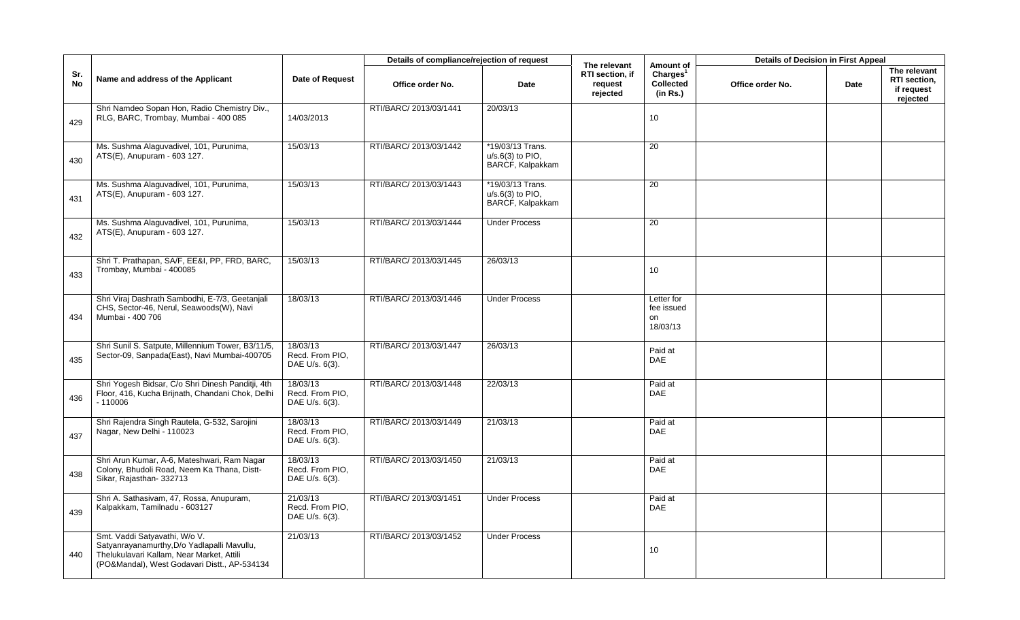|                  |                                                                                                                                                                           |                                               | Details of compliance/rejection of request |                                                            | The relevant                           | Amount of                                            | <b>Details of Decision in First Appeal</b> |      |                                                        |
|------------------|---------------------------------------------------------------------------------------------------------------------------------------------------------------------------|-----------------------------------------------|--------------------------------------------|------------------------------------------------------------|----------------------------------------|------------------------------------------------------|--------------------------------------------|------|--------------------------------------------------------|
| Sr.<br><b>No</b> | Name and address of the Applicant                                                                                                                                         | <b>Date of Request</b>                        | Office order No.                           | Date                                                       | RTI section, if<br>request<br>rejected | Charles <sup>1</sup><br><b>Collected</b><br>(in Rs.) | Office order No.                           | Date | The relevant<br>RTI section,<br>if request<br>rejected |
| 429              | Shri Namdeo Sopan Hon, Radio Chemistry Div.,<br>RLG, BARC, Trombay, Mumbai - 400 085                                                                                      | 14/03/2013                                    | RTI/BARC/ 2013/03/1441                     | 20/03/13                                                   |                                        | 10                                                   |                                            |      |                                                        |
| 430              | Ms. Sushma Alaguvadivel, 101, Purunima,<br>ATS(E), Anupuram - 603 127.                                                                                                    | 15/03/13                                      | RTI/BARC/ 2013/03/1442                     | *19/03/13 Trans.<br>$u/s.6(3)$ to PIO.<br>BARCF, Kalpakkam |                                        | 20                                                   |                                            |      |                                                        |
| 431              | Ms. Sushma Alaguvadivel, 101, Purunima,<br>ATS(E), Anupuram - 603 127.                                                                                                    | 15/03/13                                      | RTI/BARC/ 2013/03/1443                     | *19/03/13 Trans.<br>$u/s.6(3)$ to PIO,<br>BARCF, Kalpakkam |                                        | 20                                                   |                                            |      |                                                        |
| 432              | Ms. Sushma Alaguvadivel, 101, Purunima,<br>ATS(E), Anupuram - 603 127.                                                                                                    | 15/03/13                                      | RTI/BARC/ 2013/03/1444                     | <b>Under Process</b>                                       |                                        | 20                                                   |                                            |      |                                                        |
| 433              | Shri T. Prathapan, SA/F, EE&I, PP, FRD, BARC,<br>Trombay, Mumbai - 400085                                                                                                 | 15/03/13                                      | RTI/BARC/ 2013/03/1445                     | 26/03/13                                                   |                                        | 10                                                   |                                            |      |                                                        |
| 434              | Shri Viraj Dashrath Sambodhi, E-7/3, Geetanjali<br>CHS, Sector-46, Nerul, Seawoods(W), Navi<br>Mumbai - 400 706                                                           | 18/03/13                                      | RTI/BARC/ 2013/03/1446                     | <b>Under Process</b>                                       |                                        | Letter for<br>fee issued<br>on<br>18/03/13           |                                            |      |                                                        |
| 435              | Shri Sunil S. Satpute, Millennium Tower, B3/11/5,<br>Sector-09, Sanpada(East), Navi Mumbai-400705                                                                         | 18/03/13<br>Recd. From PIO,<br>DAE U/s. 6(3). | RTI/BARC/ 2013/03/1447                     | 26/03/13                                                   |                                        | Paid at<br><b>DAE</b>                                |                                            |      |                                                        |
| 436              | Shri Yogesh Bidsar, C/o Shri Dinesh Panditji, 4th<br>Floor, 416, Kucha Brijnath, Chandani Chok, Delhi<br>$-110006$                                                        | 18/03/13<br>Recd. From PIO.<br>DAE U/s. 6(3). | RTI/BARC/ 2013/03/1448                     | 22/03/13                                                   |                                        | Paid at<br><b>DAE</b>                                |                                            |      |                                                        |
| 437              | Shri Rajendra Singh Rautela, G-532, Sarojini<br>Nagar, New Delhi - 110023                                                                                                 | 18/03/13<br>Recd. From PIO.<br>DAE U/s. 6(3). | RTI/BARC/ 2013/03/1449                     | 21/03/13                                                   |                                        | Paid at<br><b>DAE</b>                                |                                            |      |                                                        |
| 438              | Shri Arun Kumar, A-6, Mateshwari, Ram Nagar<br>Colony, Bhudoli Road, Neem Ka Thana, Distt-<br>Sikar, Rajasthan-332713                                                     | 18/03/13<br>Recd. From PIO,<br>DAE U/s. 6(3). | RTI/BARC/ 2013/03/1450                     | 21/03/13                                                   |                                        | Paid at<br><b>DAE</b>                                |                                            |      |                                                        |
| 439              | Shri A. Sathasivam, 47, Rossa, Anupuram,<br>Kalpakkam, Tamilnadu - 603127                                                                                                 | 21/03/13<br>Recd. From PIO,<br>DAE U/s. 6(3). | RTI/BARC/ 2013/03/1451                     | <b>Under Process</b>                                       |                                        | Paid at<br>DAE                                       |                                            |      |                                                        |
| 440              | Smt. Vaddi Satyavathi, W/o V.<br>Satyanrayanamurthy, D/o Yadlapalli Mavullu,<br>Thelukulavari Kallam, Near Market, Attili<br>(PO&Mandal), West Godavari Distt., AP-534134 | 21/03/13                                      | RTI/BARC/ 2013/03/1452                     | Under Process                                              |                                        | 10                                                   |                                            |      |                                                        |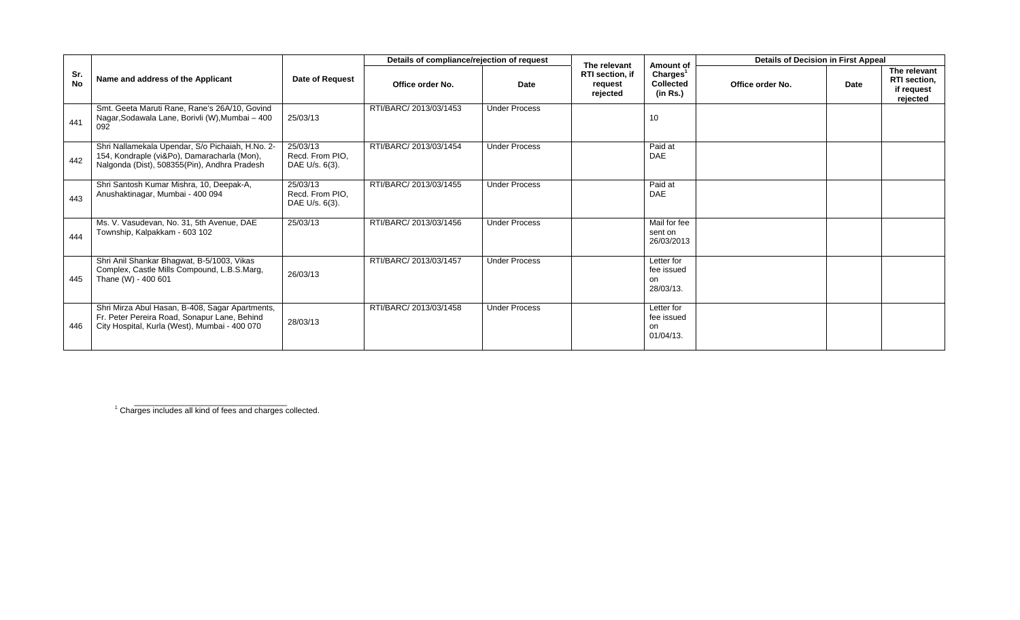|                  |                                                                                                                                                  |                                               | Details of compliance/rejection of request |                      | The relevant                           | Amount of                                     | <b>Details of Decision in First Appeal</b> |      |                                                        |
|------------------|--------------------------------------------------------------------------------------------------------------------------------------------------|-----------------------------------------------|--------------------------------------------|----------------------|----------------------------------------|-----------------------------------------------|--------------------------------------------|------|--------------------------------------------------------|
| Sr.<br><b>No</b> | Name and address of the Applicant                                                                                                                | Date of Request                               | Office order No.                           | Date                 | RTI section, if<br>request<br>rejected | Charges <sup>1</sup><br>Collected<br>(in Rs.) | Office order No.                           | Date | The relevant<br>RTI section,<br>if request<br>rejected |
| 441              | Smt. Geeta Maruti Rane, Rane's 26A/10, Govind<br>Nagar, Sodawala Lane, Borivli (W), Mumbai - 400<br>092                                          | 25/03/13                                      | RTI/BARC/ 2013/03/1453                     | <b>Under Process</b> |                                        | 10                                            |                                            |      |                                                        |
| 442              | Shri Nallamekala Upendar, S/o Pichaiah, H.No. 2-<br>154, Kondraple (vi&Po), Damaracharla (Mon),<br>Nalgonda (Dist), 508355(Pin), Andhra Pradesh  | 25/03/13<br>Recd. From PIO,<br>DAE U/s. 6(3). | RTI/BARC/ 2013/03/1454                     | <b>Under Process</b> |                                        | Paid at<br>DAE                                |                                            |      |                                                        |
| 443              | Shri Santosh Kumar Mishra, 10, Deepak-A,<br>Anushaktinagar, Mumbai - 400 094                                                                     | 25/03/13<br>Recd. From PIO,<br>DAE U/s. 6(3). | RTI/BARC/ 2013/03/1455                     | <b>Under Process</b> |                                        | Paid at<br>DAE                                |                                            |      |                                                        |
| 444              | Ms. V. Vasudevan, No. 31, 5th Avenue, DAE<br>Township, Kalpakkam - 603 102                                                                       | 25/03/13                                      | RTI/BARC/ 2013/03/1456                     | <b>Under Process</b> |                                        | Mail for fee<br>sent on<br>26/03/2013         |                                            |      |                                                        |
| 445              | Shri Anil Shankar Bhagwat, B-5/1003, Vikas<br>Complex, Castle Mills Compound, L.B.S.Marg,<br>Thane (W) - 400 601                                 | 26/03/13                                      | RTI/BARC/ 2013/03/1457                     | <b>Under Process</b> |                                        | Letter for<br>fee issued<br>on<br>28/03/13.   |                                            |      |                                                        |
| 446              | Shri Mirza Abul Hasan, B-408, Sagar Apartments,<br>Fr. Peter Pereira Road, Sonapur Lane, Behind<br>City Hospital, Kurla (West), Mumbai - 400 070 | 28/03/13                                      | RTI/BARC/ 2013/03/1458                     | <b>Under Process</b> |                                        | Letter for<br>fee issued<br>on<br>01/04/13.   |                                            |      |                                                        |

<sup>1</sup> Charges includes all kind of fees and charges collected.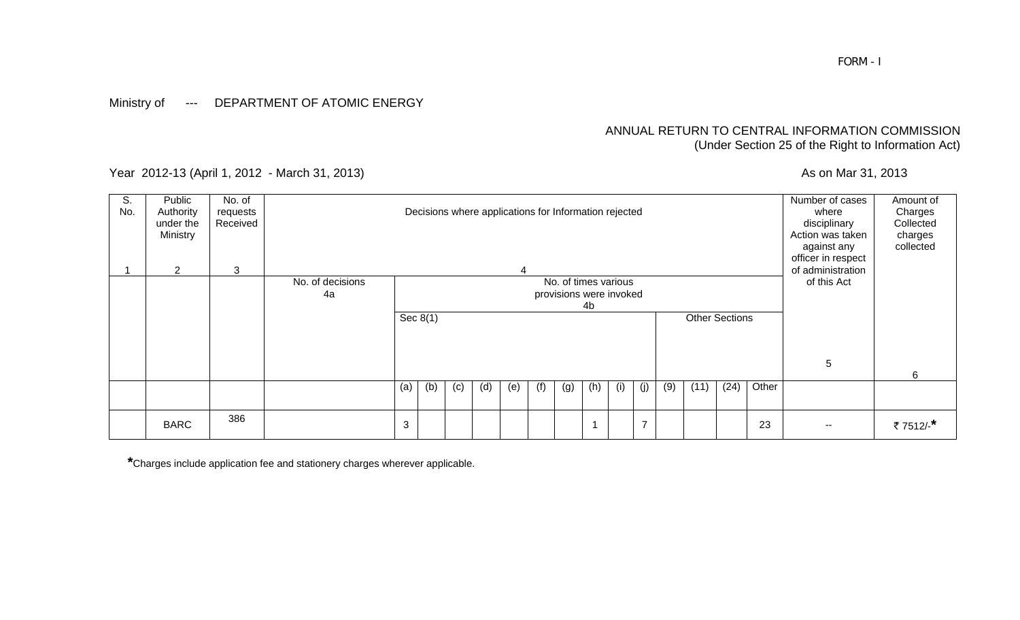### Ministry of --- DEPARTMENT OF ATOMIC ENERGY

### ANNUAL RETURN TO CENTRAL INFORMATION COMMISSION (Under Section 25 of the Right to Information Act)

Year 2012-13 (April 1, 2012 - March 31, 2013) As on Mar 31, 2013

| S.<br>No. | Public<br>Authority<br>under the<br>Ministry | No. of<br>requests<br>Received |                        |            |     |     |     | Decisions where applications for Information rejected |     |                                                 |     |     |                |     |                       |      |       | Number of cases<br>where<br>disciplinary<br>Action was taken<br>against any<br>officer in respect | Amount of<br>Charges<br>Collected<br>charges<br>collected |
|-----------|----------------------------------------------|--------------------------------|------------------------|------------|-----|-----|-----|-------------------------------------------------------|-----|-------------------------------------------------|-----|-----|----------------|-----|-----------------------|------|-------|---------------------------------------------------------------------------------------------------|-----------------------------------------------------------|
|           | $\overline{2}$                               | 3                              | No. of decisions<br>4a |            |     |     |     | 4                                                     |     | No. of times various<br>provisions were invoked |     |     |                |     |                       |      |       | of administration<br>of this Act                                                                  |                                                           |
|           |                                              |                                |                        |            |     |     |     |                                                       |     |                                                 | 4b  |     |                |     |                       |      |       |                                                                                                   |                                                           |
|           |                                              |                                |                        | Sec $8(1)$ |     |     |     |                                                       |     |                                                 |     |     |                |     | <b>Other Sections</b> |      |       |                                                                                                   |                                                           |
|           |                                              |                                |                        |            |     |     |     |                                                       |     |                                                 |     |     |                |     |                       |      |       |                                                                                                   |                                                           |
|           |                                              |                                |                        |            |     |     |     |                                                       |     |                                                 |     |     |                |     |                       |      |       |                                                                                                   |                                                           |
|           |                                              |                                |                        |            |     |     |     |                                                       |     |                                                 |     |     |                |     |                       |      |       | 5                                                                                                 |                                                           |
|           |                                              |                                |                        |            |     |     |     |                                                       |     |                                                 |     |     |                |     |                       |      |       |                                                                                                   | 6                                                         |
|           |                                              |                                |                        | (a)        | (b) | (c) | (d) | (e)                                                   | (f) | (g)                                             | (h) | (i) | (j)            | (9) | (11)                  | (24) | Other |                                                                                                   |                                                           |
|           | <b>BARC</b>                                  | 386                            |                        | 3          |     |     |     |                                                       |     |                                                 | 1   |     | $\overline{ }$ |     |                       |      | 23    | $- -$                                                                                             | ₹7512/-*                                                  |

**\***Charges include application fee and stationery charges wherever applicable.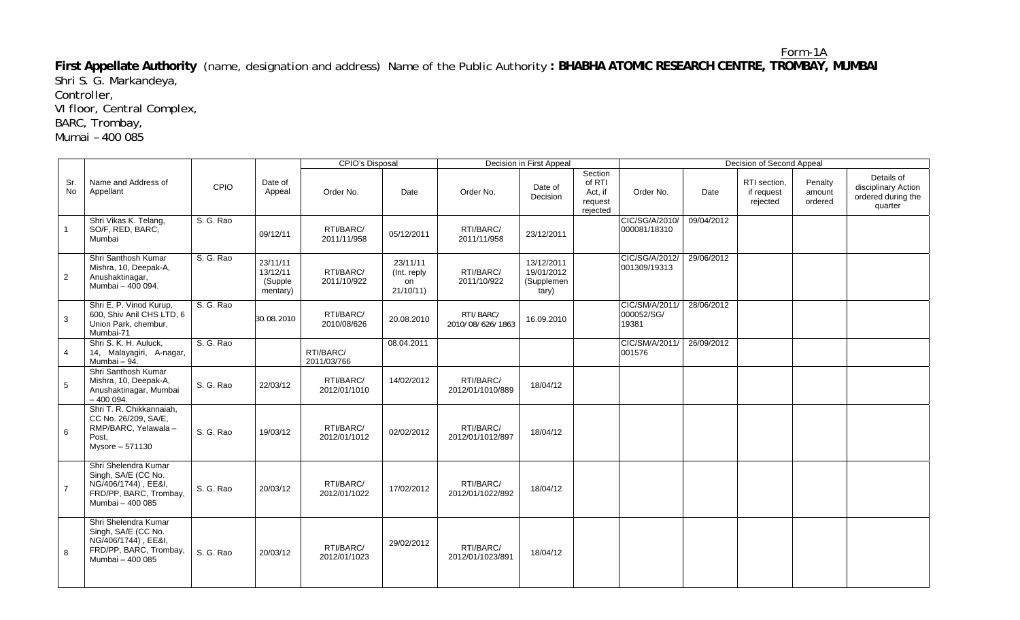Form-1A **First Appellate Authority** (name, designation and address) Name of the Public Authority **: BHABHA ATOMIC RESEARCH CENTRE, TROMBAY, MUMBAI**  Shri S. G. Markandeya,

Controller,

VI floor, Central Complex,

BARC, Trombay,

Mumai – 400 085

|                |                                                                                                                  |           |                                             | CPIO's Disposal           |                                             |                               | Decision in First Appeal                        |                                                     | Decision of Second Appeal             |            |                                        |                              |                                                                    |
|----------------|------------------------------------------------------------------------------------------------------------------|-----------|---------------------------------------------|---------------------------|---------------------------------------------|-------------------------------|-------------------------------------------------|-----------------------------------------------------|---------------------------------------|------------|----------------------------------------|------------------------------|--------------------------------------------------------------------|
| Sr.<br>No      | Name and Address of<br>Appellant                                                                                 | CPIO      | Date of<br>Appeal                           | Order No.                 | Date                                        | Order No.                     | Date of<br>Decision                             | Section<br>of RTI<br>Act, if<br>request<br>rejected | Order No.                             | Date       | RTI section,<br>if request<br>rejected | Penalty<br>amount<br>ordered | Details of<br>disciplinary Action<br>ordered during the<br>quarter |
|                | Shri Vikas K. Telang,<br>SO/F, RED, BARC,<br>Mumbai                                                              | S. G. Rao | 09/12/11                                    | RTI/BARC/<br>2011/11/958  | 05/12/2011                                  | RTI/BARC/<br>2011/11/958      | 23/12/2011                                      |                                                     | CIC/SG/A/2010/<br>000081/18310        | 09/04/2012 |                                        |                              |                                                                    |
| 2              | Shri Santhosh Kumar<br>Mishra, 10, Deepak-A,<br>Anushaktinagar,<br>Mumbai - 400 094.                             | S. G. Rao | 23/11/11<br>13/12/11<br>(Supple<br>mentary) | RTI/BARC/<br>2011/10/922  | 23/11/11<br>(Int. reply)<br>on<br>21/10/11) | RTI/BARC/<br>2011/10/922      | 13/12/2011<br>19/01/2012<br>(Supplemen<br>tary) |                                                     | CIC/SG/A/2012/<br>001309/19313        | 29/06/2012 |                                        |                              |                                                                    |
| 3              | Shri E. P. Vinod Kurup,<br>600, Shiv Anil CHS LTD, 6<br>Union Park, chembur,<br>Mumbai-71                        | S. G. Rao | 30.08.2010                                  | RTI/BARC/<br>2010/08/626  | 20.08.2010                                  | RTI/BARC/<br>2010/08/626/1863 | 16.09.2010                                      |                                                     | CIC/SM/A/2011/<br>000052/SG/<br>19381 | 28/06/2012 |                                        |                              |                                                                    |
| 4              | Shri S. K. H. Auluck,<br>14, Malayagiri, A-nagar,<br>Mumbai - 94.                                                | S. G. Rao |                                             | RTI/BARC/<br>2011/03/766  | 08.04.2011                                  |                               |                                                 |                                                     | CIC/SM/A/2011/<br>001576              | 26/09/2012 |                                        |                              |                                                                    |
| 5              | Shri Santhosh Kumar<br>Mishra, 10, Deepak-A,<br>Anushaktinagar, Mumbai<br>$-400094.$                             | S. G. Rao | 22/03/12                                    | RTI/BARC/<br>2012/01/1010 | 14/02/2012                                  | RTI/BARC/<br>2012/01/1010/889 | 18/04/12                                        |                                                     |                                       |            |                                        |                              |                                                                    |
| 6              | Shri T. R. Chikkannaiah,<br>CC No. 26/209. SA/E.<br>RMP/BARC, Yelawala -<br>Post.<br>Mysore - 571130             | S. G. Rao | 19/03/12                                    | RTI/BARC/<br>2012/01/1012 | 02/02/2012                                  | RTI/BARC/<br>2012/01/1012/897 | 18/04/12                                        |                                                     |                                       |            |                                        |                              |                                                                    |
| $\overline{7}$ | Shri Shelendra Kumar<br>Singh, SA/E (CC No.<br>NG/406/1744), EE&I,<br>FRD/PP, BARC, Trombay,<br>Mumbai - 400 085 | S. G. Rao | 20/03/12                                    | RTI/BARC/<br>2012/01/1022 | 17/02/2012                                  | RTI/BARC/<br>2012/01/1022/892 | 18/04/12                                        |                                                     |                                       |            |                                        |                              |                                                                    |
| 8              | Shri Shelendra Kumar<br>Singh, SA/E (CC No.<br>NG/406/1744), EE&I,<br>FRD/PP, BARC, Trombay,<br>Mumbai - 400 085 | S. G. Rao | 20/03/12                                    | RTI/BARC/<br>2012/01/1023 | 29/02/2012                                  | RTI/BARC/<br>2012/01/1023/891 | 18/04/12                                        |                                                     |                                       |            |                                        |                              |                                                                    |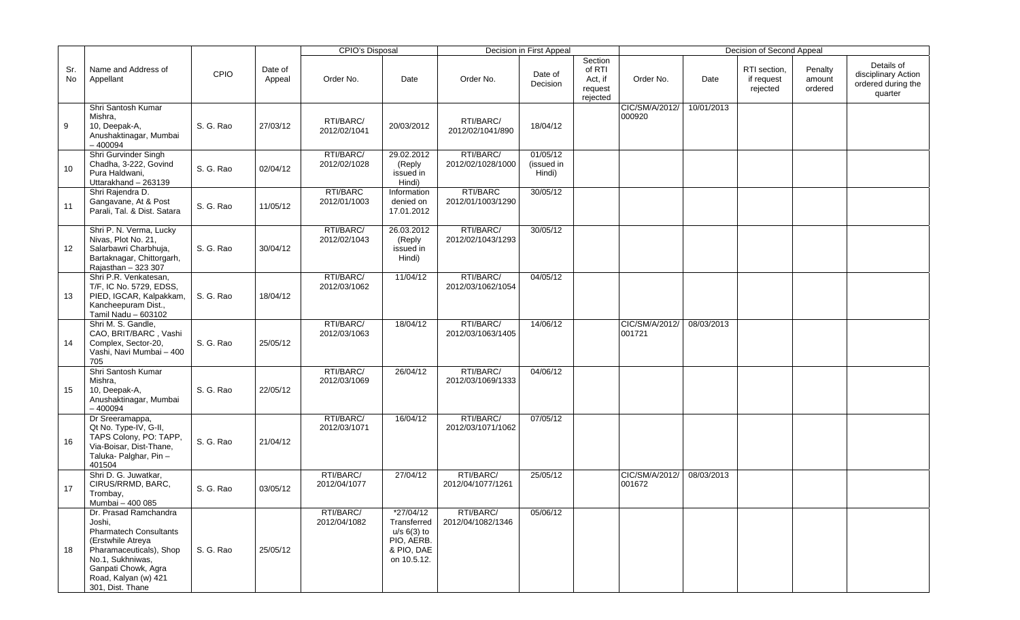|           |                                                                                                                                                                                                         |           |                   | CPIO's Disposal           |                                                                                      |                                | Decision in First Appeal         |                                                     |                          |            | Decision of Second Appeal              |                              |                                                                    |
|-----------|---------------------------------------------------------------------------------------------------------------------------------------------------------------------------------------------------------|-----------|-------------------|---------------------------|--------------------------------------------------------------------------------------|--------------------------------|----------------------------------|-----------------------------------------------------|--------------------------|------------|----------------------------------------|------------------------------|--------------------------------------------------------------------|
| Sr.<br>No | Name and Address of<br>Appellant                                                                                                                                                                        | CPIO      | Date of<br>Appeal | Order No.                 | Date                                                                                 | Order No.                      | Date of<br>Decision              | Section<br>of RTI<br>Act, if<br>request<br>rejected | Order No.                | Date       | RTI section,<br>if request<br>rejected | Penalty<br>amount<br>ordered | Details of<br>disciplinary Action<br>ordered during the<br>quarter |
| 9         | Shri Santosh Kumar<br>Mishra,<br>10, Deepak-A,<br>Anushaktinagar, Mumbai<br>$-400094$                                                                                                                   | S. G. Rao | 27/03/12          | RTI/BARC/<br>2012/02/1041 | 20/03/2012                                                                           | RTI/BARC/<br>2012/02/1041/890  | 18/04/12                         |                                                     | CIC/SM/A/2012/<br>000920 | 10/01/2013 |                                        |                              |                                                                    |
| 10        | Shri Gurvinder Singh<br>Chadha, 3-222, Govind<br>Pura Haldwani,<br>Uttarakhand - 263139                                                                                                                 | S. G. Rao | 02/04/12          | RTI/BARC/<br>2012/02/1028 | 29.02.2012<br>(Reply<br>issued in<br>Hindi)                                          | RTI/BARC/<br>2012/02/1028/1000 | 01/05/12<br>(issued in<br>Hindi) |                                                     |                          |            |                                        |                              |                                                                    |
| 11        | Shri Rajendra D.<br>Gangavane, At & Post<br>Parali, Tal. & Dist. Satara                                                                                                                                 | S. G. Rao | 11/05/12          | RTI/BARC<br>2012/01/1003  | Information<br>denied on<br>17.01.2012                                               | RTI/BARC<br>2012/01/1003/1290  | 30/05/12                         |                                                     |                          |            |                                        |                              |                                                                    |
| 12        | Shri P. N. Verma, Lucky<br>Nivas, Plot No. 21,<br>Salarbawri Charbhuja,<br>Bartaknagar, Chittorgarh,<br>Rajasthan - 323 307                                                                             | S. G. Rao | 30/04/12          | RTI/BARC/<br>2012/02/1043 | 26.03.2012<br>(Reply<br>issued in<br>Hindi)                                          | RTI/BARC/<br>2012/02/1043/1293 | 30/05/12                         |                                                     |                          |            |                                        |                              |                                                                    |
| 13        | Shri P.R. Venkatesan,<br>T/F, IC No. 5729, EDSS,<br>PIED, IGCAR, Kalpakkam,<br>Kancheepuram Dist.,<br>Tamil Nadu - 603102                                                                               | S. G. Rao | 18/04/12          | RTI/BARC/<br>2012/03/1062 | 11/04/12                                                                             | RTI/BARC/<br>2012/03/1062/1054 | 04/05/12                         |                                                     |                          |            |                                        |                              |                                                                    |
| 14        | Shri M. S. Gandle,<br>CAO, BRIT/BARC, Vashi<br>Complex, Sector-20,<br>Vashi, Navi Mumbai - 400<br>705                                                                                                   | S. G. Rao | 25/05/12          | RTI/BARC/<br>2012/03/1063 | 18/04/12                                                                             | RTI/BARC/<br>2012/03/1063/1405 | 14/06/12                         |                                                     | CIC/SM/A/2012/<br>001721 | 08/03/2013 |                                        |                              |                                                                    |
| 15        | Shri Santosh Kumar<br>Mishra,<br>10, Deepak-A,<br>Anushaktinagar, Mumbai<br>$-400094$                                                                                                                   | S. G. Rao | 22/05/12          | RTI/BARC/<br>2012/03/1069 | 26/04/12                                                                             | RTI/BARC/<br>2012/03/1069/1333 | 04/06/12                         |                                                     |                          |            |                                        |                              |                                                                    |
| 16        | Dr Sreeramappa,<br>Qt No. Type-IV, G-II,<br>TAPS Colony, PO: TAPP,<br>Via-Boisar, Dist-Thane,<br>Taluka- Palghar, Pin-<br>401504                                                                        | S. G. Rao | 21/04/12          | RTI/BARC/<br>2012/03/1071 | 16/04/12                                                                             | RTI/BARC/<br>2012/03/1071/1062 | 07/05/12                         |                                                     |                          |            |                                        |                              |                                                                    |
| 17        | Shri D. G. Juwatkar,<br>CIRUS/RRMD, BARC,<br>Trombay,<br>Mumbai - 400 085                                                                                                                               | S. G. Rao | 03/05/12          | RTI/BARC/<br>2012/04/1077 | 27/04/12                                                                             | RTI/BARC/<br>2012/04/1077/1261 | 25/05/12                         |                                                     | CIC/SM/A/2012/<br>001672 | 08/03/2013 |                                        |                              |                                                                    |
| 18        | Dr. Prasad Ramchandra<br>Joshi,<br><b>Pharmatech Consultants</b><br>(Erstwhile Atreya<br>Pharamaceuticals), Shop<br>No.1, Sukhniwas,<br>Ganpati Chowk, Agra<br>Road, Kalyan (w) 421<br>301, Dist. Thane | S. G. Rao | 25/05/12          | RTI/BARC/<br>2012/04/1082 | *27/04/12<br>Transferred<br>$u/s$ 6(3) to<br>PIO, AERB.<br>& PIO, DAE<br>on 10.5.12. | RTI/BARC/<br>2012/04/1082/1346 | 05/06/12                         |                                                     |                          |            |                                        |                              |                                                                    |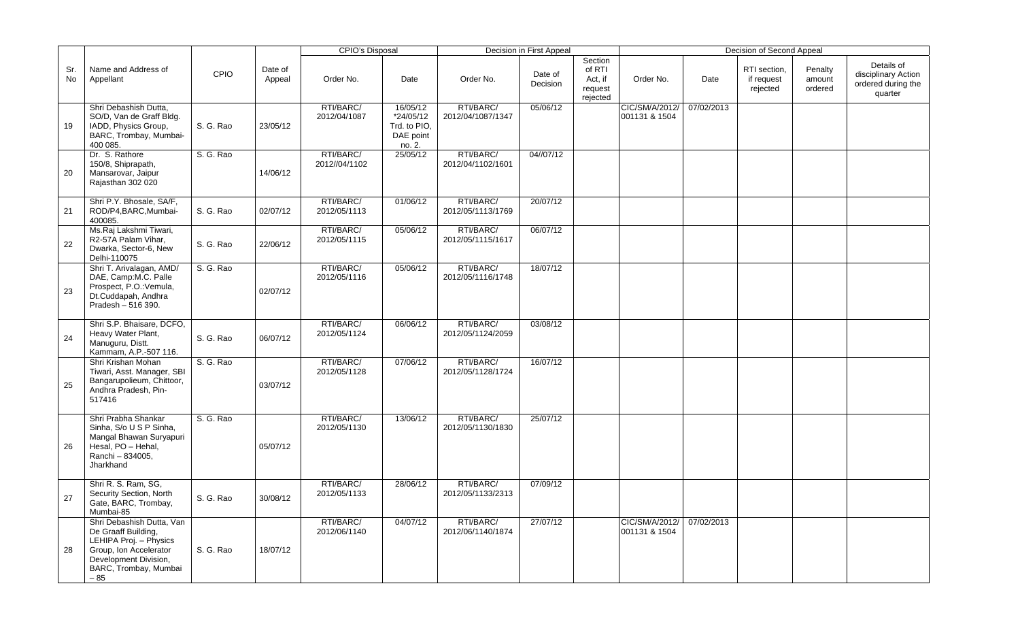|           |                                                                                                                                                                 |             |                   | <b>CPIO's Disposal</b>     |                                                              |                                | Decision in First Appeal |                                                     |                                 |            | Decision of Second Appeal              |                              |                                                                    |
|-----------|-----------------------------------------------------------------------------------------------------------------------------------------------------------------|-------------|-------------------|----------------------------|--------------------------------------------------------------|--------------------------------|--------------------------|-----------------------------------------------------|---------------------------------|------------|----------------------------------------|------------------------------|--------------------------------------------------------------------|
| Sr.<br>No | Name and Address of<br>Appellant                                                                                                                                | <b>CPIO</b> | Date of<br>Appeal | Order No.                  | Date                                                         | Order No.                      | Date of<br>Decision      | Section<br>of RTI<br>Act, if<br>request<br>rejected | Order No.                       | Date       | RTI section,<br>if request<br>rejected | Penalty<br>amount<br>ordered | Details of<br>disciplinary Action<br>ordered during the<br>quarter |
| 19        | Shri Debashish Dutta,<br>SO/D, Van de Graff Bldg.<br>IADD, Physics Group,<br>BARC, Trombay, Mumbai-<br>400 085.                                                 | S. G. Rao   | 23/05/12          | RTI/BARC/<br>2012/04/1087  | 16/05/12<br>*24/05/12<br>Trd. to PIO.<br>DAE point<br>no. 2. | RTI/BARC/<br>2012/04/1087/1347 | 05/06/12                 |                                                     | CIC/SM/A/2012/<br>001131 & 1504 | 07/02/2013 |                                        |                              |                                                                    |
| 20        | Dr. S. Rathore<br>150/8, Shiprapath,<br>Mansarovar, Jaipur<br>Rajasthan 302 020                                                                                 | S. G. Rao   | 14/06/12          | RTI/BARC/<br>2012//04/1102 | 25/05/12                                                     | RTI/BARC/<br>2012/04/1102/1601 | 04//07/12                |                                                     |                                 |            |                                        |                              |                                                                    |
| 21        | Shri P.Y. Bhosale, SA/F,<br>ROD/P4,BARC,Mumbai-<br>400085.                                                                                                      | S. G. Rao   | 02/07/12          | RTI/BARC/<br>2012/05/1113  | 01/06/12                                                     | RTI/BARC/<br>2012/05/1113/1769 | 20/07/12                 |                                                     |                                 |            |                                        |                              |                                                                    |
| 22        | Ms.Raj Lakshmi Tiwari,<br>R2-57A Palam Vihar,<br>Dwarka, Sector-6, New<br>Delhi-110075                                                                          | S. G. Rao   | 22/06/12          | RTI/BARC/<br>2012/05/1115  | 05/06/12                                                     | RTI/BARC/<br>2012/05/1115/1617 | 06/07/12                 |                                                     |                                 |            |                                        |                              |                                                                    |
| 23        | Shri T. Arivalagan, AMD/<br>DAE, Camp:M.C. Palle<br>Prospect, P.O.: Vemula,<br>Dt.Cuddapah, Andhra<br>Pradesh - 516 390.                                        | S. G. Rao   | 02/07/12          | RTI/BARC/<br>2012/05/1116  | 05/06/12                                                     | RTI/BARC/<br>2012/05/1116/1748 | 18/07/12                 |                                                     |                                 |            |                                        |                              |                                                                    |
| 24        | Shri S.P. Bhaisare, DCFO,<br>Heavy Water Plant,<br>Manuguru, Distt.<br>Kammam, A.P.-507 116.                                                                    | S. G. Rao   | 06/07/12          | RTI/BARC/<br>2012/05/1124  | 06/06/12                                                     | RTI/BARC/<br>2012/05/1124/2059 | 03/08/12                 |                                                     |                                 |            |                                        |                              |                                                                    |
| 25        | Shri Krishan Mohan<br>Tiwari, Asst. Manager, SBI<br>Bangarupolieum, Chittoor,<br>Andhra Pradesh, Pin-<br>517416                                                 | S. G. Rao   | 03/07/12          | RTI/BARC/<br>2012/05/1128  | 07/06/12                                                     | RTI/BARC/<br>2012/05/1128/1724 | 16/07/12                 |                                                     |                                 |            |                                        |                              |                                                                    |
| 26        | Shri Prabha Shankar<br>Sinha, S/o U S P Sinha,<br>Mangal Bhawan Suryapuri<br>Hesal, PO - Hehal,<br>Ranchi - 834005,<br>Jharkhand                                | S. G. Rao   | 05/07/12          | RTI/BARC/<br>2012/05/1130  | 13/06/12                                                     | RTI/BARC/<br>2012/05/1130/1830 | 25/07/12                 |                                                     |                                 |            |                                        |                              |                                                                    |
| 27        | Shri R. S. Ram, SG,<br>Security Section, North<br>Gate, BARC, Trombay,<br>Mumbai-85                                                                             | S. G. Rao   | 30/08/12          | RTI/BARC/<br>2012/05/1133  | 28/06/12                                                     | RTI/BARC/<br>2012/05/1133/2313 | 07/09/12                 |                                                     |                                 |            |                                        |                              |                                                                    |
| 28        | Shri Debashish Dutta, Van<br>De Graaff Building,<br>LEHIPA Proj. - Physics<br>Group, Ion Accelerator<br>Development Division,<br>BARC, Trombay, Mumbai<br>$-85$ | S. G. Rao   | 18/07/12          | RTI/BARC/<br>2012/06/1140  | 04/07/12                                                     | RTI/BARC/<br>2012/06/1140/1874 | 27/07/12                 |                                                     | CIC/SM/A/2012/<br>001131 & 1504 | 07/02/2013 |                                        |                              |                                                                    |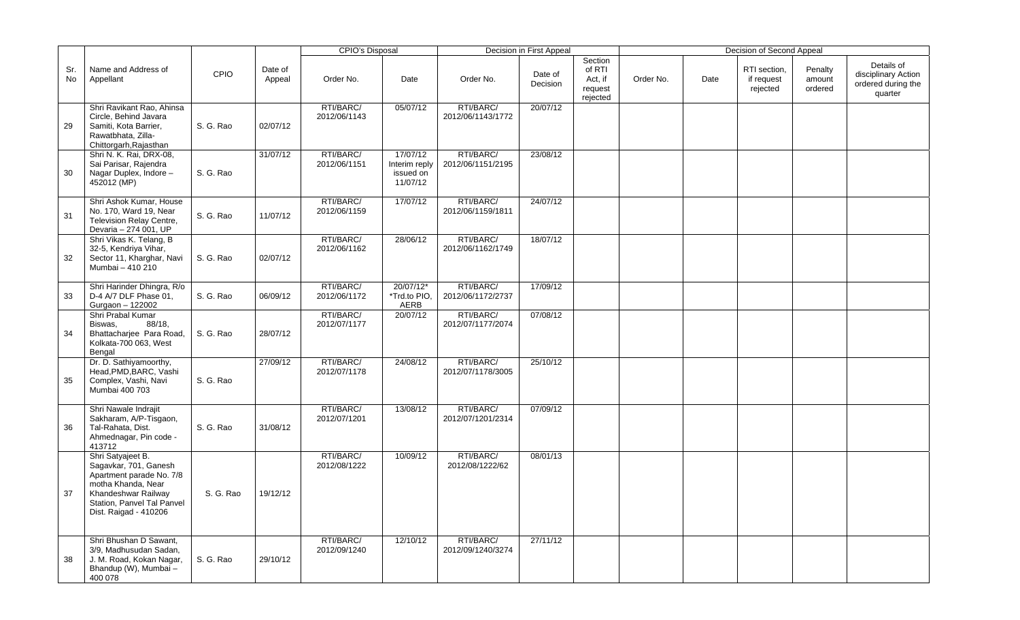|           |                                                                                                                                                                            |             |                   | <b>CPIO's Disposal</b>    |                                                    |                                | Decision in First Appeal |                                                     |           |      | Decision of Second Appeal              |                              |                                                                    |
|-----------|----------------------------------------------------------------------------------------------------------------------------------------------------------------------------|-------------|-------------------|---------------------------|----------------------------------------------------|--------------------------------|--------------------------|-----------------------------------------------------|-----------|------|----------------------------------------|------------------------------|--------------------------------------------------------------------|
| Sr.<br>No | Name and Address of<br>Appellant                                                                                                                                           | <b>CPIO</b> | Date of<br>Appeal | Order No.                 | Date                                               | Order No.                      | Date of<br>Decision      | Section<br>of RTI<br>Act, if<br>request<br>rejected | Order No. | Date | RTI section,<br>if request<br>rejected | Penalty<br>amount<br>ordered | Details of<br>disciplinary Action<br>ordered during the<br>quarter |
| 29        | Shri Ravikant Rao, Ahinsa<br>Circle, Behind Javara<br>Samiti, Kota Barrier,<br>Rawatbhata, Zilla-<br>Chittorgarh, Rajasthan                                                | S. G. Rao   | 02/07/12          | RTI/BARC/<br>2012/06/1143 | 05/07/12                                           | RTI/BARC/<br>2012/06/1143/1772 | 20/07/12                 |                                                     |           |      |                                        |                              |                                                                    |
| 30        | Shri N. K. Rai, DRX-08,<br>Sai Parisar, Rajendra<br>Nagar Duplex, Indore -<br>452012 (MP)                                                                                  | S. G. Rao   | 31/07/12          | RTI/BARC/<br>2012/06/1151 | 17/07/12<br>Interim reply<br>issued on<br>11/07/12 | RTI/BARC/<br>2012/06/1151/2195 | 23/08/12                 |                                                     |           |      |                                        |                              |                                                                    |
| 31        | Shri Ashok Kumar, House<br>No. 170, Ward 19, Near<br>Television Relay Centre,<br>Devaria - 274 001, UP                                                                     | S. G. Rao   | 11/07/12          | RTI/BARC/<br>2012/06/1159 | 17/07/12                                           | RTI/BARC/<br>2012/06/1159/1811 | 24/07/12                 |                                                     |           |      |                                        |                              |                                                                    |
| 32        | Shri Vikas K. Telang, B<br>32-5, Kendriya Vihar,<br>Sector 11, Kharghar, Navi<br>Mumbai - 410 210                                                                          | S. G. Rao   | 02/07/12          | RTI/BARC/<br>2012/06/1162 | 28/06/12                                           | RTI/BARC/<br>2012/06/1162/1749 | 18/07/12                 |                                                     |           |      |                                        |                              |                                                                    |
| 33        | Shri Harinder Dhingra, R/o<br>D-4 A/7 DLF Phase 01,<br>Gurgaon - 122002                                                                                                    | S. G. Rao   | 06/09/12          | RTI/BARC/<br>2012/06/1172 | 20/07/12*<br>*Trd.to PIO,<br>AERB                  | RTI/BARC/<br>2012/06/1172/2737 | 17/09/12                 |                                                     |           |      |                                        |                              |                                                                    |
| 34        | Shri Prabal Kumar<br>88/18,<br>Biswas,<br>Bhattacharjee Para Road,<br>Kolkata-700 063, West<br>Bengal                                                                      | S. G. Rao   | 28/07/12          | RTI/BARC/<br>2012/07/1177 | 20/07/12                                           | RTI/BARC/<br>2012/07/1177/2074 | 07/08/12                 |                                                     |           |      |                                        |                              |                                                                    |
| 35        | Dr. D. Sathiyamoorthy,<br>Head, PMD, BARC, Vashi<br>Complex, Vashi, Navi<br>Mumbai 400 703                                                                                 | S. G. Rao   | 27/09/12          | RTI/BARC/<br>2012/07/1178 | 24/08/12                                           | RTI/BARC/<br>2012/07/1178/3005 | 25/10/12                 |                                                     |           |      |                                        |                              |                                                                    |
| 36        | Shri Nawale Indrajit<br>Sakharam, A/P-Tisgaon,<br>Tal-Rahata, Dist.<br>Ahmednagar, Pin code -<br>413712                                                                    | S. G. Rao   | 31/08/12          | RTI/BARC/<br>2012/07/1201 | 13/08/12                                           | RTI/BARC/<br>2012/07/1201/2314 | 07/09/12                 |                                                     |           |      |                                        |                              |                                                                    |
| 37        | Shri Satyajeet B.<br>Sagavkar, 701, Ganesh<br>Apartment parade No. 7/8<br>motha Khanda, Near<br>Khandeshwar Railway<br>Station, Panvel Tal Panvel<br>Dist. Raigad - 410206 | S. G. Rao   | 19/12/12          | RTI/BARC/<br>2012/08/1222 | 10/09/12                                           | RTI/BARC/<br>2012/08/1222/62   | 08/01/13                 |                                                     |           |      |                                        |                              |                                                                    |
| 38        | Shri Bhushan D Sawant,<br>3/9, Madhusudan Sadan,<br>J. M. Road, Kokan Nagar,<br>Bhandup (W), Mumbai -<br>400 078                                                           | S. G. Rao   | 29/10/12          | RTI/BARC/<br>2012/09/1240 | 12/10/12                                           | RTI/BARC/<br>2012/09/1240/3274 | 27/11/12                 |                                                     |           |      |                                        |                              |                                                                    |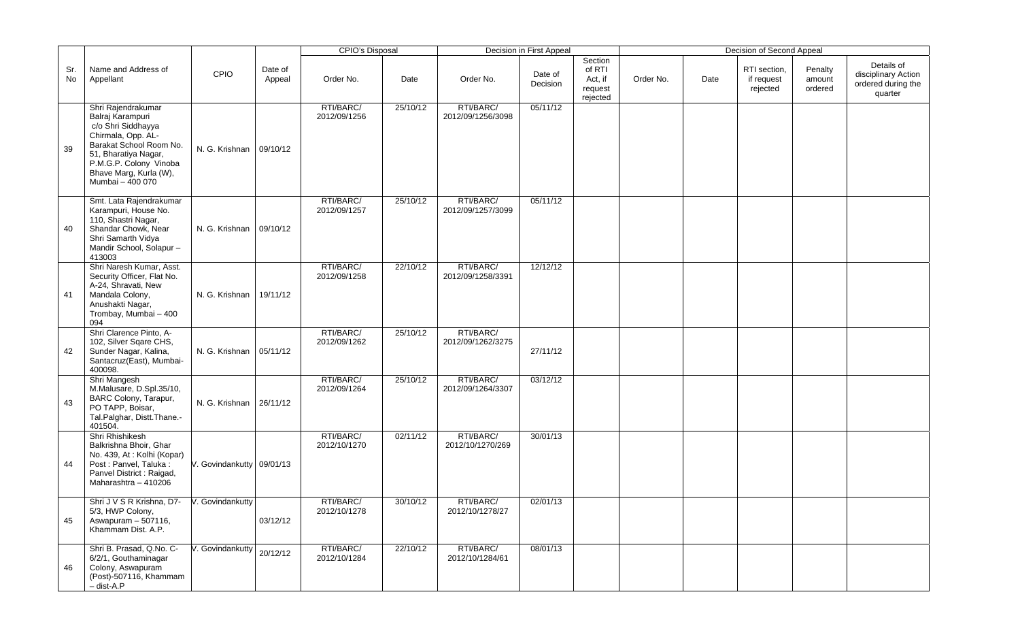|           |                                                                                                                                                                                                               |                           |                   | <b>CPIO's Disposal</b>    |          |                                | Decision in First Appeal |                                                     |           |      | Decision of Second Appeal              |                              |                                                                    |
|-----------|---------------------------------------------------------------------------------------------------------------------------------------------------------------------------------------------------------------|---------------------------|-------------------|---------------------------|----------|--------------------------------|--------------------------|-----------------------------------------------------|-----------|------|----------------------------------------|------------------------------|--------------------------------------------------------------------|
| Sr.<br>No | Name and Address of<br>Appellant                                                                                                                                                                              | CPIO                      | Date of<br>Appeal | Order No.                 | Date     | Order No.                      | Date of<br>Decision      | Section<br>of RTI<br>Act, if<br>request<br>rejected | Order No. | Date | RTI section,<br>if request<br>rejected | Penalty<br>amount<br>ordered | Details of<br>disciplinary Action<br>ordered during the<br>quarter |
| 39        | Shri Rajendrakumar<br>Balraj Karampuri<br>c/o Shri Siddhayya<br>Chirmala, Opp. AL-<br>Barakat School Room No.<br>51, Bharatiya Nagar,<br>P.M.G.P. Colony Vinoba<br>Bhave Marg, Kurla (W),<br>Mumbai - 400 070 | N. G. Krishnan            | 09/10/12          | RTI/BARC/<br>2012/09/1256 | 25/10/12 | RTI/BARC/<br>2012/09/1256/3098 | 05/11/12                 |                                                     |           |      |                                        |                              |                                                                    |
| 40        | Smt. Lata Rajendrakumar<br>Karampuri, House No.<br>110, Shastri Nagar,<br>Shandar Chowk, Near<br>Shri Samarth Vidya<br>Mandir School, Solapur-<br>413003                                                      | N. G. Krishnan            | 09/10/12          | RTI/BARC/<br>2012/09/1257 | 25/10/12 | RTI/BARC/<br>2012/09/1257/3099 | 05/11/12                 |                                                     |           |      |                                        |                              |                                                                    |
| 41        | Shri Naresh Kumar, Asst.<br>Security Officer, Flat No.<br>A-24, Shravati, New<br>Mandala Colony,<br>Anushakti Nagar,<br>Trombay, Mumbai - 400<br>094                                                          | N. G. Krishnan            | 19/11/12          | RTI/BARC/<br>2012/09/1258 | 22/10/12 | RTI/BARC/<br>2012/09/1258/3391 | 12/12/12                 |                                                     |           |      |                                        |                              |                                                                    |
| 42        | Shri Clarence Pinto, A-<br>102, Silver Sqare CHS,<br>Sunder Nagar, Kalina,<br>Santacruz(East), Mumbai-<br>400098.                                                                                             | N. G. Krishnan            | 05/11/12          | RTI/BARC/<br>2012/09/1262 | 25/10/12 | RTI/BARC/<br>2012/09/1262/3275 | 27/11/12                 |                                                     |           |      |                                        |                              |                                                                    |
| 43        | Shri Mangesh<br>M.Malusare, D.Spl.35/10,<br>BARC Colony, Tarapur,<br>PO TAPP, Boisar,<br>Tal.Palghar, Distt.Thane.-<br>401504.                                                                                | N. G. Krishnan   26/11/12 |                   | RTI/BARC/<br>2012/09/1264 | 25/10/12 | RTI/BARC/<br>2012/09/1264/3307 | 03/12/12                 |                                                     |           |      |                                        |                              |                                                                    |
| 44        | Shri Rhishikesh<br>Balkrishna Bhoir, Ghar<br>No. 439, At: Kolhi (Kopar)<br>Post : Panvel, Taluka :<br>Panvel District : Raigad,<br>Maharashtra - 410206                                                       | V. Govindankutty 09/01/13 |                   | RTI/BARC/<br>2012/10/1270 | 02/11/12 | RTI/BARC/<br>2012/10/1270/269  | 30/01/13                 |                                                     |           |      |                                        |                              |                                                                    |
| 45        | Shri J V S R Krishna, D7- V. Govindankutty<br>5/3, HWP Colony,<br>Aswapuram - 507116,<br>Khammam Dist. A.P.                                                                                                   |                           | 03/12/12          | RTI/BARC/<br>2012/10/1278 | 30/10/12 | RTI/BARC/<br>2012/10/1278/27   | 02/01/13                 |                                                     |           |      |                                        |                              |                                                                    |
| 46        | Shri B. Prasad, Q.No. C-<br>6/2/1, Gouthaminagar<br>Colony, Aswapuram<br>(Post)-507116, Khammam<br>$-$ dist-A.P                                                                                               | V. Govindankutty          | 20/12/12          | RTI/BARC/<br>2012/10/1284 | 22/10/12 | RTI/BARC/<br>2012/10/1284/61   | 08/01/13                 |                                                     |           |      |                                        |                              |                                                                    |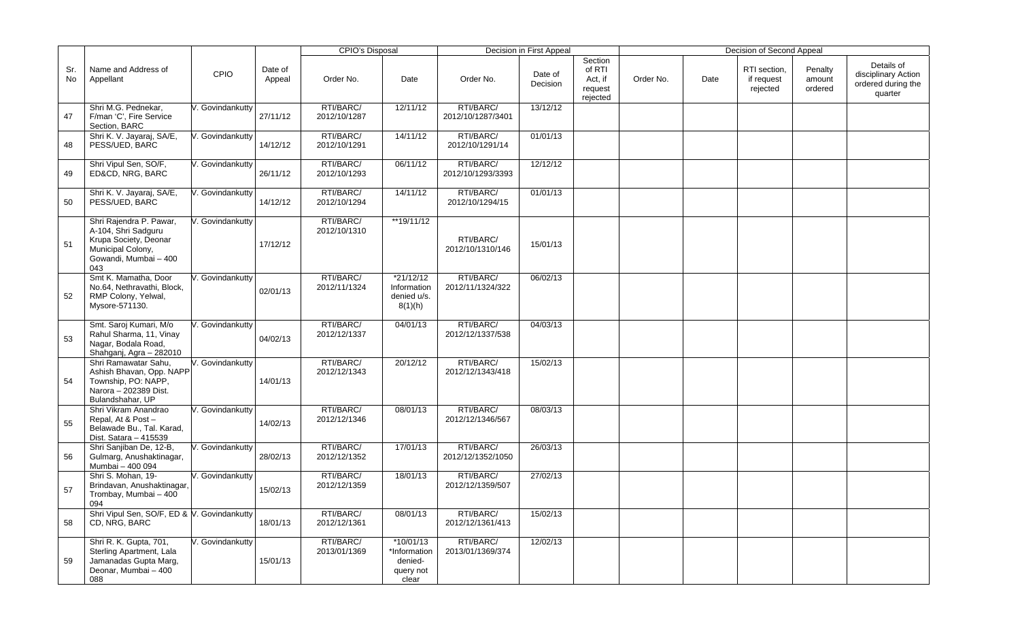|           |                                                                                                                              |                  |                   | CPIO's Disposal           |                                                              |                                | Decision in First Appeal |                                                     |           |      | Decision of Second Appeal              |                              |                                                                    |
|-----------|------------------------------------------------------------------------------------------------------------------------------|------------------|-------------------|---------------------------|--------------------------------------------------------------|--------------------------------|--------------------------|-----------------------------------------------------|-----------|------|----------------------------------------|------------------------------|--------------------------------------------------------------------|
| Sr.<br>No | Name and Address of<br>Appellant                                                                                             | <b>CPIO</b>      | Date of<br>Appeal | Order No.                 | Date                                                         | Order No.                      | Date of<br>Decision      | Section<br>of RTI<br>Act, if<br>request<br>rejected | Order No. | Date | RTI section,<br>if request<br>rejected | Penalty<br>amount<br>ordered | Details of<br>disciplinary Action<br>ordered during the<br>quarter |
| 47        | Shri M.G. Pednekar,<br>F/man 'C', Fire Service<br>Section, BARC                                                              | V. Govindankutty | 27/11/12          | RTI/BARC/<br>2012/10/1287 | 12/11/12                                                     | RTI/BARC/<br>2012/10/1287/3401 | 13/12/12                 |                                                     |           |      |                                        |                              |                                                                    |
| 48        | Shri K. V. Jayaraj, SA/E,<br>PESS/UED, BARC                                                                                  | V. Govindankutty | 14/12/12          | RTI/BARC/<br>2012/10/1291 | 14/11/12                                                     | RTI/BARC/<br>2012/10/1291/14   | 01/01/13                 |                                                     |           |      |                                        |                              |                                                                    |
| 49        | Shri Vipul Sen, SO/F,<br>ED&CD, NRG, BARC                                                                                    | V. Govindankutty | 26/11/12          | RTI/BARC/<br>2012/10/1293 | 06/11/12                                                     | RTI/BARC/<br>2012/10/1293/3393 | 12/12/12                 |                                                     |           |      |                                        |                              |                                                                    |
| 50        | Shri K. V. Jayaraj, SA/E,<br>PESS/UED, BARC                                                                                  | . Govindankutty  | 14/12/12          | RTI/BARC/<br>2012/10/1294 | 14/11/12                                                     | RTI/BARC/<br>2012/10/1294/15   | 01/01/13                 |                                                     |           |      |                                        |                              |                                                                    |
| 51        | Shri Rajendra P. Pawar,<br>A-104, Shri Sadguru<br>Krupa Society, Deonar<br>Municipal Colony,<br>Gowandi, Mumbai - 400<br>043 | V. Govindankutty | 17/12/12          | RTI/BARC/<br>2012/10/1310 | **19/11/12                                                   | RTI/BARC/<br>2012/10/1310/146  | 15/01/13                 |                                                     |           |      |                                        |                              |                                                                    |
| 52        | Smt K. Mamatha, Door<br>No.64, Nethravathi, Block,<br>RMP Colony, Yelwal,<br>Mysore-571130.                                  | . Govindankutty  | 02/01/13          | RTI/BARC/<br>2012/11/1324 | *21/12/12<br>Information<br>denied u/s.<br>8(1)(h)           | RTI/BARC/<br>2012/11/1324/322  | 06/02/13                 |                                                     |           |      |                                        |                              |                                                                    |
| 53        | Smt. Saroj Kumari, M/o<br>Rahul Sharma, 11, Vinay<br>Nagar, Bodala Road,<br>Shahganj, Agra - 282010                          | V. Govindankutty | 04/02/13          | RTI/BARC/<br>2012/12/1337 | 04/01/13                                                     | RTI/BARC/<br>2012/12/1337/538  | 04/03/13                 |                                                     |           |      |                                        |                              |                                                                    |
| 54        | Shri Ramawatar Sahu,<br>Ashish Bhavan, Opp. NAPP<br>Township, PO: NAPP,<br>Narora - 202389 Dist.<br>Bulandshahar, UP         | V. Govindankutty | 14/01/13          | RTI/BARC/<br>2012/12/1343 | 20/12/12                                                     | RTI/BARC/<br>2012/12/1343/418  | 15/02/13                 |                                                     |           |      |                                        |                              |                                                                    |
| 55        | Shri Vikram Anandrao<br>Repal, At & Post-<br>Belawade Bu., Tal. Karad,<br>Dist. Satara - 415539                              | V. Govindankutty | 14/02/13          | RTI/BARC/<br>2012/12/1346 | 08/01/13                                                     | RTI/BARC/<br>2012/12/1346/567  | 08/03/13                 |                                                     |           |      |                                        |                              |                                                                    |
| 56        | Shri Sanjiban De, 12-B,<br>Gulmarg, Anushaktinagar,<br>Mumbai - 400 094                                                      | V. Govindankutty | 28/02/13          | RTI/BARC/<br>2012/12/1352 | 17/01/13                                                     | RTI/BARC/<br>2012/12/1352/1050 | 26/03/13                 |                                                     |           |      |                                        |                              |                                                                    |
| 57        | Shri S. Mohan, 19-<br>Brindavan, Anushaktinagar,<br>Trombay, Mumbai - 400<br>094                                             | V. Govindankutty | 15/02/13          | RTI/BARC/<br>2012/12/1359 | 18/01/13                                                     | RTI/BARC/<br>2012/12/1359/507  | 27/02/13                 |                                                     |           |      |                                        |                              |                                                                    |
| 58        | Shri Vipul Sen, SO/F, ED & V. Govindankutty<br>CD, NRG, BARC                                                                 |                  | 18/01/13          | RTI/BARC/<br>2012/12/1361 | 08/01/13                                                     | RTI/BARC/<br>2012/12/1361/413  | 15/02/13                 |                                                     |           |      |                                        |                              |                                                                    |
| 59        | Shri R. K. Gupta, 701,<br>Sterling Apartment, Lala<br>Jamanadas Gupta Marg,<br>Deonar, Mumbai - 400<br>088                   | V. Govindankutty | 15/01/13          | RTI/BARC/<br>2013/01/1369 | $*10/01/13$<br>*Information<br>denied-<br>query not<br>clear | RTI/BARC/<br>2013/01/1369/374  | 12/02/13                 |                                                     |           |      |                                        |                              |                                                                    |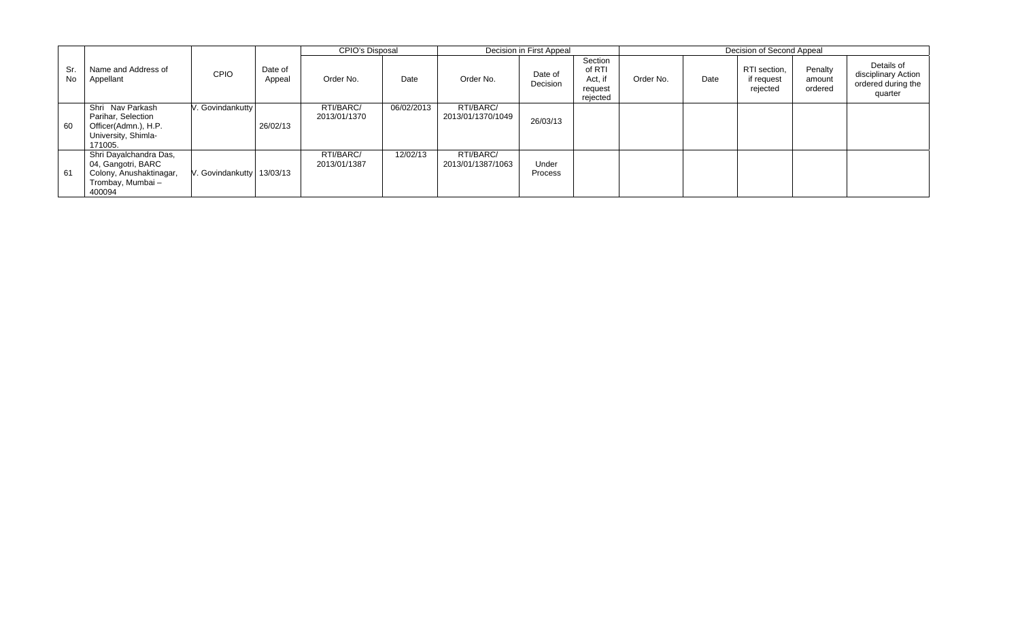|           |                                                                                                       |                           |                   | CPIO's Disposal           |            |                                | Decision in First Appeal |                                                     |           |      | Decision of Second Appeal              |                              |                                                                    |
|-----------|-------------------------------------------------------------------------------------------------------|---------------------------|-------------------|---------------------------|------------|--------------------------------|--------------------------|-----------------------------------------------------|-----------|------|----------------------------------------|------------------------------|--------------------------------------------------------------------|
| Sr.<br>No | Name and Address of<br>Appellant                                                                      | <b>CPIO</b>               | Date of<br>Appeal | Order No.                 | Date       | Order No.                      | Date of<br>Decision      | Section<br>of RTI<br>Act, if<br>request<br>rejected | Order No. | Date | RTI section,<br>if request<br>rejected | Penalty<br>amount<br>ordered | Details of<br>disciplinary Action<br>ordered during the<br>quarter |
| 60        | Shri Nav Parkash<br>Parihar, Selection<br>Officer(Admn.), H.P.<br>University, Shimla-<br>171005.      | . Govindankutty           | 26/02/13          | RTI/BARC/<br>2013/01/1370 | 06/02/2013 | RTI/BARC/<br>2013/01/1370/1049 | 26/03/13                 |                                                     |           |      |                                        |                              |                                                                    |
| 61        | Shri Dayalchandra Das,<br>04, Gangotri, BARC<br>Colony, Anushaktinagar,<br>Trombay, Mumbai-<br>400094 | V. Govindankutty 13/03/13 |                   | RTI/BARC/<br>2013/01/1387 | 12/02/13   | RTI/BARC/<br>2013/01/1387/1063 | Under<br>Process         |                                                     |           |      |                                        |                              |                                                                    |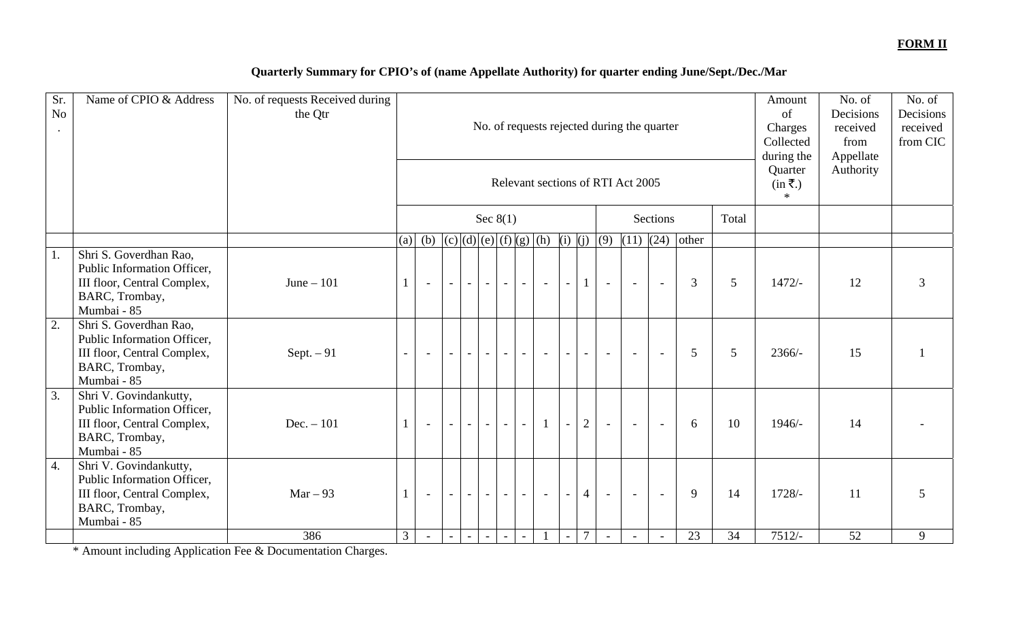### **FORM II**

## **Quarterly Summary for CPIO's of (name Appellate Authority) for quarter ending June/Sept./Dec./Mar**

| Sr.<br>No<br>$\bullet$ | Name of CPIO & Address                                                                                                | No. of requests Received during<br>the Qtr |                | No. of requests rejected during the quarter<br>Relevant sections of RTI Act 2005<br>Sec $8(1)$<br>Sections |                          |                |                          |                          |                          |                          |                          |                |        |                          | Amount<br>of<br>Charges<br>Collected<br>during the<br>Quarter<br>$(in \overline{\xi})$<br>$*$ | No. of<br>Decisions<br>received<br>from<br>Appellate<br>Authority | No. of<br>Decisions<br>received<br>from CIC |          |               |   |
|------------------------|-----------------------------------------------------------------------------------------------------------------------|--------------------------------------------|----------------|------------------------------------------------------------------------------------------------------------|--------------------------|----------------|--------------------------|--------------------------|--------------------------|--------------------------|--------------------------|----------------|--------|--------------------------|-----------------------------------------------------------------------------------------------|-------------------------------------------------------------------|---------------------------------------------|----------|---------------|---|
|                        |                                                                                                                       |                                            |                |                                                                                                            |                          |                |                          |                          |                          |                          |                          |                |        |                          |                                                                                               |                                                                   | Total                                       |          |               |   |
|                        |                                                                                                                       |                                            | (a)            | (b) $(c)(d)(e)(f)(g)(h)(i)(j)(9)$<br>$(11)$ $(24)$ other                                                   |                          |                |                          |                          |                          |                          |                          |                |        |                          |                                                                                               |                                                                   |                                             |          |               |   |
| 1.                     | Shri S. Goverdhan Rao,<br>Public Information Officer,<br>III floor, Central Complex,<br>BARC, Trombay,<br>Mumbai - 85 | June $-101$                                | $\mathbf{1}$   | $\sim$                                                                                                     | $\sim$                   | $\sim$         | $\sim$                   | $\sim$ $\sim$            | $\sim$                   | $\sim$                   | $\sim$                   | $\mathbf{1}$   | $\sim$ | $\sim$                   | $\sim$                                                                                        | 3                                                                 | 5                                           | $1472/-$ | 12            | 3 |
| 2.                     | Shri S. Goverdhan Rao,<br>Public Information Officer,<br>III floor, Central Complex,<br>BARC, Trombay,<br>Mumbai - 85 | Sept. $-91$                                | $\sim$         | $\overline{\phantom{a}}$                                                                                   |                          | $\sim$         | $\sim$                   | $\sim$                   | $\sim$                   | $\overline{\phantom{a}}$ | $\overline{\phantom{a}}$ | $\sim$         | $\sim$ | $\sim$                   |                                                                                               | 5                                                                 | 5                                           | $2366/-$ | 15            |   |
| $\overline{3}$ .       | Shri V. Govindankutty,<br>Public Information Officer,<br>III floor, Central Complex,<br>BARC, Trombay,<br>Mumbai - 85 | Dec. $-101$                                | $\mathbf{1}$   | $\sim$                                                                                                     |                          |                | $\overline{\phantom{a}}$ |                          | $\overline{\phantom{a}}$ | $\mathbf{1}$             | $\overline{\phantom{a}}$ | $\mathbf{2}$   | $\sim$ | $\overline{a}$           | $\overline{\phantom{a}}$                                                                      | 6                                                                 | 10                                          | $1946/-$ | 14            |   |
| $\overline{4}$ .       | Shri V. Govindankutty,<br>Public Information Officer,<br>III floor, Central Complex,<br>BARC, Trombay,<br>Mumbai - 85 | $Mar - 93$                                 |                | $\overline{\phantom{a}}$                                                                                   |                          | $\equiv$       | $\overline{\phantom{a}}$ | $\blacksquare$           | $\overline{\phantom{a}}$ | $\blacksquare$           | $\sim$                   | $\overline{4}$ | $\sim$ | $\sim$                   | $\sim$                                                                                        | 9                                                                 | 14                                          | $1728/-$ | <sup>11</sup> | 5 |
|                        |                                                                                                                       | 386                                        | $\mathfrak{Z}$ | $\overline{\phantom{a}}$                                                                                   | $\overline{\phantom{a}}$ | $\blacksquare$ | $\blacksquare$           | $\overline{\phantom{a}}$ | $\overline{\phantom{a}}$ |                          | $\blacksquare$           | $\overline{7}$ | $\sim$ | $\overline{\phantom{a}}$ | $\sim$                                                                                        | 23                                                                | 34                                          | $7512/-$ | 52            | 9 |

\* Amount including Application Fee & Documentation Charges.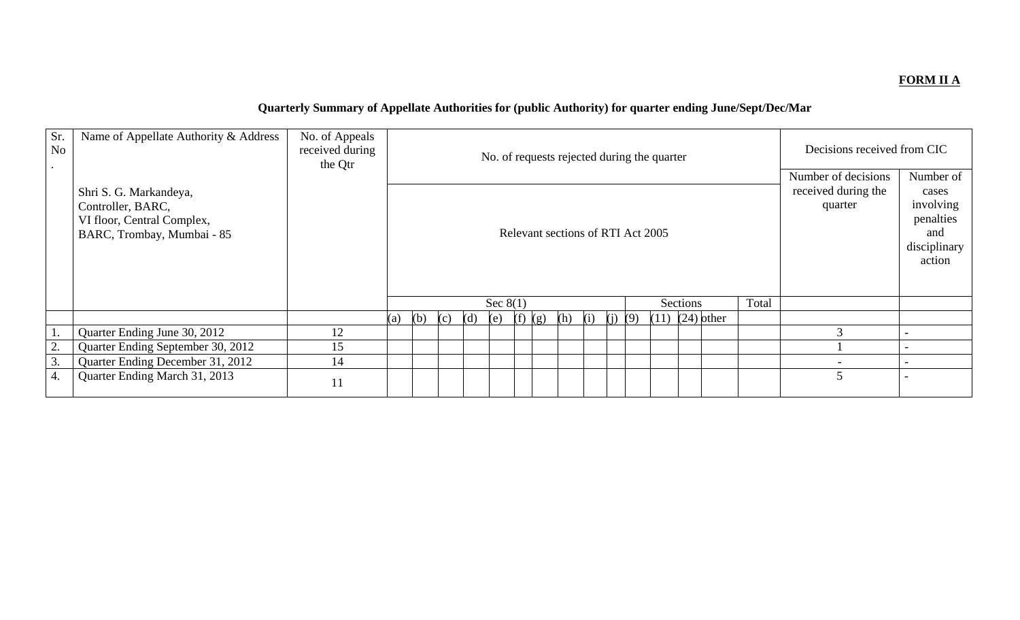### **FORM II A**

# **Quarterly Summary of Appellate Authorities for (public Authority) for quarter ending June/Sept/Dec/Mar**

| Sr.<br>N <sub>o</sub> | Name of Appellate Authority & Address                                                                   | No. of Appeals<br>received during<br>the Qtr | No. of requests rejected during the quarter |                                   |     |     |            |     |     |     |     |            |  |                     |                                                       | Decisions received from CIC                                                   |  |
|-----------------------|---------------------------------------------------------------------------------------------------------|----------------------------------------------|---------------------------------------------|-----------------------------------|-----|-----|------------|-----|-----|-----|-----|------------|--|---------------------|-------------------------------------------------------|-------------------------------------------------------------------------------|--|
|                       | Shri S. G. Markandeya,<br>Controller, BARC,<br>VI floor, Central Complex,<br>BARC, Trombay, Mumbai - 85 |                                              |                                             | Relevant sections of RTI Act 2005 |     |     |            |     |     |     |     |            |  |                     | Number of decisions<br>received during the<br>quarter | Number of<br>cases<br>involving<br>penalties<br>and<br>disciplinary<br>action |  |
|                       |                                                                                                         |                                              |                                             |                                   |     |     | Sec $8(1)$ |     |     |     |     |            |  | Sections            | Total                                                 |                                                                               |  |
|                       |                                                                                                         |                                              | (a)                                         | (b)                               | (c) | (d) | (e)        | (f) | (g) | (h) | (i) | (i)<br>(9) |  | $(11)$ $(24)$ other |                                                       |                                                                               |  |
|                       | Quarter Ending June 30, 2012                                                                            | 12                                           |                                             |                                   |     |     |            |     |     |     |     |            |  |                     |                                                       |                                                                               |  |
| 2.                    | Quarter Ending September 30, 2012                                                                       | 15                                           |                                             |                                   |     |     |            |     |     |     |     |            |  |                     |                                                       |                                                                               |  |
| 3.                    | Quarter Ending December 31, 2012                                                                        | 14                                           |                                             |                                   |     |     |            |     |     |     |     |            |  |                     |                                                       |                                                                               |  |
| 4.                    | Quarter Ending March 31, 2013                                                                           | 11                                           |                                             |                                   |     |     |            |     |     |     |     |            |  |                     |                                                       |                                                                               |  |